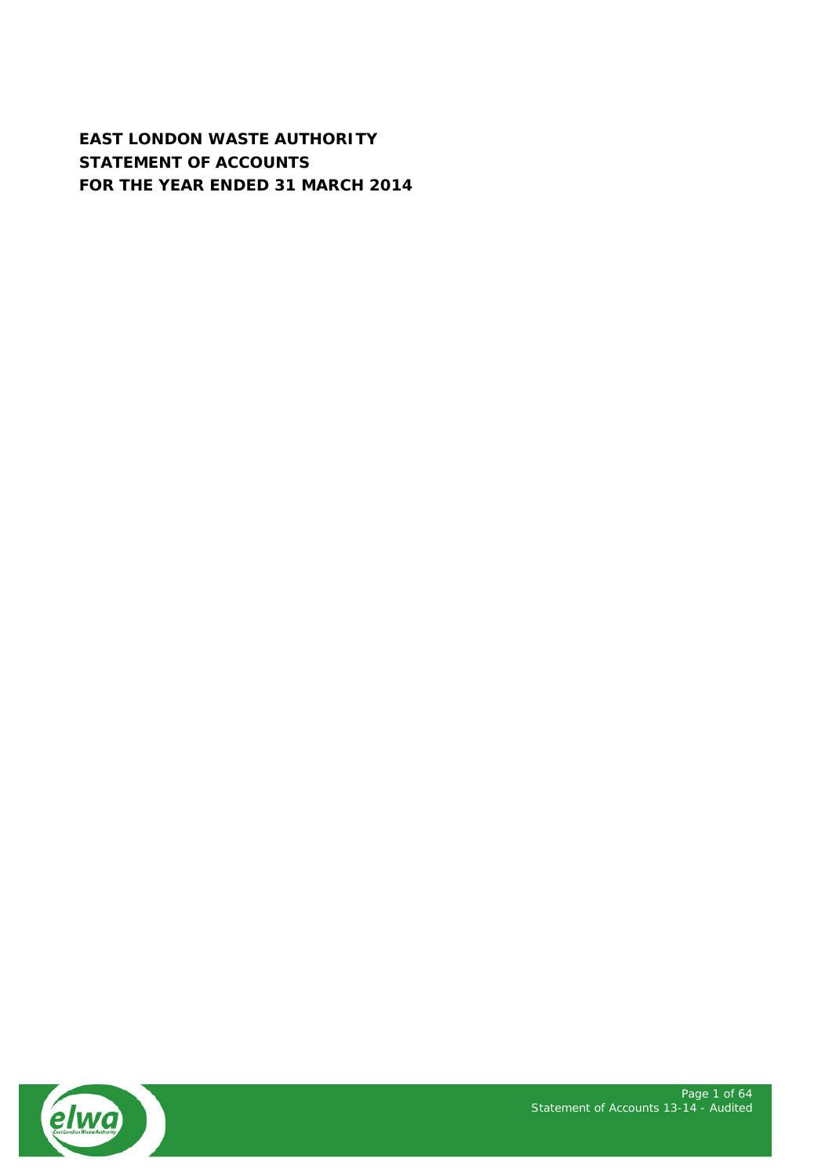**EAST LONDON WASTE AUTHORITY STATEMENT OF ACCOUNTS FOR THE YEAR ENDED 31 MARCH 2014**

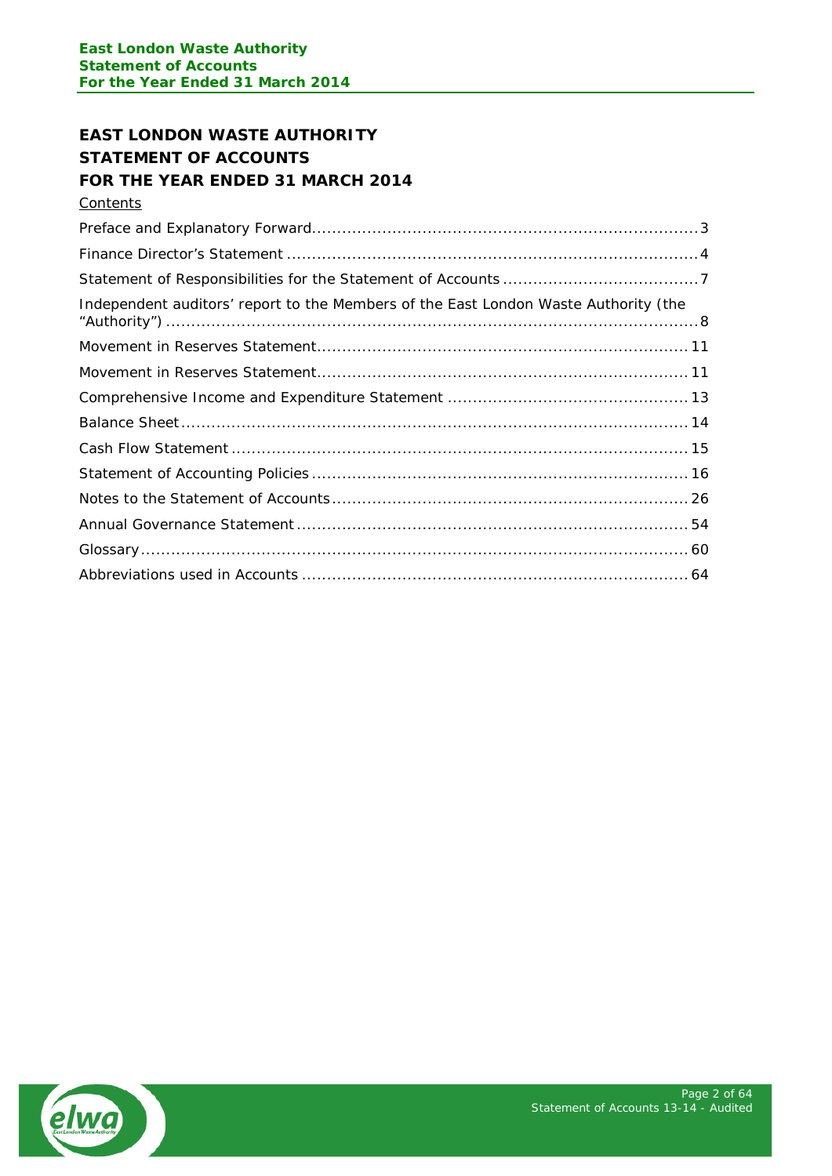# **EAST LONDON WASTE AUTHORITY STATEMENT OF ACCOUNTS FOR THE YEAR ENDED 31 MARCH 2014**

**Contents** 

| Independent auditors' report to the Members of the East London Waste Authority (the |
|-------------------------------------------------------------------------------------|
|                                                                                     |
|                                                                                     |
|                                                                                     |
|                                                                                     |
|                                                                                     |
|                                                                                     |
|                                                                                     |
|                                                                                     |
|                                                                                     |
|                                                                                     |

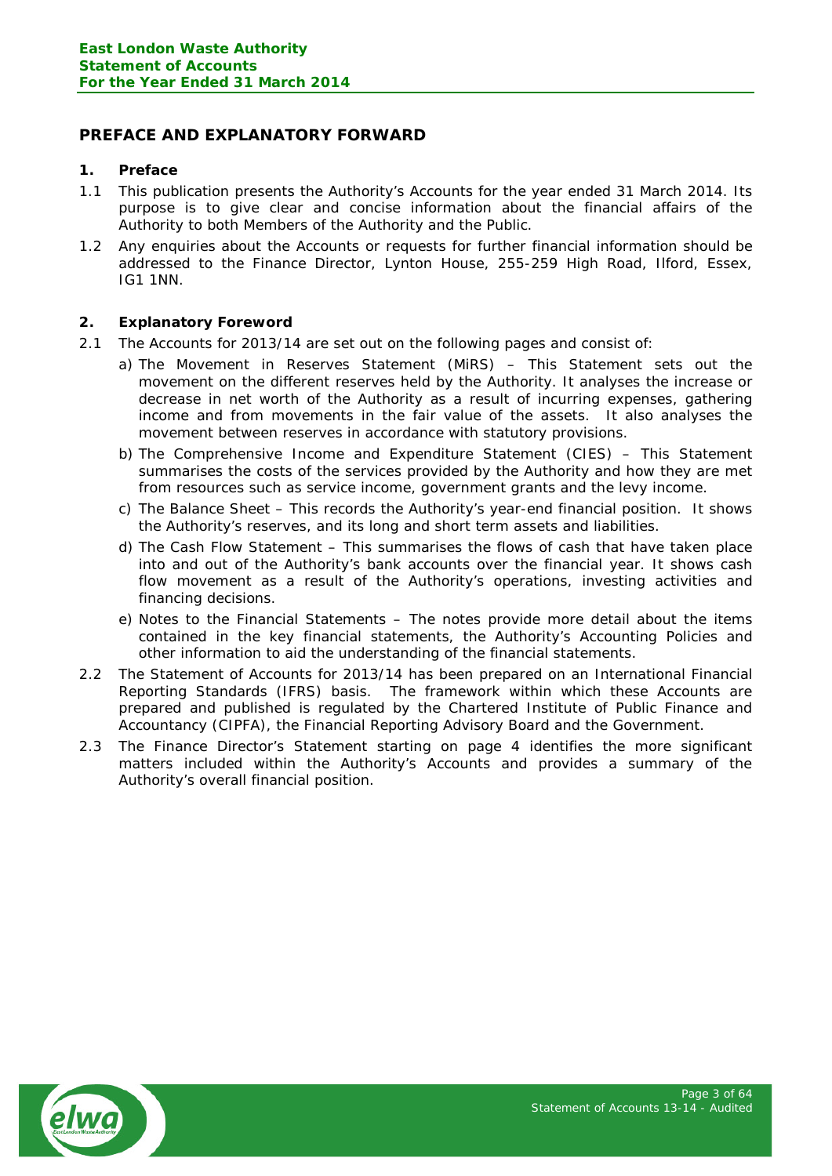# <span id="page-2-0"></span>**PREFACE AND EXPLANATORY FORWARD**

# **1. Preface**

- 1.1 This publication presents the Authority's Accounts for the year ended 31 March 2014. Its purpose is to give clear and concise information about the financial affairs of the Authority to both Members of the Authority and the Public.
- 1.2 Any enquiries about the Accounts or requests for further financial information should be addressed to the Finance Director, Lynton House, 255-259 High Road, Ilford, Essex, IG1 1NN.

# **2. Explanatory Foreword**

- 2.1 The Accounts for 2013/14 are set out on the following pages and consist of:
	- a) The Movement in Reserves Statement (MiRS) This Statement sets out the movement on the different reserves held by the Authority. It analyses the increase or decrease in net worth of the Authority as a result of incurring expenses, gathering income and from movements in the fair value of the assets. It also analyses the movement between reserves in accordance with statutory provisions.
	- b) The Comprehensive Income and Expenditure Statement (CIES) This Statement summarises the costs of the services provided by the Authority and how they are met from resources such as service income, government grants and the levy income.
	- c) The Balance Sheet This records the Authority's year-end financial position. It shows the Authority's reserves, and its long and short term assets and liabilities.
	- d) The Cash Flow Statement This summarises the flows of cash that have taken place into and out of the Authority's bank accounts over the financial year. It shows cash flow movement as a result of the Authority's operations, investing activities and financing decisions.
	- e) Notes to the Financial Statements The notes provide more detail about the items contained in the key financial statements, the Authority's Accounting Policies and other information to aid the understanding of the financial statements.
- 2.2 The Statement of Accounts for 2013/14 has been prepared on an International Financial Reporting Standards (IFRS) basis. The framework within which these Accounts are prepared and published is regulated by the Chartered Institute of Public Finance and Accountancy (CIPFA), the Financial Reporting Advisory Board and the Government.
- 2.3 The Finance Director's Statement starting on page 4 identifies the more significant matters included within the Authority's Accounts and provides a summary of the Authority's overall financial position.

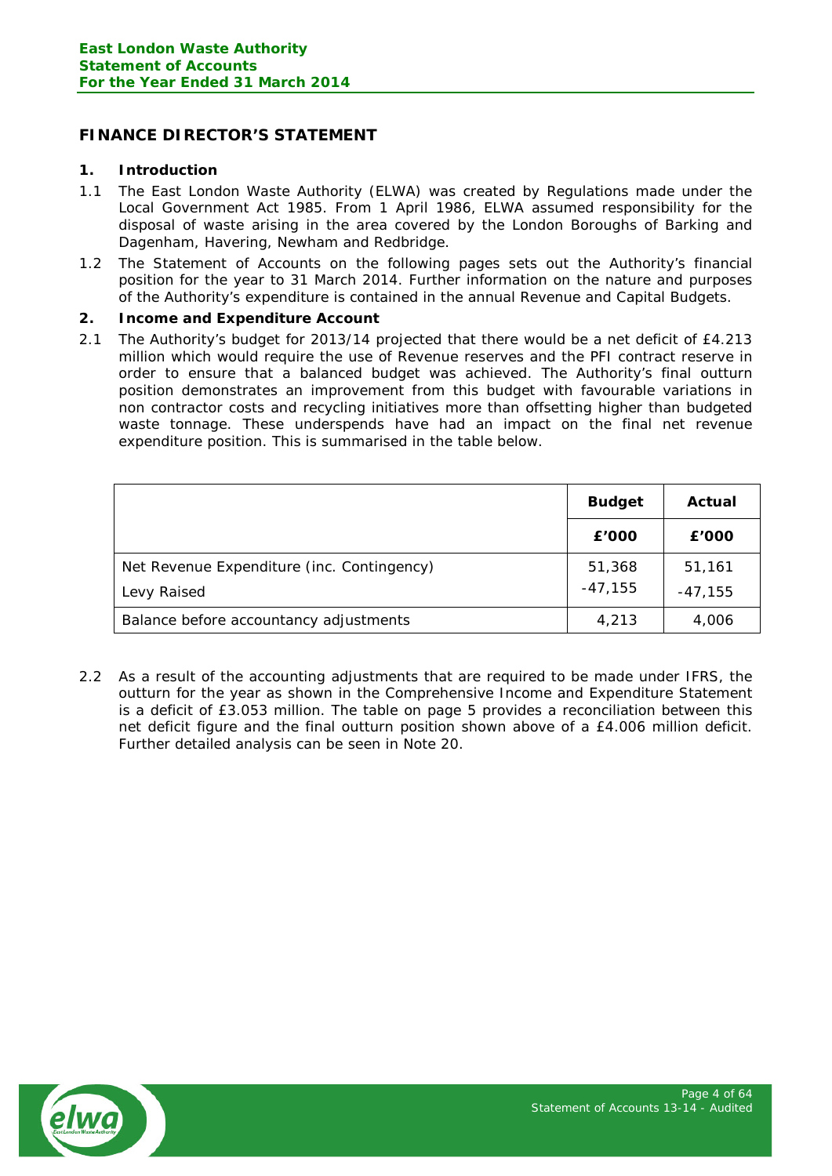# <span id="page-3-0"></span>**FINANCE DIRECTOR'S STATEMENT**

## **1. Introduction**

- 1.1 The East London Waste Authority (ELWA) was created by Regulations made under the Local Government Act 1985. From 1 April 1986, ELWA assumed responsibility for the disposal of waste arising in the area covered by the London Boroughs of Barking and Dagenham, Havering, Newham and Redbridge.
- 1.2 The Statement of Accounts on the following pages sets out the Authority's financial position for the year to 31 March 2014. Further information on the nature and purposes of the Authority's expenditure is contained in the annual Revenue and Capital Budgets.

## **2. Income and Expenditure Account**

2.1 The Authority's budget for 2013/14 projected that there would be a net deficit of £4.213 million which would require the use of Revenue reserves and the PFI contract reserve in order to ensure that a balanced budget was achieved. The Authority's final outturn position demonstrates an improvement from this budget with favourable variations in non contractor costs and recycling initiatives more than offsetting higher than budgeted waste tonnage. These underspends have had an impact on the final net revenue expenditure position. This is summarised in the table below.

|                                            | <b>Budget</b> | Actual    |
|--------------------------------------------|---------------|-----------|
|                                            | £'000         | £'000     |
| Net Revenue Expenditure (inc. Contingency) | 51,368        | 51,161    |
| Levy Raised                                | $-47,155$     | $-47,155$ |
| Balance before accountancy adjustments     | 4,213         | 4,006     |

2.2 As a result of the accounting adjustments that are required to be made under IFRS, the outturn for the year as shown in the Comprehensive Income and Expenditure Statement is a deficit of £3.053 million. The table on page 5 provides a reconciliation between this net deficit figure and the final outturn position shown above of a £4.006 million deficit. Further detailed analysis can be seen in Note 20.

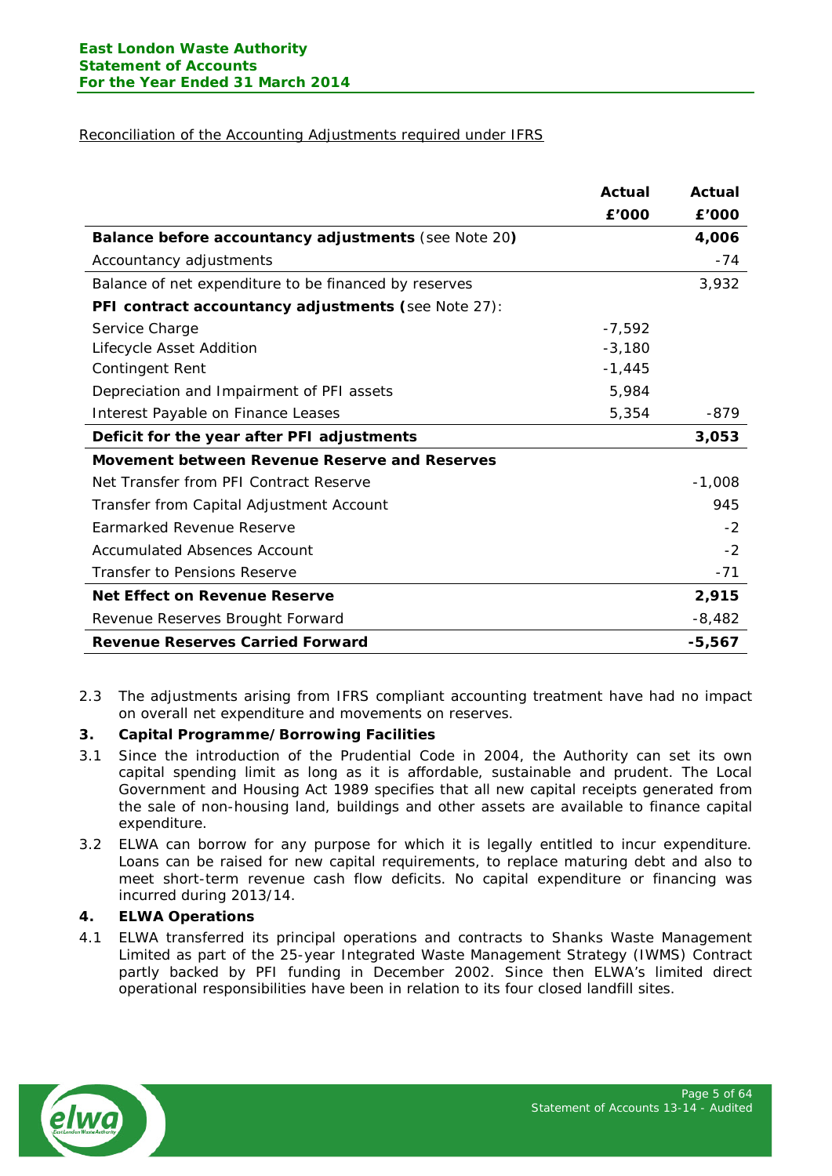## Reconciliation of the Accounting Adjustments required under IFRS

|                                                       | Actual   | Actual   |
|-------------------------------------------------------|----------|----------|
|                                                       | £'000    | £'000    |
| Balance before accountancy adjustments (see Note 20)  |          | 4,006    |
| Accountancy adjustments                               |          | $-74$    |
| Balance of net expenditure to be financed by reserves |          | 3,932    |
| PFI contract accountancy adjustments (see Note 27):   |          |          |
| Service Charge                                        | $-7,592$ |          |
| Lifecycle Asset Addition                              | $-3,180$ |          |
| <b>Contingent Rent</b>                                | $-1,445$ |          |
| Depreciation and Impairment of PFI assets             | 5,984    |          |
| Interest Payable on Finance Leases                    | 5,354    | $-879$   |
| Deficit for the year after PFI adjustments            |          | 3,053    |
| Movement between Revenue Reserve and Reserves         |          |          |
| Net Transfer from PFI Contract Reserve                |          | $-1,008$ |
| Transfer from Capital Adjustment Account              |          | 945      |
| Earmarked Revenue Reserve                             |          | $-2$     |
| <b>Accumulated Absences Account</b>                   |          | $-2$     |
| Transfer to Pensions Reserve                          |          | $-71$    |
| <b>Net Effect on Revenue Reserve</b>                  |          | 2,915    |
| Revenue Reserves Brought Forward                      |          | $-8,482$ |
| <b>Revenue Reserves Carried Forward</b>               |          | $-5,567$ |

2.3 The adjustments arising from IFRS compliant accounting treatment have had no impact on overall net expenditure and movements on reserves.

## **3. Capital Programme/Borrowing Facilities**

- 3.1 Since the introduction of the Prudential Code in 2004, the Authority can set its own capital spending limit as long as it is affordable, sustainable and prudent. The Local Government and Housing Act 1989 specifies that all new capital receipts generated from the sale of non-housing land, buildings and other assets are available to finance capital expenditure.
- 3.2 ELWA can borrow for any purpose for which it is legally entitled to incur expenditure. Loans can be raised for new capital requirements, to replace maturing debt and also to meet short-term revenue cash flow deficits. No capital expenditure or financing was incurred during 2013/14.

## **4. ELWA Operations**

4.1 ELWA transferred its principal operations and contracts to Shanks Waste Management Limited as part of the 25-year Integrated Waste Management Strategy (IWMS) Contract partly backed by PFI funding in December 2002. Since then ELWA's limited direct operational responsibilities have been in relation to its four closed landfill sites.

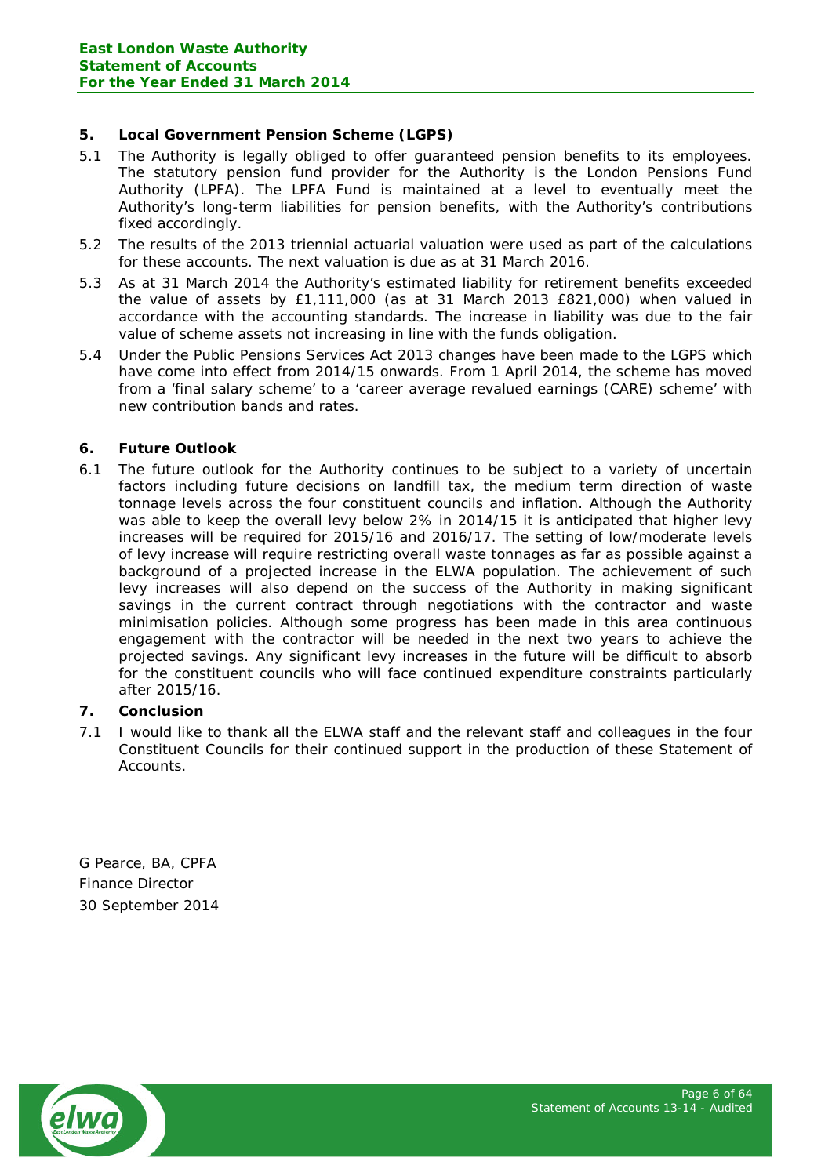## **5. Local Government Pension Scheme (LGPS)**

- 5.1 The Authority is legally obliged to offer guaranteed pension benefits to its employees. The statutory pension fund provider for the Authority is the London Pensions Fund Authority (LPFA). The LPFA Fund is maintained at a level to eventually meet the Authority's long-term liabilities for pension benefits, with the Authority's contributions fixed accordingly.
- 5.2 The results of the 2013 triennial actuarial valuation were used as part of the calculations for these accounts. The next valuation is due as at 31 March 2016.
- 5.3 As at 31 March 2014 the Authority's estimated liability for retirement benefits exceeded the value of assets by £1,111,000 (as at 31 March 2013 £821,000) when valued in accordance with the accounting standards. The increase in liability was due to the fair value of scheme assets not increasing in line with the funds obligation.
- 5.4 Under the Public Pensions Services Act 2013 changes have been made to the LGPS which have come into effect from 2014/15 onwards. From 1 April 2014, the scheme has moved from a 'final salary scheme' to a 'career average revalued earnings (CARE) scheme' with new contribution bands and rates.

# **6. Future Outlook**

6.1 The future outlook for the Authority continues to be subject to a variety of uncertain factors including future decisions on landfill tax, the medium term direction of waste tonnage levels across the four constituent councils and inflation. Although the Authority was able to keep the overall levy below 2% in 2014/15 it is anticipated that higher levy increases will be required for 2015/16 and 2016/17. The setting of low/moderate levels of levy increase will require restricting overall waste tonnages as far as possible against a background of a projected increase in the ELWA population. The achievement of such levy increases will also depend on the success of the Authority in making significant savings in the current contract through negotiations with the contractor and waste minimisation policies. Although some progress has been made in this area continuous engagement with the contractor will be needed in the next two years to achieve the projected savings. Any significant levy increases in the future will be difficult to absorb for the constituent councils who will face continued expenditure constraints particularly after 2015/16.

# **7. Conclusion**

7.1 I would like to thank all the ELWA staff and the relevant staff and colleagues in the four Constituent Councils for their continued support in the production of these Statement of Accounts.

G Pearce, BA, CPFA Finance Director 30 September 2014

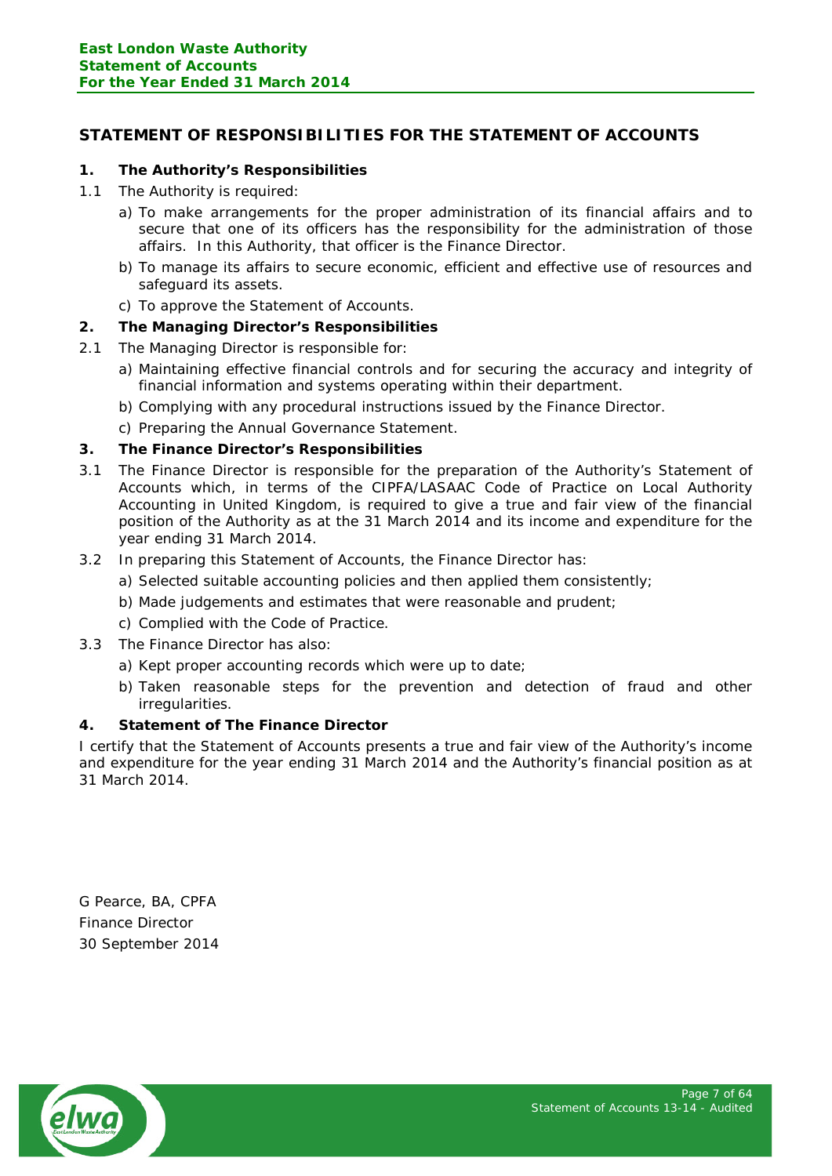# <span id="page-6-0"></span>**STATEMENT OF RESPONSIBILITIES FOR THE STATEMENT OF ACCOUNTS**

## **1. The Authority's Responsibilities**

- 1.1 The Authority is required:
	- a) To make arrangements for the proper administration of its financial affairs and to secure that one of its officers has the responsibility for the administration of those affairs. In this Authority, that officer is the Finance Director.
	- b) To manage its affairs to secure economic, efficient and effective use of resources and safeguard its assets.
	- c) To approve the Statement of Accounts.

# **2. The Managing Director's Responsibilities**

- 2.1 The Managing Director is responsible for:
	- a) Maintaining effective financial controls and for securing the accuracy and integrity of financial information and systems operating within their department.
	- b) Complying with any procedural instructions issued by the Finance Director.
	- c) Preparing the Annual Governance Statement.

# **3. The Finance Director's Responsibilities**

- 3.1 The Finance Director is responsible for the preparation of the Authority's Statement of Accounts which, in terms of the CIPFA/LASAAC Code of Practice on Local Authority Accounting in United Kingdom, is required to give a true and fair view of the financial position of the Authority as at the 31 March 2014 and its income and expenditure for the year ending 31 March 2014.
- 3.2 In preparing this Statement of Accounts, the Finance Director has:
	- a) Selected suitable accounting policies and then applied them consistently;
	- b) Made judgements and estimates that were reasonable and prudent;
	- c) Complied with the Code of Practice.
- 3.3 The Finance Director has also:
	- a) Kept proper accounting records which were up to date;
	- b) Taken reasonable steps for the prevention and detection of fraud and other irregularities.

## **4. Statement of The Finance Director**

I certify that the Statement of Accounts presents a true and fair view of the Authority's income and expenditure for the year ending 31 March 2014 and the Authority's financial position as at 31 March 2014.

G Pearce, BA, CPFA Finance Director 30 September 2014

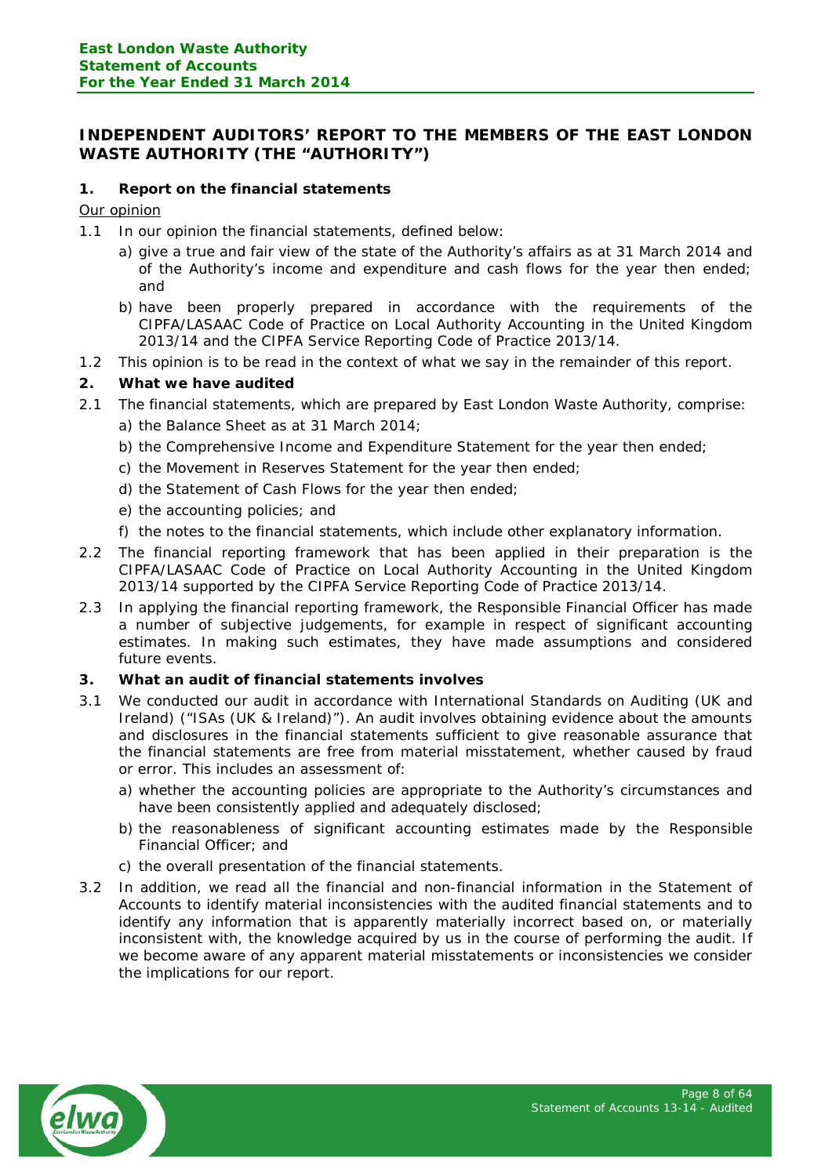# <span id="page-7-0"></span>**INDEPENDENT AUDITORS' REPORT TO THE MEMBERS OF THE EAST LONDON WASTE AUTHORITY (THE "AUTHORITY")**

# **1. Report on the financial statements**

## Our opinion

- 1.1 In our opinion the financial statements, defined below:
	- a) give a true and fair view of the state of the Authority's affairs as at 31 March 2014 and of the Authority's income and expenditure and cash flows for the year then ended; and
	- b) have been properly prepared in accordance with the requirements of the CIPFA/LASAAC Code of Practice on Local Authority Accounting in the United Kingdom 2013/14 and the CIPFA Service Reporting Code of Practice 2013/14.
- 1.2 This opinion is to be read in the context of what we say in the remainder of this report.

## **2. What we have audited**

- 2.1 The financial statements, which are prepared by East London Waste Authority, comprise:
	- a) the Balance Sheet as at 31 March 2014;
	- b) the Comprehensive Income and Expenditure Statement for the year then ended;
	- c) the Movement in Reserves Statement for the year then ended;
	- d) the Statement of Cash Flows for the year then ended;
	- e) the accounting policies; and
	- f) the notes to the financial statements, which include other explanatory information.
- 2.2 The financial reporting framework that has been applied in their preparation is the CIPFA/LASAAC Code of Practice on Local Authority Accounting in the United Kingdom 2013/14 supported by the CIPFA Service Reporting Code of Practice 2013/14.
- 2.3 In applying the financial reporting framework, the Responsible Financial Officer has made a number of subjective judgements, for example in respect of significant accounting estimates. In making such estimates, they have made assumptions and considered future events.

## **3. What an audit of financial statements involves**

- 3.1 We conducted our audit in accordance with International Standards on Auditing (UK and Ireland) ("ISAs (UK & Ireland)"). An audit involves obtaining evidence about the amounts and disclosures in the financial statements sufficient to give reasonable assurance that the financial statements are free from material misstatement, whether caused by fraud or error. This includes an assessment of:
	- a) whether the accounting policies are appropriate to the Authority's circumstances and have been consistently applied and adequately disclosed;
	- b) the reasonableness of significant accounting estimates made by the Responsible Financial Officer; and
	- c) the overall presentation of the financial statements.
- 3.2 In addition, we read all the financial and non-financial information in the Statement of Accounts to identify material inconsistencies with the audited financial statements and to identify any information that is apparently materially incorrect based on, or materially inconsistent with, the knowledge acquired by us in the course of performing the audit. If we become aware of any apparent material misstatements or inconsistencies we consider the implications for our report.

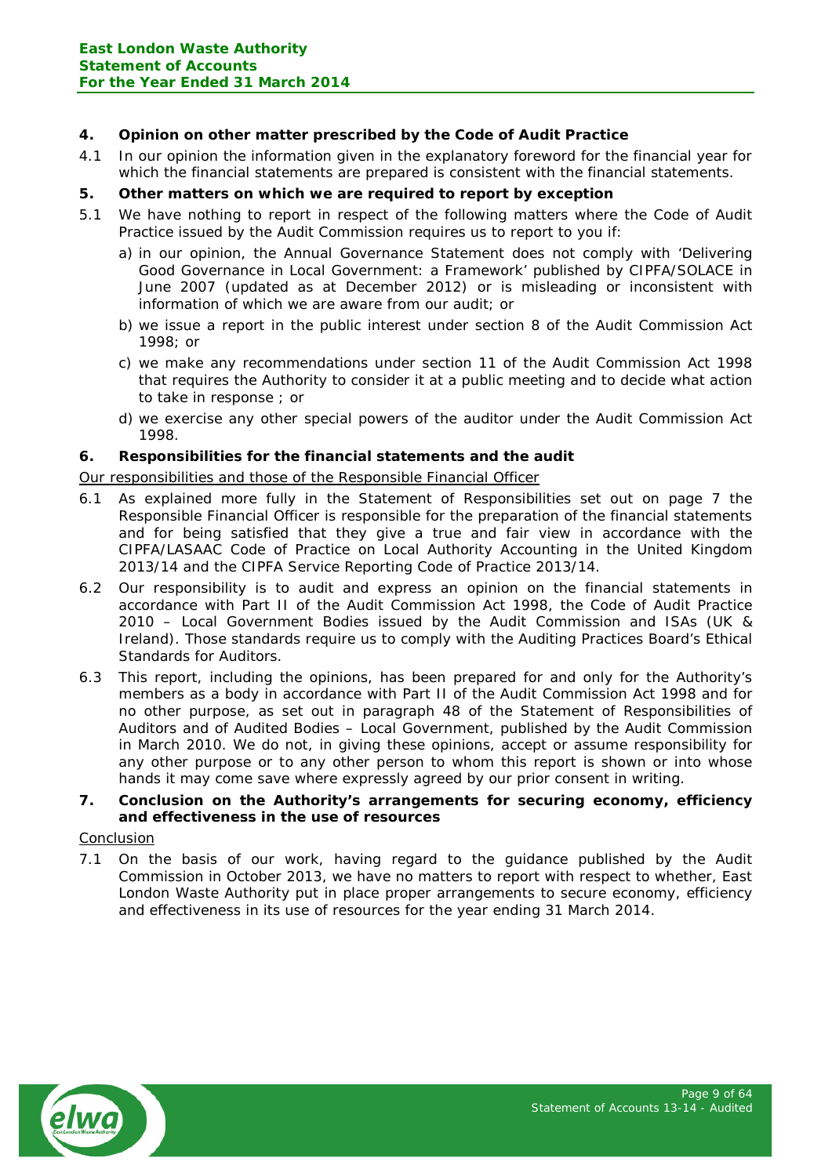# **4. Opinion on other matter prescribed by the Code of Audit Practice**

4.1 In our opinion the information given in the explanatory foreword for the financial year for which the financial statements are prepared is consistent with the financial statements.

# **5. Other matters on which we are required to report by exception**

- 5.1 We have nothing to report in respect of the following matters where the Code of Audit Practice issued by the Audit Commission requires us to report to you if:
	- a) in our opinion, the Annual Governance Statement does not comply with 'Delivering Good Governance in Local Government: a Framework' published by CIPFA/SOLACE in June 2007 (updated as at December 2012) or is misleading or inconsistent with information of which we are aware from our audit; or
	- b) we issue a report in the public interest under section 8 of the Audit Commission Act 1998; or
	- c) we make any recommendations under section 11 of the Audit Commission Act 1998 that requires the Authority to consider it at a public meeting and to decide what action to take in response ; or
	- d) we exercise any other special powers of the auditor under the Audit Commission Act 1998.

# **6. Responsibilities for the financial statements and the audit**

Our responsibilities and those of the Responsible Financial Officer

- 6.1 As explained more fully in the Statement of Responsibilities set out on page 7 the Responsible Financial Officer is responsible for the preparation of the financial statements and for being satisfied that they give a true and fair view in accordance with the CIPFA/LASAAC Code of Practice on Local Authority Accounting in the United Kingdom 2013/14 and the CIPFA Service Reporting Code of Practice 2013/14.
- 6.2 Our responsibility is to audit and express an opinion on the financial statements in accordance with Part II of the Audit Commission Act 1998, the Code of Audit Practice 2010 – Local Government Bodies issued by the Audit Commission and ISAs (UK & Ireland). Those standards require us to comply with the Auditing Practices Board's Ethical Standards for Auditors.
- 6.3 This report, including the opinions, has been prepared for and only for the Authority's members as a body in accordance with Part II of the Audit Commission Act 1998 and for no other purpose, as set out in paragraph 48 of the Statement of Responsibilities of Auditors and of Audited Bodies – Local Government, published by the Audit Commission in March 2010. We do not, in giving these opinions, accept or assume responsibility for any other purpose or to any other person to whom this report is shown or into whose hands it may come save where expressly agreed by our prior consent in writing.
- **7. Conclusion on the Authority's arrangements for securing economy, efficiency and effectiveness in the use of resources**

## Conclusion

7.1 On the basis of our work, having regard to the guidance published by the Audit Commission in October 2013, we have no matters to report with respect to whether, East London Waste Authority put in place proper arrangements to secure economy, efficiency and effectiveness in its use of resources for the year ending 31 March 2014.

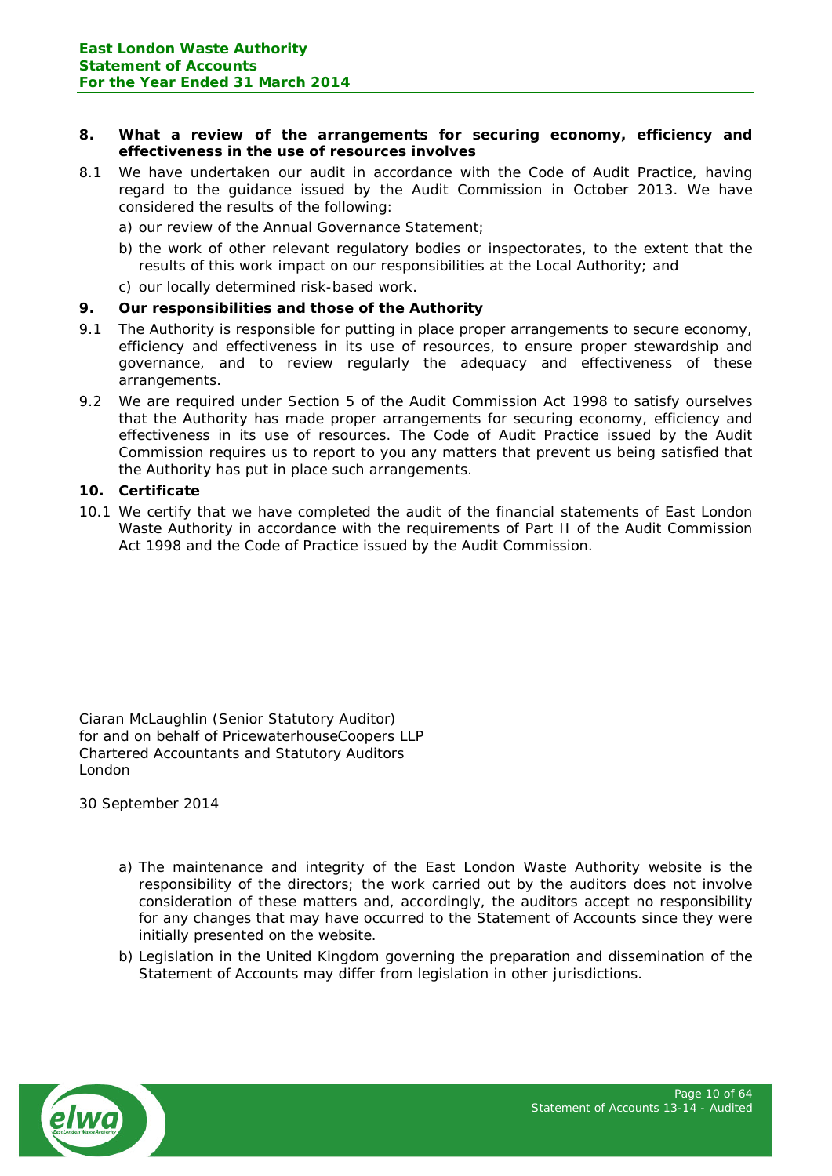## **8. What a review of the arrangements for securing economy, efficiency and effectiveness in the use of resources involves**

- 8.1 We have undertaken our audit in accordance with the Code of Audit Practice, having regard to the guidance issued by the Audit Commission in October 2013. We have considered the results of the following:
	- a) our review of the Annual Governance Statement;
	- b) the work of other relevant regulatory bodies or inspectorates, to the extent that the results of this work impact on our responsibilities at the Local Authority; and
	- c) our locally determined risk-based work.

## **9. Our responsibilities and those of the Authority**

- 9.1 The Authority is responsible for putting in place proper arrangements to secure economy, efficiency and effectiveness in its use of resources, to ensure proper stewardship and governance, and to review regularly the adequacy and effectiveness of these arrangements.
- 9.2 We are required under Section 5 of the Audit Commission Act 1998 to satisfy ourselves that the Authority has made proper arrangements for securing economy, efficiency and effectiveness in its use of resources. The Code of Audit Practice issued by the Audit Commission requires us to report to you any matters that prevent us being satisfied that the Authority has put in place such arrangements.

#### **10. Certificate**

10.1 We certify that we have completed the audit of the financial statements of East London Waste Authority in accordance with the requirements of Part II of the Audit Commission Act 1998 and the Code of Practice issued by the Audit Commission.

Ciaran McLaughlin (Senior Statutory Auditor) for and on behalf of PricewaterhouseCoopers LLP Chartered Accountants and Statutory Auditors London

30 September 2014

- a) The maintenance and integrity of the East London Waste Authority website is the responsibility of the directors; the work carried out by the auditors does not involve consideration of these matters and, accordingly, the auditors accept no responsibility for any changes that may have occurred to the Statement of Accounts since they were initially presented on the website.
- b) Legislation in the United Kingdom governing the preparation and dissemination of the Statement of Accounts may differ from legislation in other jurisdictions.

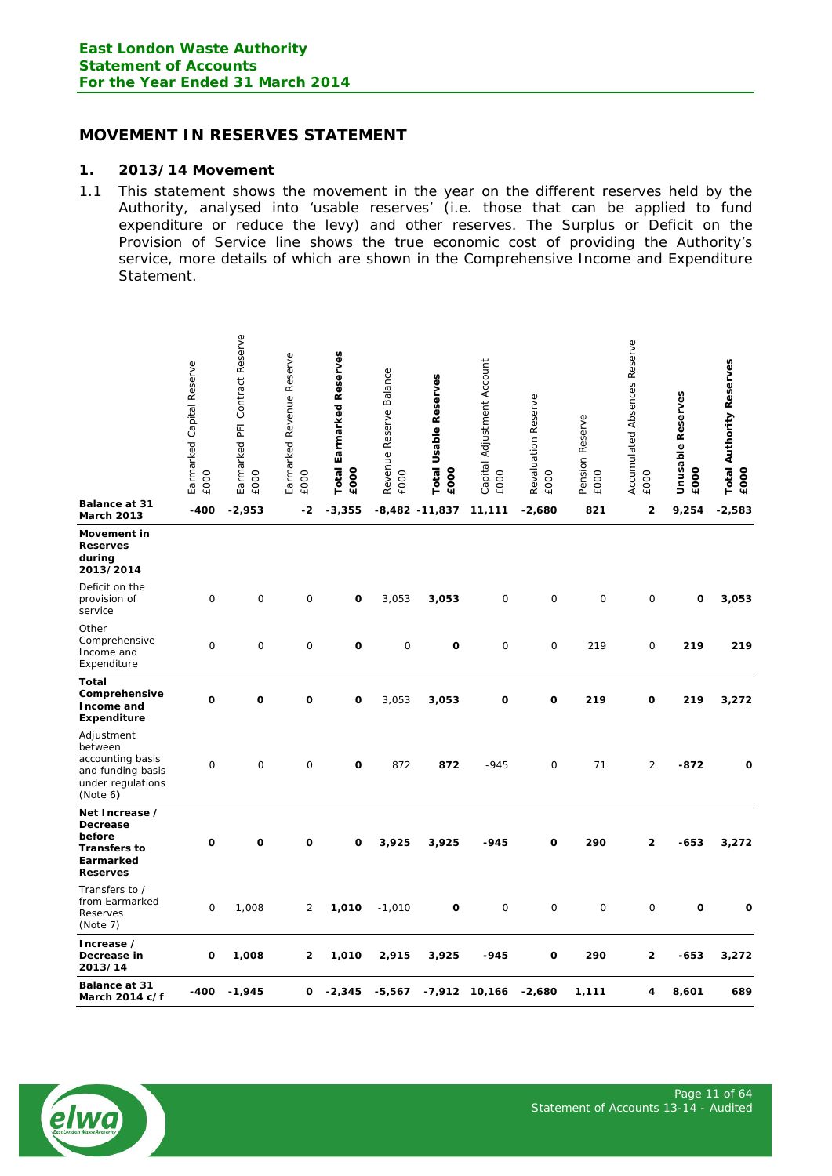# <span id="page-10-0"></span>**MOVEMENT IN RESERVES STATEMENT**

#### **1. 2013/14 Movement**

1.1 This statement shows the movement in the year on the different reserves held by the Authority, analysed into 'usable reserves' (i.e. those that can be applied to fund expenditure or reduce the levy) and other reserves. The Surplus or Deficit on the Provision of Service line shows the true economic cost of providing the Authority's service, more details of which are shown in the Comprehensive Income and Expenditure Statement.

| Balance at 31                                                                                   | Earmarked Capital Reserve<br>£000 | Earmarked PFI Contract Reserve<br>£000 | Revenue Reserve<br>Earmarked<br><b>EOOO</b> | <b>Total Earmarked Reserves</b><br>£000 | Revenue Reserve Balance<br>£000 | <b>Total Usable Reserves</b><br>£000 | Capital Adjustment Account<br>£000 | Revaluation Reserve<br><b>EOOO</b> | Pension Reserve<br>£000 | Accumulated Absences Reserve<br>£000 | <b>Unusable Reserves</b><br>£000 | <b>Total Authority Reserves</b><br>£000 |
|-------------------------------------------------------------------------------------------------|-----------------------------------|----------------------------------------|---------------------------------------------|-----------------------------------------|---------------------------------|--------------------------------------|------------------------------------|------------------------------------|-------------------------|--------------------------------------|----------------------------------|-----------------------------------------|
| March 2013                                                                                      | -400                              | $-2,953$                               | -2                                          | $-3,355$                                |                                 | $-8,482$ $-11,837$                   | 11,111                             | $-2,680$                           | 821                     | 2                                    | 9,254                            | $-2,583$                                |
| Movement in<br><b>Reserves</b><br>during<br>2013/2014                                           |                                   |                                        |                                             |                                         |                                 |                                      |                                    |                                    |                         |                                      |                                  |                                         |
| Deficit on the<br>provision of<br>service                                                       | 0                                 | $\mathbf 0$                            | 0                                           | O                                       | 3,053                           | 3,053                                | 0                                  | $\mathbf 0$                        | 0                       | $\mathbf 0$                          | o                                | 3,053                                   |
| Other<br>Comprehensive<br>Income and<br>Expenditure                                             | 0                                 | 0                                      | 0                                           | O                                       | 0                               | O                                    | 0                                  | $\mathbf 0$                        | 219                     | 0                                    | 219                              | 219                                     |
| Total<br>Comprehensive<br>Income and<br><b>Expenditure</b>                                      | O                                 | O                                      | O                                           | O                                       | 3,053                           | 3,053                                | O                                  | 0                                  | 219                     | 0                                    | 219                              | 3,272                                   |
| Adjustment<br>between<br>accounting basis<br>and funding basis<br>under regulations<br>(Note 6) | 0                                 | 0                                      | 0                                           | O                                       | 872                             | 872                                  | $-945$                             | $\mathbf 0$                        | 71                      | $\overline{2}$                       | $-872$                           | O                                       |
| Net Increase /<br>Decrease<br>before<br><b>Transfers to</b><br>Earmarked<br><b>Reserves</b>     | O                                 | O                                      | $\mathbf o$                                 | O                                       | 3,925                           | 3,925                                | $-945$                             | O                                  | 290                     | $\overline{\mathbf{c}}$              | $-653$                           | 3,272                                   |
| Transfers to /<br>from Earmarked<br>Reserves<br>(Note 7)                                        | 0                                 | 1,008                                  | $\overline{c}$                              | 1,010                                   | $-1,010$                        | $\mathbf o$                          | $\mathsf{O}\xspace$                | $\mathsf{O}\xspace$                | $\mathbf 0$             | $\mathsf{O}\xspace$                  | $\mathbf{o}$                     | O                                       |
| Increase /<br>Decrease in<br>2013/14                                                            | o                                 | 1,008                                  | 2                                           | 1,010                                   | 2,915                           | 3,925                                | $-945$                             | o                                  | 290                     | 2                                    | $-653$                           | 3,272                                   |
| <b>Balance at 31</b><br>March 2014 c/f                                                          | $-400$                            | $-1,945$                               | 0                                           | $-2,345$                                | $-5,567$                        | $-7,912$                             | 10,166                             | $-2,680$                           | 1,111                   | 4                                    | 8,601                            | 689                                     |

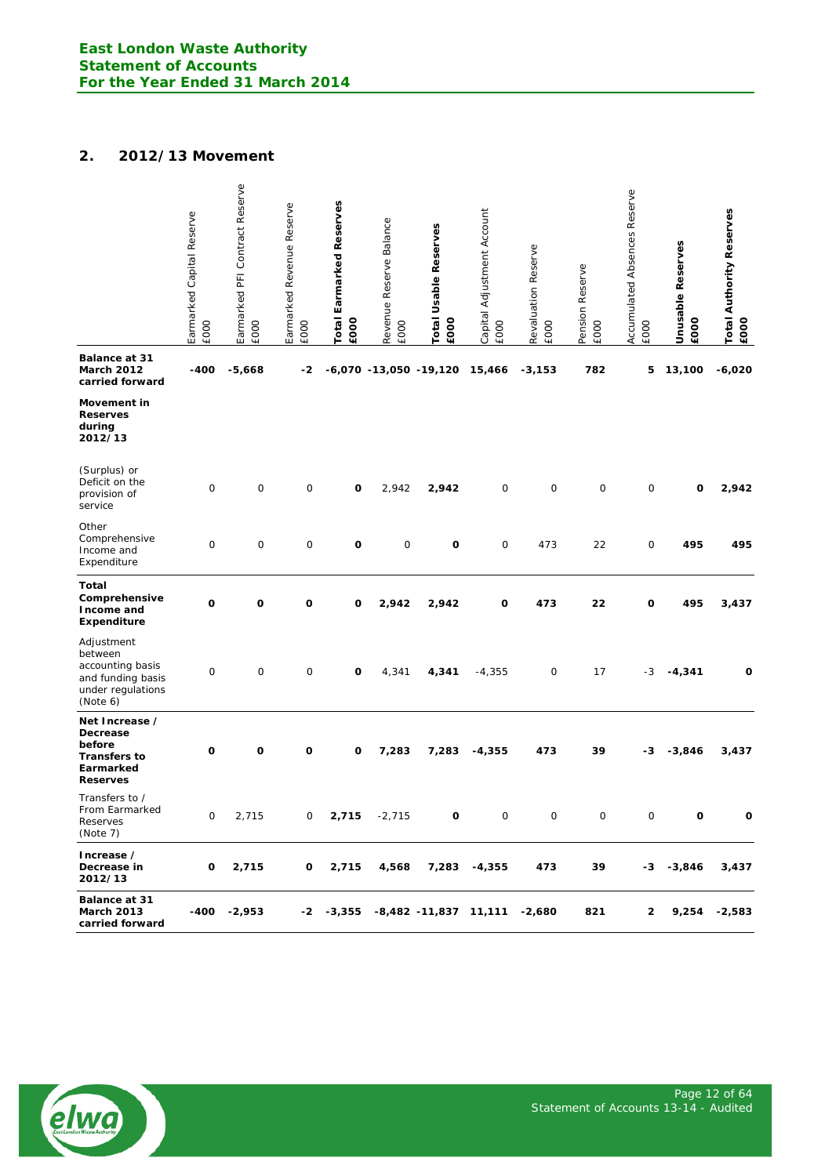# **2. 2012/13 Movement**

|                                                                                                 | Earmarked Capital Reserve<br><b>EOOO</b> | Earmarked PFI Contract Reserve<br><b>EOOO</b> | Earmarked Revenue Reserve<br><b>EOOO</b> | <b>Total Earmarked Reserves</b><br>£000 | Revenue Reserve Balance<br>EOOO | Total Usable Reserves<br>EOOO | Capital Adjustment Account<br><b>EOOO</b> | Revaluation Reserve<br><b>EOOO</b> | Pension Reserve<br>EOOO | Accumulated Absences Reserve<br><b>EOOO</b> | <b>Unusable Reserves</b><br>£000 | <b>Total Authority Reserves</b><br>EOOO |
|-------------------------------------------------------------------------------------------------|------------------------------------------|-----------------------------------------------|------------------------------------------|-----------------------------------------|---------------------------------|-------------------------------|-------------------------------------------|------------------------------------|-------------------------|---------------------------------------------|----------------------------------|-----------------------------------------|
| <b>Balance at 31</b><br><b>March 2012</b><br>carried forward                                    | -400                                     | $-5,668$                                      | -2                                       |                                         |                                 | $-6,070 - 13,050 - 19,120$    | 15,466                                    | $-3,153$                           | 782                     | 5                                           | 13,100                           | $-6,020$                                |
| Movement in<br><b>Reserves</b><br>during<br>2012/13                                             |                                          |                                               |                                          |                                         |                                 |                               |                                           |                                    |                         |                                             |                                  |                                         |
| (Surplus) or<br>Deficit on the<br>provision of<br>service                                       | $\mathbf 0$                              | $\mathbf 0$                                   | 0                                        | O                                       | 2,942                           | 2,942                         | 0                                         | 0                                  | 0                       | $\mathsf{O}\xspace$                         | O                                | 2,942                                   |
| Other<br>Comprehensive<br>Income and<br>Expenditure                                             | $\mathbf 0$                              | 0                                             | $\mathbf 0$                              | O                                       | 0                               | O                             | 0                                         | 473                                | 22                      | 0                                           | 495                              | 495                                     |
| Total<br>Comprehensive<br>Income and<br><b>Expenditure</b>                                      | O                                        | O                                             | O                                        | O                                       | 2,942                           | 2,942                         | O                                         | 473                                | 22                      | O                                           | 495                              | 3,437                                   |
| Adjustment<br>between<br>accounting basis<br>and funding basis<br>under regulations<br>(Note 6) | $\mathsf{O}$                             | 0                                             | 0                                        | O                                       | 4,341                           | 4,341                         | $-4,355$                                  | $\mathsf{O}\xspace$                | 17                      | $-3$                                        | $-4,341$                         | O                                       |
| Net Increase /<br>Decrease<br>before<br><b>Transfers to</b><br>Earmarked<br><b>Reserves</b>     | O                                        | o                                             | O                                        | o                                       | 7,283                           | 7,283                         | $-4,355$                                  | 473                                | 39                      | -3                                          | $-3,846$                         | 3,437                                   |
| Transfers to /<br>From Earmarked<br>Reserves<br>(Note 7)                                        | 0                                        | 2,715                                         | 0                                        | 2,715                                   | $-2,715$                        | О                             | 0                                         | $\mathsf{O}\xspace$                | 0                       | $\mathsf O$                                 | $\mathbf{o}$                     | 0                                       |
| Increase /<br>Decrease in<br>2012/13                                                            | o                                        | 2,715                                         | 0                                        | 2,715                                   | 4,568                           | 7,283                         | -4,355                                    | 473                                | 39                      | -3                                          | -3,846                           | 3,437                                   |
| Balance at 31<br><b>March 2013</b><br>carried forward                                           | -400                                     | -2,953                                        | -2                                       | $-3,355$                                |                                 | $-8,482$ $-11,837$ 11,111     |                                           | $-2,680$                           | 821                     | 2                                           | 9,254                            | $-2,583$                                |

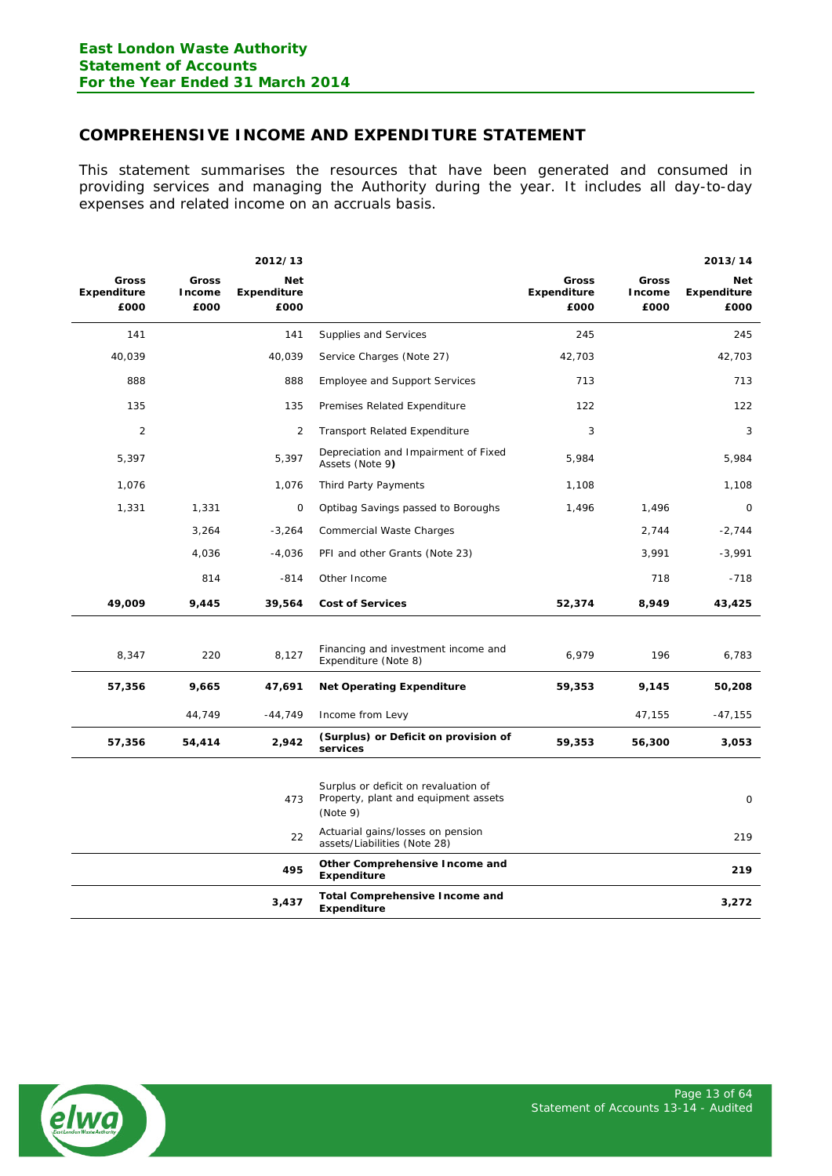# <span id="page-12-0"></span>**COMPREHENSIVE INCOME AND EXPENDITURE STATEMENT**

This statement summarises the resources that have been generated and consumed in providing services and managing the Authority during the year. It includes all day-to-day expenses and related income on an accruals basis.

|                                     |                         | 2012/13                                  |                                                                   |                              |                         | 2013/14                                  |
|-------------------------------------|-------------------------|------------------------------------------|-------------------------------------------------------------------|------------------------------|-------------------------|------------------------------------------|
| Gross<br><b>Expenditure</b><br>£000 | Gross<br>Income<br>£000 | <b>Net</b><br><b>Expenditure</b><br>£000 |                                                                   | Gross<br>Expenditure<br>£000 | Gross<br>Income<br>£000 | <b>Net</b><br><b>Expenditure</b><br>£000 |
| 141                                 |                         | 141                                      | Supplies and Services                                             | 245                          |                         | 245                                      |
| 40,039                              |                         | 40,039                                   | Service Charges (Note 27)                                         | 42,703                       |                         | 42,703                                   |
| 888                                 |                         | 888                                      | <b>Employee and Support Services</b>                              | 713                          |                         | 713                                      |
| 135                                 |                         | 135                                      | Premises Related Expenditure                                      | 122                          |                         | 122                                      |
| $\overline{2}$                      |                         | 2                                        | <b>Transport Related Expenditure</b>                              | 3                            |                         | 3                                        |
| 5,397                               |                         | 5,397                                    | Depreciation and Impairment of Fixed<br>Assets (Note 9)           | 5,984                        |                         | 5,984                                    |
| 1,076                               |                         | 1,076                                    | Third Party Payments                                              | 1,108                        |                         | 1,108                                    |
| 1,331                               | 1,331                   | 0                                        | Optibag Savings passed to Boroughs                                | 1,496                        | 1,496                   | $\mathbf 0$                              |
|                                     | 3,264                   | $-3,264$                                 | Commercial Waste Charges                                          |                              | 2,744                   | $-2,744$                                 |
|                                     | 4,036                   | $-4,036$                                 | PFI and other Grants (Note 23)                                    |                              | 3,991                   | $-3,991$                                 |
|                                     | 814                     | $-814$                                   | Other Income                                                      |                              | 718                     | $-718$                                   |
| 49,009                              | 9,445                   | 39,564                                   | <b>Cost of Services</b>                                           | 52,374                       | 8,949                   | 43,425                                   |
|                                     |                         |                                          |                                                                   |                              |                         |                                          |
| 8,347                               | 220                     | 8,127                                    | Financing and investment income and<br>Expenditure (Note 8)       | 6,979                        | 196                     | 6,783                                    |
| 57,356                              | 9,665                   | 47,691                                   | <b>Net Operating Expenditure</b>                                  | 59,353                       | 9,145                   | 50,208                                   |
|                                     | 44,749                  | $-44,749$                                | Income from Levy                                                  |                              | 47,155                  | $-47,155$                                |
| 57,356                              | 54,414                  | 2,942                                    | (Surplus) or Deficit on provision of<br>services                  | 59,353                       | 56,300                  | 3,053                                    |
|                                     |                         |                                          | Surplus or deficit on revaluation of                              |                              |                         |                                          |
|                                     |                         | 473                                      | Property, plant and equipment assets<br>(Note 9)                  |                              |                         | 0                                        |
|                                     |                         | 22                                       | Actuarial gains/losses on pension<br>assets/Liabilities (Note 28) |                              |                         | 219                                      |
|                                     |                         | 495                                      | Other Comprehensive Income and<br>Expenditure                     |                              |                         | 219                                      |
|                                     |                         | 3,437                                    | <b>Total Comprehensive Income and</b><br><b>Expenditure</b>       |                              |                         | 3,272                                    |

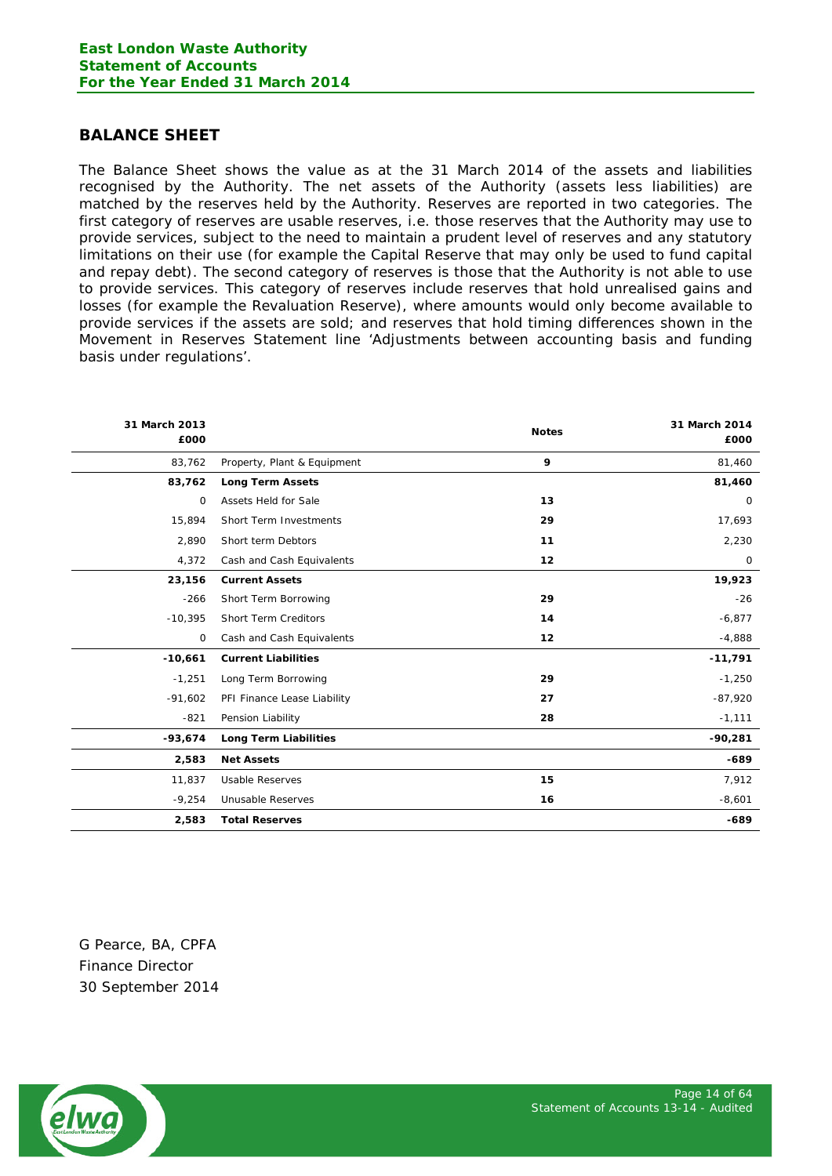# <span id="page-13-0"></span>**BALANCE SHEET**

The Balance Sheet shows the value as at the 31 March 2014 of the assets and liabilities recognised by the Authority. The net assets of the Authority (assets less liabilities) are matched by the reserves held by the Authority. Reserves are reported in two categories. The first category of reserves are usable reserves, i.e. those reserves that the Authority may use to provide services, subject to the need to maintain a prudent level of reserves and any statutory limitations on their use (for example the Capital Reserve that may only be used to fund capital and repay debt). The second category of reserves is those that the Authority is not able to use to provide services. This category of reserves include reserves that hold unrealised gains and losses (for example the Revaluation Reserve), where amounts would only become available to provide services if the assets are sold; and reserves that hold timing differences shown in the Movement in Reserves Statement line 'Adjustments between accounting basis and funding basis under regulations'.

| 31 March 2013<br>£000 |                              | <b>Notes</b> | 31 March 2014<br>£000 |
|-----------------------|------------------------------|--------------|-----------------------|
| 83,762                | Property, Plant & Equipment  | 9            | 81,460                |
| 83,762                | <b>Long Term Assets</b>      |              | 81,460                |
| 0                     | Assets Held for Sale         | 13           | 0                     |
| 15,894                | Short Term Investments       | 29           | 17,693                |
| 2,890                 | Short term Debtors           | 11           | 2,230                 |
| 4,372                 | Cash and Cash Equivalents    | 12           | $\mathsf{O}$          |
| 23,156                | <b>Current Assets</b>        |              | 19,923                |
| $-266$                | Short Term Borrowing         | 29           | $-26$                 |
| $-10,395$             | <b>Short Term Creditors</b>  | 14           | $-6,877$              |
| 0                     | Cash and Cash Equivalents    | 12           | $-4,888$              |
| $-10,661$             | <b>Current Liabilities</b>   |              | $-11,791$             |
| $-1,251$              | Long Term Borrowing          | 29           | $-1,250$              |
| $-91,602$             | PFI Finance Lease Liability  | 27           | $-87,920$             |
| $-821$                | Pension Liability            | 28           | $-1,111$              |
| $-93,674$             | <b>Long Term Liabilities</b> |              | $-90,281$             |
| 2,583                 | <b>Net Assets</b>            |              | $-689$                |
| 11,837                | <b>Usable Reserves</b>       | 15           | 7,912                 |
| $-9,254$              | Unusable Reserves            | 16           | $-8,601$              |
| 2,583                 | <b>Total Reserves</b>        |              | $-689$                |

G Pearce, BA, CPFA Finance Director 30 September 2014

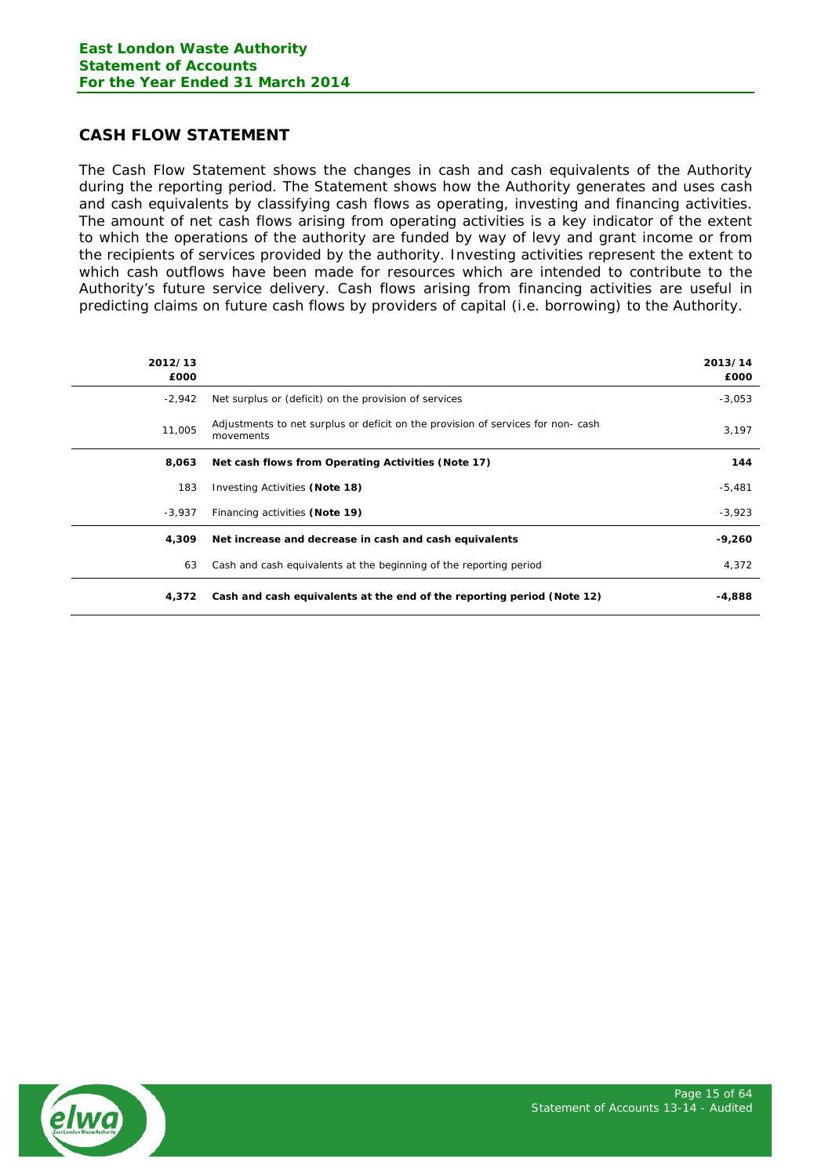# <span id="page-14-0"></span>**CASH FLOW STATEMENT**

The Cash Flow Statement shows the changes in cash and cash equivalents of the Authority during the reporting period. The Statement shows how the Authority generates and uses cash and cash equivalents by classifying cash flows as operating, investing and financing activities. The amount of net cash flows arising from operating activities is a key indicator of the extent to which the operations of the authority are funded by way of levy and grant income or from the recipients of services provided by the authority. Investing activities represent the extent to which cash outflows have been made for resources which are intended to contribute to the Authority's future service delivery. Cash flows arising from financing activities are useful in predicting claims on future cash flows by providers of capital (i.e. borrowing) to the Authority.

| 2012/13<br>£000 |                                                                                               | 2013/14<br>£000 |
|-----------------|-----------------------------------------------------------------------------------------------|-----------------|
| $-2,942$        | Net surplus or (deficit) on the provision of services                                         | $-3,053$        |
| 11,005          | Adjustments to net surplus or deficit on the provision of services for non- cash<br>movements | 3,197           |
| 8,063           | Net cash flows from Operating Activities (Note 17)                                            | 144             |
| 183             | Investing Activities (Note 18)                                                                | $-5,481$        |
| -3.937          | Financing activities (Note 19)                                                                | $-3,923$        |
| 4,309           | Net increase and decrease in cash and cash equivalents                                        | $-9,260$        |
| 63              | Cash and cash equivalents at the beginning of the reporting period                            | 4,372           |
| 4,372           | Cash and cash equivalents at the end of the reporting period (Note 12)                        | -4,888          |

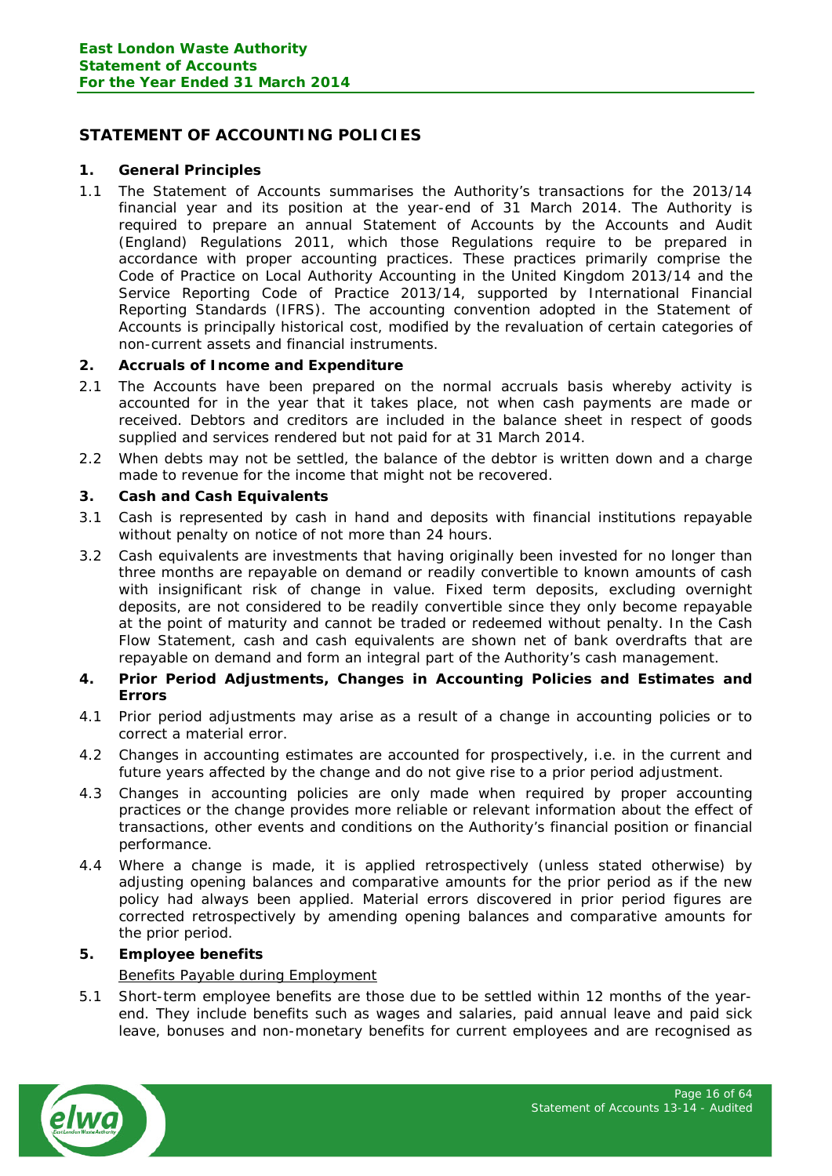# <span id="page-15-0"></span>**STATEMENT OF ACCOUNTING POLICIES**

## **1. General Principles**

1.1 The Statement of Accounts summarises the Authority's transactions for the 2013/14 financial year and its position at the year-end of 31 March 2014. The Authority is required to prepare an annual Statement of Accounts by the Accounts and Audit (England) Regulations 2011, which those Regulations require to be prepared in accordance with proper accounting practices. These practices primarily comprise the *Code of Practice on Local Authority Accounting in the United Kingdom 2013/14* and the *Service Reporting Code of Practice 2013/14*, supported by International Financial Reporting Standards (IFRS). The accounting convention adopted in the Statement of Accounts is principally historical cost, modified by the revaluation of certain categories of non-current assets and financial instruments.

# **2. Accruals of Income and Expenditure**

- 2.1 The Accounts have been prepared on the normal accruals basis whereby activity is accounted for in the year that it takes place, not when cash payments are made or received. Debtors and creditors are included in the balance sheet in respect of goods supplied and services rendered but not paid for at 31 March 2014.
- 2.2 When debts may not be settled, the balance of the debtor is written down and a charge made to revenue for the income that might not be recovered.

# **3. Cash and Cash Equivalents**

- 3.1 Cash is represented by cash in hand and deposits with financial institutions repayable without penalty on notice of not more than 24 hours.
- 3.2 Cash equivalents are investments that having originally been invested for no longer than three months are repayable on demand or readily convertible to known amounts of cash with insignificant risk of change in value. Fixed term deposits, excluding overnight deposits, are not considered to be readily convertible since they only become repayable at the point of maturity and cannot be traded or redeemed without penalty. In the Cash Flow Statement, cash and cash equivalents are shown net of bank overdrafts that are repayable on demand and form an integral part of the Authority's cash management.
- **4. Prior Period Adjustments, Changes in Accounting Policies and Estimates and Errors**
- 4.1 Prior period adjustments may arise as a result of a change in accounting policies or to correct a material error.
- 4.2 Changes in accounting estimates are accounted for prospectively, i.e. in the current and future years affected by the change and do not give rise to a prior period adjustment.
- 4.3 Changes in accounting policies are only made when required by proper accounting practices or the change provides more reliable or relevant information about the effect of transactions, other events and conditions on the Authority's financial position or financial performance.
- 4.4 Where a change is made, it is applied retrospectively (unless stated otherwise) by adjusting opening balances and comparative amounts for the prior period as if the new policy had always been applied. Material errors discovered in prior period figures are corrected retrospectively by amending opening balances and comparative amounts for the prior period.

# **5. Employee benefits**

# Benefits Payable during Employment

5.1 Short-term employee benefits are those due to be settled within 12 months of the yearend. They include benefits such as wages and salaries, paid annual leave and paid sick leave, bonuses and non-monetary benefits for current employees and are recognised as

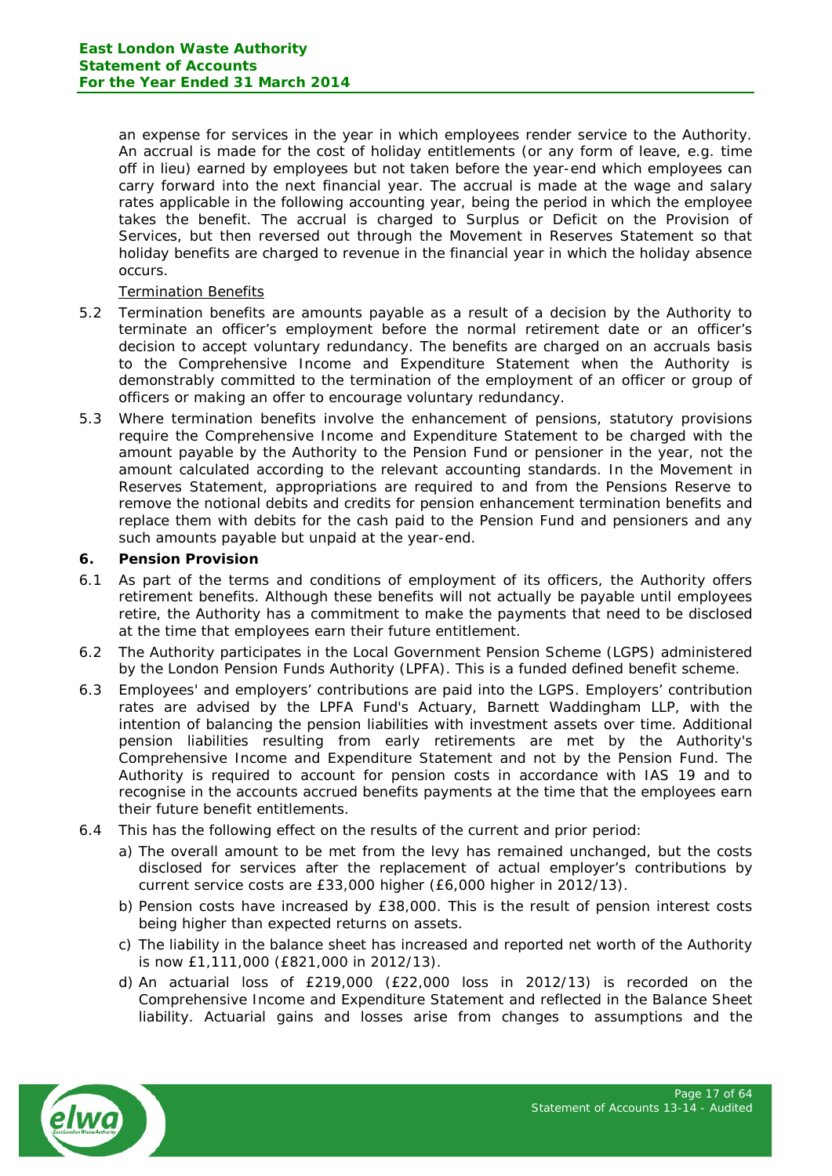an expense for services in the year in which employees render service to the Authority. An accrual is made for the cost of holiday entitlements (or any form of leave, e.g. time off in lieu) earned by employees but not taken before the year-end which employees can carry forward into the next financial year. The accrual is made at the wage and salary rates applicable in the following accounting year, being the period in which the employee takes the benefit. The accrual is charged to Surplus or Deficit on the Provision of Services, but then reversed out through the Movement in Reserves Statement so that holiday benefits are charged to revenue in the financial year in which the holiday absence occurs.

## Termination Benefits

- 5.2 Termination benefits are amounts payable as a result of a decision by the Authority to terminate an officer's employment before the normal retirement date or an officer's decision to accept voluntary redundancy. The benefits are charged on an accruals basis to the Comprehensive Income and Expenditure Statement when the Authority is demonstrably committed to the termination of the employment of an officer or group of officers or making an offer to encourage voluntary redundancy.
- 5.3 Where termination benefits involve the enhancement of pensions, statutory provisions require the Comprehensive Income and Expenditure Statement to be charged with the amount payable by the Authority to the Pension Fund or pensioner in the year, not the amount calculated according to the relevant accounting standards. In the Movement in Reserves Statement, appropriations are required to and from the Pensions Reserve to remove the notional debits and credits for pension enhancement termination benefits and replace them with debits for the cash paid to the Pension Fund and pensioners and any such amounts payable but unpaid at the year-end.

# **6. Pension Provision**

- 6.1 As part of the terms and conditions of employment of its officers, the Authority offers retirement benefits. Although these benefits will not actually be payable until employees retire, the Authority has a commitment to make the payments that need to be disclosed at the time that employees earn their future entitlement.
- 6.2 The Authority participates in the Local Government Pension Scheme (LGPS) administered by the London Pension Funds Authority (LPFA). This is a funded defined benefit scheme.
- 6.3 Employees' and employers' contributions are paid into the LGPS. Employers' contribution rates are advised by the LPFA Fund's Actuary, Barnett Waddingham LLP, with the intention of balancing the pension liabilities with investment assets over time. Additional pension liabilities resulting from early retirements are met by the Authority's Comprehensive Income and Expenditure Statement and not by the Pension Fund. The Authority is required to account for pension costs in accordance with IAS 19 and to recognise in the accounts accrued benefits payments at the time that the employees earn their future benefit entitlements.
- 6.4 This has the following effect on the results of the current and prior period:
	- a) The overall amount to be met from the levy has remained unchanged, but the costs disclosed for services after the replacement of actual employer's contributions by current service costs are £33,000 higher (£6,000 higher in 2012/13).
	- b) Pension costs have increased by £38,000. This is the result of pension interest costs being higher than expected returns on assets.
	- c) The liability in the balance sheet has increased and reported net worth of the Authority is now £1,111,000 (£821,000 in 2012/13).
	- d) An actuarial loss of £219,000 (£22,000 loss in 2012/13) is recorded on the Comprehensive Income and Expenditure Statement and reflected in the Balance Sheet liability. Actuarial gains and losses arise from changes to assumptions and the

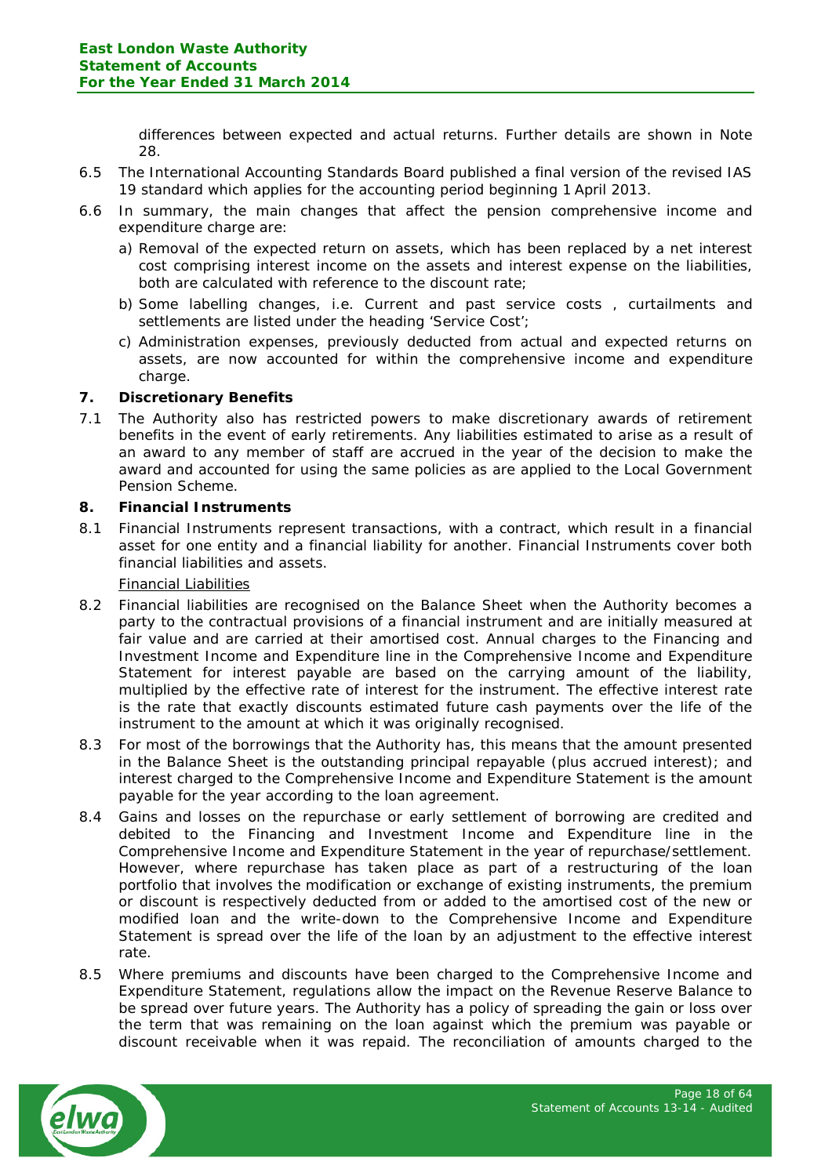differences between expected and actual returns. Further details are shown in Note 28.

- 6.5 The International Accounting Standards Board published a final version of the revised IAS 19 standard which applies for the accounting period beginning 1 April 2013.
- 6.6 In summary, the main changes that affect the pension comprehensive income and expenditure charge are:
	- a) Removal of the expected return on assets, which has been replaced by a net interest cost comprising interest income on the assets and interest expense on the liabilities, both are calculated with reference to the discount rate;
	- b) Some labelling changes, i.e. Current and past service costs , curtailments and settlements are listed under the heading 'Service Cost';
	- c) Administration expenses, previously deducted from actual and expected returns on assets, are now accounted for within the comprehensive income and expenditure charge.

# **7. Discretionary Benefits**

7.1 The Authority also has restricted powers to make discretionary awards of retirement benefits in the event of early retirements. Any liabilities estimated to arise as a result of an award to any member of staff are accrued in the year of the decision to make the award and accounted for using the same policies as are applied to the Local Government Pension Scheme.

## **8. Financial Instruments**

8.1 Financial Instruments represent transactions, with a contract, which result in a financial asset for one entity and a financial liability for another. Financial Instruments cover both financial liabilities and assets.

## Financial Liabilities

- 8.2 Financial liabilities are recognised on the Balance Sheet when the Authority becomes a party to the contractual provisions of a financial instrument and are initially measured at fair value and are carried at their amortised cost. Annual charges to the Financing and Investment Income and Expenditure line in the Comprehensive Income and Expenditure Statement for interest payable are based on the carrying amount of the liability, multiplied by the effective rate of interest for the instrument. The effective interest rate is the rate that exactly discounts estimated future cash payments over the life of the instrument to the amount at which it was originally recognised.
- 8.3 For most of the borrowings that the Authority has, this means that the amount presented in the Balance Sheet is the outstanding principal repayable (plus accrued interest); and interest charged to the Comprehensive Income and Expenditure Statement is the amount payable for the year according to the loan agreement.
- 8.4 Gains and losses on the repurchase or early settlement of borrowing are credited and debited to the Financing and Investment Income and Expenditure line in the Comprehensive Income and Expenditure Statement in the year of repurchase/settlement. However, where repurchase has taken place as part of a restructuring of the loan portfolio that involves the modification or exchange of existing instruments, the premium or discount is respectively deducted from or added to the amortised cost of the new or modified loan and the write-down to the Comprehensive Income and Expenditure Statement is spread over the life of the loan by an adjustment to the effective interest rate.
- 8.5 Where premiums and discounts have been charged to the Comprehensive Income and Expenditure Statement, regulations allow the impact on the Revenue Reserve Balance to be spread over future years. The Authority has a policy of spreading the gain or loss over the term that was remaining on the loan against which the premium was payable or discount receivable when it was repaid. The reconciliation of amounts charged to the

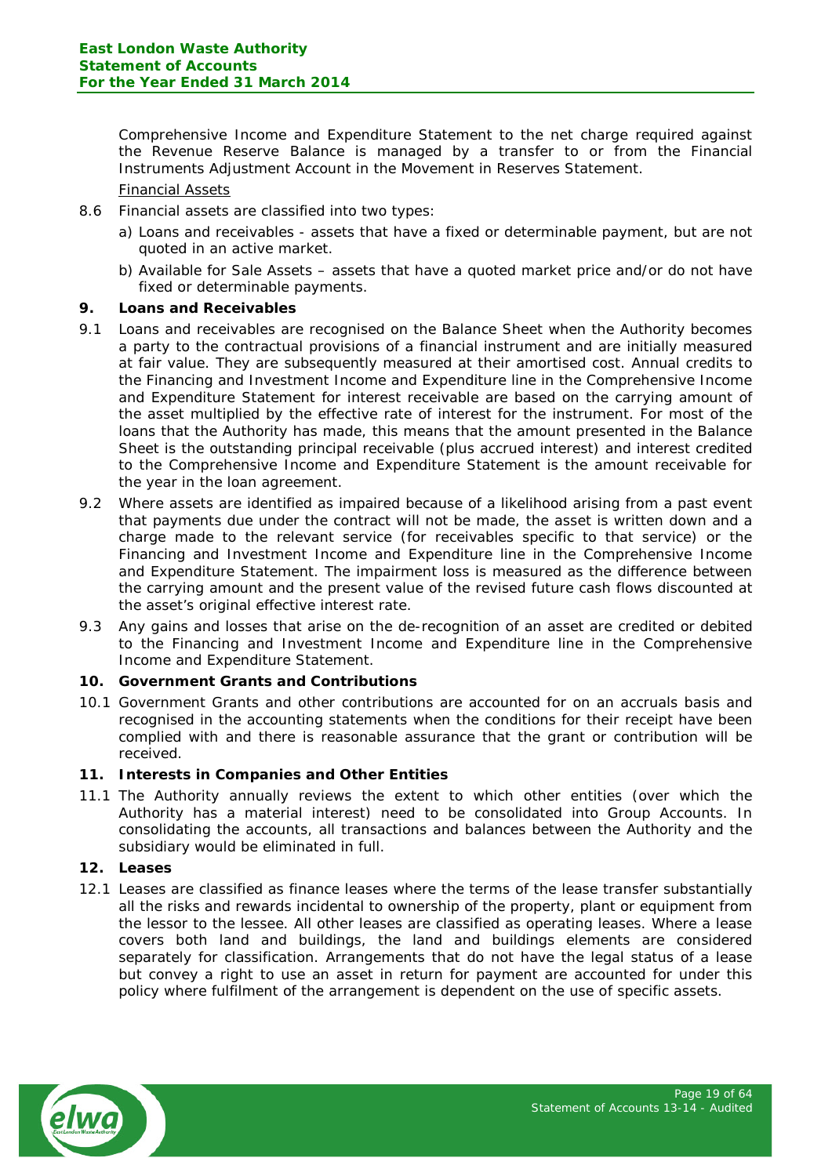Comprehensive Income and Expenditure Statement to the net charge required against the Revenue Reserve Balance is managed by a transfer to or from the Financial Instruments Adjustment Account in the Movement in Reserves Statement.

## Financial Assets

- 8.6 Financial assets are classified into two types:
	- a) Loans and receivables assets that have a fixed or determinable payment, but are not quoted in an active market.
	- b) Available for Sale Assets assets that have a quoted market price and/or do not have fixed or determinable payments.

## **9. Loans and Receivables**

- 9.1 Loans and receivables are recognised on the Balance Sheet when the Authority becomes a party to the contractual provisions of a financial instrument and are initially measured at fair value. They are subsequently measured at their amortised cost. Annual credits to the Financing and Investment Income and Expenditure line in the Comprehensive Income and Expenditure Statement for interest receivable are based on the carrying amount of the asset multiplied by the effective rate of interest for the instrument. For most of the loans that the Authority has made, this means that the amount presented in the Balance Sheet is the outstanding principal receivable (plus accrued interest) and interest credited to the Comprehensive Income and Expenditure Statement is the amount receivable for the year in the loan agreement.
- 9.2 Where assets are identified as impaired because of a likelihood arising from a past event that payments due under the contract will not be made, the asset is written down and a charge made to the relevant service (for receivables specific to that service) or the Financing and Investment Income and Expenditure line in the Comprehensive Income and Expenditure Statement. The impairment loss is measured as the difference between the carrying amount and the present value of the revised future cash flows discounted at the asset's original effective interest rate.
- 9.3 Any gains and losses that arise on the de-recognition of an asset are credited or debited to the Financing and Investment Income and Expenditure line in the Comprehensive Income and Expenditure Statement.

## **10. Government Grants and Contributions**

10.1 Government Grants and other contributions are accounted for on an accruals basis and recognised in the accounting statements when the conditions for their receipt have been complied with and there is reasonable assurance that the grant or contribution will be received.

## **11. Interests in Companies and Other Entities**

11.1 The Authority annually reviews the extent to which other entities (over which the Authority has a material interest) need to be consolidated into Group Accounts. In consolidating the accounts, all transactions and balances between the Authority and the subsidiary would be eliminated in full.

#### **12. Leases**

12.1 Leases are classified as finance leases where the terms of the lease transfer substantially all the risks and rewards incidental to ownership of the property, plant or equipment from the lessor to the lessee. All other leases are classified as operating leases. Where a lease covers both land and buildings, the land and buildings elements are considered separately for classification. Arrangements that do not have the legal status of a lease but convey a right to use an asset in return for payment are accounted for under this policy where fulfilment of the arrangement is dependent on the use of specific assets.

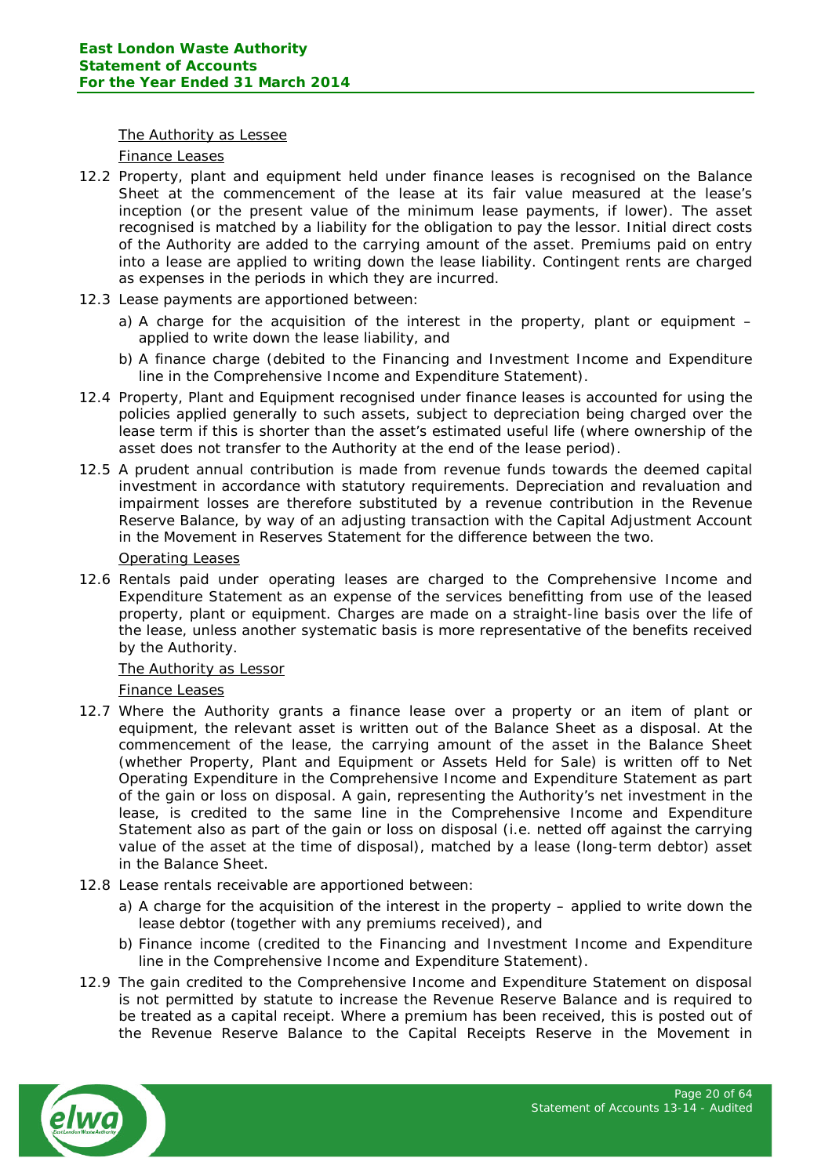#### The Authority as Lessee

#### Finance Leases

- 12.2 Property, plant and equipment held under finance leases is recognised on the Balance Sheet at the commencement of the lease at its fair value measured at the lease's inception (or the present value of the minimum lease payments, if lower). The asset recognised is matched by a liability for the obligation to pay the lessor. Initial direct costs of the Authority are added to the carrying amount of the asset. Premiums paid on entry into a lease are applied to writing down the lease liability. Contingent rents are charged as expenses in the periods in which they are incurred.
- 12.3 Lease payments are apportioned between:
	- a) A charge for the acquisition of the interest in the property, plant or equipment applied to write down the lease liability, and
	- b) A finance charge (debited to the Financing and Investment Income and Expenditure line in the Comprehensive Income and Expenditure Statement).
- 12.4 Property, Plant and Equipment recognised under finance leases is accounted for using the policies applied generally to such assets, subject to depreciation being charged over the lease term if this is shorter than the asset's estimated useful life (where ownership of the asset does not transfer to the Authority at the end of the lease period).
- 12.5 A prudent annual contribution is made from revenue funds towards the deemed capital investment in accordance with statutory requirements. Depreciation and revaluation and impairment losses are therefore substituted by a revenue contribution in the Revenue Reserve Balance, by way of an adjusting transaction with the Capital Adjustment Account in the Movement in Reserves Statement for the difference between the two.

# Operating Leases

12.6 Rentals paid under operating leases are charged to the Comprehensive Income and Expenditure Statement as an expense of the services benefitting from use of the leased property, plant or equipment. Charges are made on a straight-line basis over the life of the lease, unless another systematic basis is more representative of the benefits received by the Authority.

## The Authority as Lessor

## Finance Leases

- 12.7 Where the Authority grants a finance lease over a property or an item of plant or equipment, the relevant asset is written out of the Balance Sheet as a disposal. At the commencement of the lease, the carrying amount of the asset in the Balance Sheet (whether Property, Plant and Equipment or Assets Held for Sale) is written off to Net Operating Expenditure in the Comprehensive Income and Expenditure Statement as part of the gain or loss on disposal. A gain, representing the Authority's net investment in the lease, is credited to the same line in the Comprehensive Income and Expenditure Statement also as part of the gain or loss on disposal (i.e. netted off against the carrying value of the asset at the time of disposal), matched by a lease (long-term debtor) asset in the Balance Sheet.
- 12.8 Lease rentals receivable are apportioned between:
	- a) A charge for the acquisition of the interest in the property applied to write down the lease debtor (together with any premiums received), and
	- b) Finance income (credited to the Financing and Investment Income and Expenditure line in the Comprehensive Income and Expenditure Statement).
- 12.9 The gain credited to the Comprehensive Income and Expenditure Statement on disposal is not permitted by statute to increase the Revenue Reserve Balance and is required to be treated as a capital receipt. Where a premium has been received, this is posted out of the Revenue Reserve Balance to the Capital Receipts Reserve in the Movement in

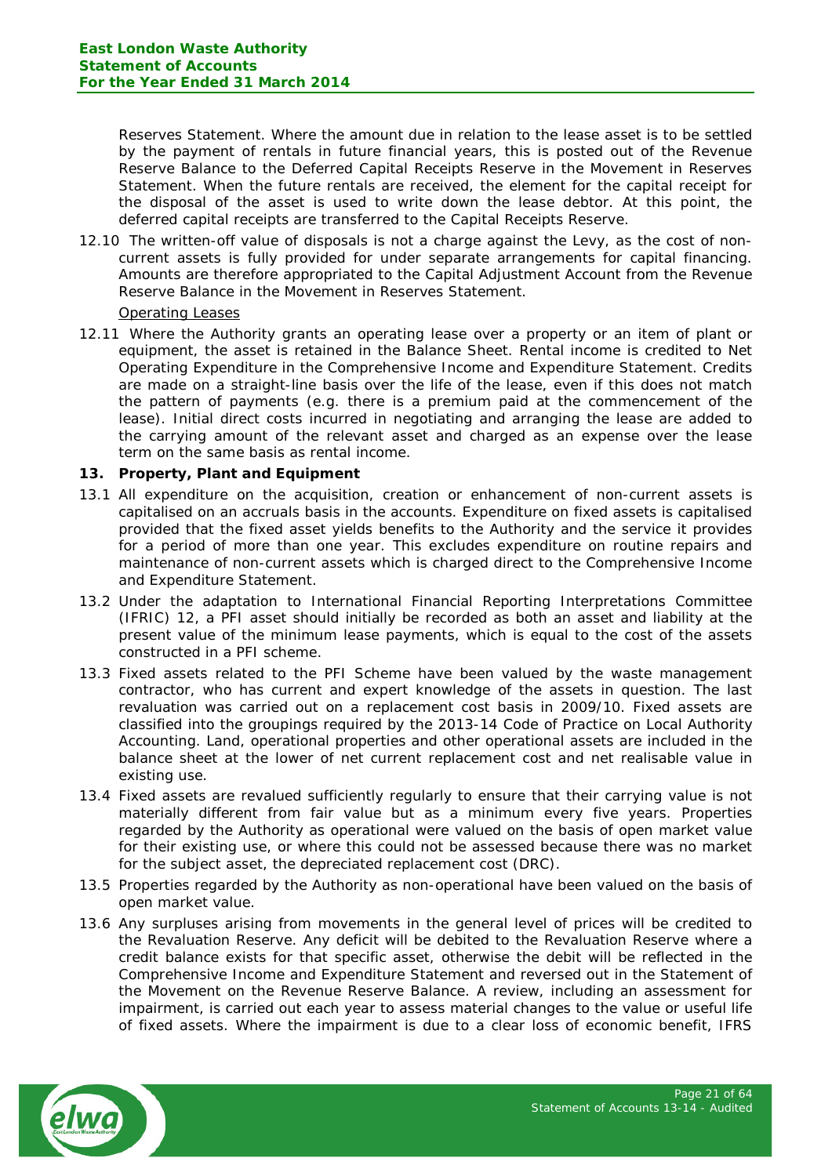Reserves Statement. Where the amount due in relation to the lease asset is to be settled by the payment of rentals in future financial years, this is posted out of the Revenue Reserve Balance to the Deferred Capital Receipts Reserve in the Movement in Reserves Statement. When the future rentals are received, the element for the capital receipt for the disposal of the asset is used to write down the lease debtor. At this point, the deferred capital receipts are transferred to the Capital Receipts Reserve.

12.10 The written-off value of disposals is not a charge against the Levy, as the cost of noncurrent assets is fully provided for under separate arrangements for capital financing. Amounts are therefore appropriated to the Capital Adjustment Account from the Revenue Reserve Balance in the Movement in Reserves Statement.

Operating Leases

12.11 Where the Authority grants an operating lease over a property or an item of plant or equipment, the asset is retained in the Balance Sheet. Rental income is credited to Net Operating Expenditure in the Comprehensive Income and Expenditure Statement. Credits are made on a straight-line basis over the life of the lease, even if this does not match the pattern of payments (e.g. there is a premium paid at the commencement of the lease). Initial direct costs incurred in negotiating and arranging the lease are added to the carrying amount of the relevant asset and charged as an expense over the lease term on the same basis as rental income.

# **13. Property, Plant and Equipment**

- 13.1 All expenditure on the acquisition, creation or enhancement of non-current assets is capitalised on an accruals basis in the accounts. Expenditure on fixed assets is capitalised provided that the fixed asset yields benefits to the Authority and the service it provides for a period of more than one year. This excludes expenditure on routine repairs and maintenance of non-current assets which is charged direct to the Comprehensive Income and Expenditure Statement.
- 13.2 Under the adaptation to International Financial Reporting Interpretations Committee (IFRIC) 12, a PFI asset should initially be recorded as both an asset and liability at the present value of the minimum lease payments, which is equal to the cost of the assets constructed in a PFI scheme.
- 13.3 Fixed assets related to the PFI Scheme have been valued by the waste management contractor, who has current and expert knowledge of the assets in question. The last revaluation was carried out on a replacement cost basis in 2009/10. Fixed assets are classified into the groupings required by the 2013-14 Code of Practice on Local Authority Accounting. Land, operational properties and other operational assets are included in the balance sheet at the lower of net current replacement cost and net realisable value in existing use.
- 13.4 Fixed assets are revalued sufficiently regularly to ensure that their carrying value is not materially different from fair value but as a minimum every five years. Properties regarded by the Authority as operational were valued on the basis of open market value for their existing use, or where this could not be assessed because there was no market for the subject asset, the depreciated replacement cost (DRC).
- 13.5 Properties regarded by the Authority as non-operational have been valued on the basis of open market value.
- 13.6 Any surpluses arising from movements in the general level of prices will be credited to the Revaluation Reserve. Any deficit will be debited to the Revaluation Reserve where a credit balance exists for that specific asset, otherwise the debit will be reflected in the Comprehensive Income and Expenditure Statement and reversed out in the Statement of the Movement on the Revenue Reserve Balance. A review, including an assessment for impairment, is carried out each year to assess material changes to the value or useful life of fixed assets. Where the impairment is due to a clear loss of economic benefit, IFRS

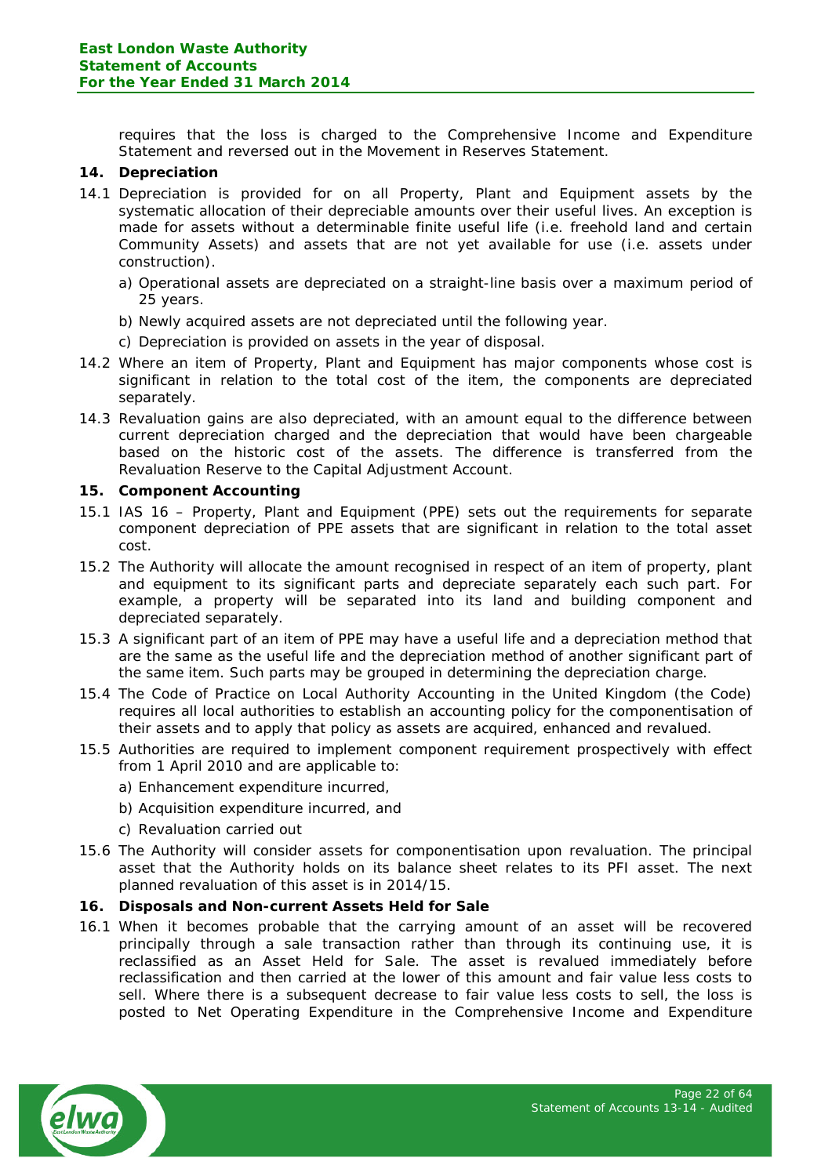requires that the loss is charged to the Comprehensive Income and Expenditure Statement and reversed out in the Movement in Reserves Statement.

## **14. Depreciation**

- 14.1 Depreciation is provided for on all Property, Plant and Equipment assets by the systematic allocation of their depreciable amounts over their useful lives. An exception is made for assets without a determinable finite useful life (i.e. freehold land and certain Community Assets) and assets that are not yet available for use (i.e. assets under construction).
	- a) Operational assets are depreciated on a straight-line basis over a maximum period of 25 years.
	- b) Newly acquired assets are not depreciated until the following year.
	- c) Depreciation is provided on assets in the year of disposal.
- 14.2 Where an item of Property, Plant and Equipment has major components whose cost is significant in relation to the total cost of the item, the components are depreciated separately.
- 14.3 Revaluation gains are also depreciated, with an amount equal to the difference between current depreciation charged and the depreciation that would have been chargeable based on the historic cost of the assets. The difference is transferred from the Revaluation Reserve to the Capital Adjustment Account.

#### **15. Component Accounting**

- 15.1 IAS 16 Property, Plant and Equipment (PPE) sets out the requirements for separate component depreciation of PPE assets that are significant in relation to the total asset cost.
- 15.2 The Authority will allocate the amount recognised in respect of an item of property, plant and equipment to its significant parts and depreciate separately each such part. For example, a property will be separated into its land and building component and depreciated separately.
- 15.3 A significant part of an item of PPE may have a useful life and a depreciation method that are the same as the useful life and the depreciation method of another significant part of the same item. Such parts may be grouped in determining the depreciation charge.
- 15.4 The Code of Practice on Local Authority Accounting in the United Kingdom (the Code) requires all local authorities to establish an accounting policy for the componentisation of their assets and to apply that policy as assets are acquired, enhanced and revalued.
- 15.5 Authorities are required to implement component requirement prospectively with effect from 1 April 2010 and are applicable to:
	- a) Enhancement expenditure incurred,
	- b) Acquisition expenditure incurred, and
	- c) Revaluation carried out
- 15.6 The Authority will consider assets for componentisation upon revaluation. The principal asset that the Authority holds on its balance sheet relates to its PFI asset. The next planned revaluation of this asset is in 2014/15.

#### **16. Disposals and Non-current Assets Held for Sale**

16.1 When it becomes probable that the carrying amount of an asset will be recovered principally through a sale transaction rather than through its continuing use, it is reclassified as an Asset Held for Sale. The asset is revalued immediately before reclassification and then carried at the lower of this amount and fair value less costs to sell. Where there is a subsequent decrease to fair value less costs to sell, the loss is posted to Net Operating Expenditure in the Comprehensive Income and Expenditure

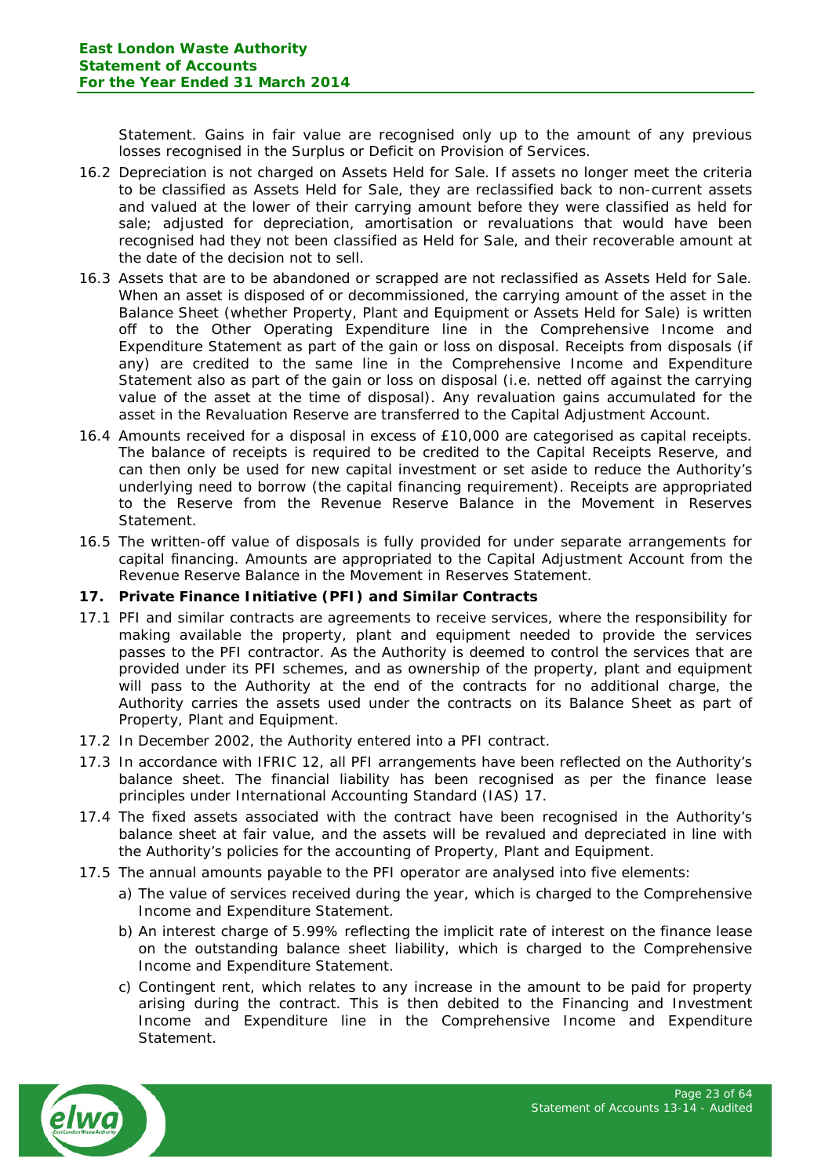Statement. Gains in fair value are recognised only up to the amount of any previous losses recognised in the Surplus or Deficit on Provision of Services.

- 16.2 Depreciation is not charged on Assets Held for Sale. If assets no longer meet the criteria to be classified as Assets Held for Sale, they are reclassified back to non-current assets and valued at the lower of their carrying amount before they were classified as held for sale; adjusted for depreciation, amortisation or revaluations that would have been recognised had they not been classified as Held for Sale, and their recoverable amount at the date of the decision not to sell.
- 16.3 Assets that are to be abandoned or scrapped are not reclassified as Assets Held for Sale. When an asset is disposed of or decommissioned, the carrying amount of the asset in the Balance Sheet (whether Property, Plant and Equipment or Assets Held for Sale) is written off to the Other Operating Expenditure line in the Comprehensive Income and Expenditure Statement as part of the gain or loss on disposal. Receipts from disposals (if any) are credited to the same line in the Comprehensive Income and Expenditure Statement also as part of the gain or loss on disposal (i.e. netted off against the carrying value of the asset at the time of disposal). Any revaluation gains accumulated for the asset in the Revaluation Reserve are transferred to the Capital Adjustment Account.
- 16.4 Amounts received for a disposal in excess of £10,000 are categorised as capital receipts. The balance of receipts is required to be credited to the Capital Receipts Reserve, and can then only be used for new capital investment or set aside to reduce the Authority's underlying need to borrow (the capital financing requirement). Receipts are appropriated to the Reserve from the Revenue Reserve Balance in the Movement in Reserves Statement.
- 16.5 The written-off value of disposals is fully provided for under separate arrangements for capital financing. Amounts are appropriated to the Capital Adjustment Account from the Revenue Reserve Balance in the Movement in Reserves Statement.

## **17. Private Finance Initiative (PFI) and Similar Contracts**

- 17.1 PFI and similar contracts are agreements to receive services, where the responsibility for making available the property, plant and equipment needed to provide the services passes to the PFI contractor. As the Authority is deemed to control the services that are provided under its PFI schemes, and as ownership of the property, plant and equipment will pass to the Authority at the end of the contracts for no additional charge, the Authority carries the assets used under the contracts on its Balance Sheet as part of Property, Plant and Equipment.
- 17.2 In December 2002, the Authority entered into a PFI contract.
- 17.3 In accordance with IFRIC 12, all PFI arrangements have been reflected on the Authority's balance sheet. The financial liability has been recognised as per the finance lease principles under International Accounting Standard (IAS) 17.
- 17.4 The fixed assets associated with the contract have been recognised in the Authority's balance sheet at fair value, and the assets will be revalued and depreciated in line with the Authority's policies for the accounting of Property, Plant and Equipment.
- 17.5 The annual amounts payable to the PFI operator are analysed into five elements:
	- a) The value of services received during the year, which is charged to the Comprehensive Income and Expenditure Statement.
	- b) An interest charge of 5.99% reflecting the implicit rate of interest on the finance lease on the outstanding balance sheet liability, which is charged to the Comprehensive Income and Expenditure Statement.
	- c) Contingent rent, which relates to any increase in the amount to be paid for property arising during the contract. This is then debited to the Financing and Investment Income and Expenditure line in the Comprehensive Income and Expenditure Statement.

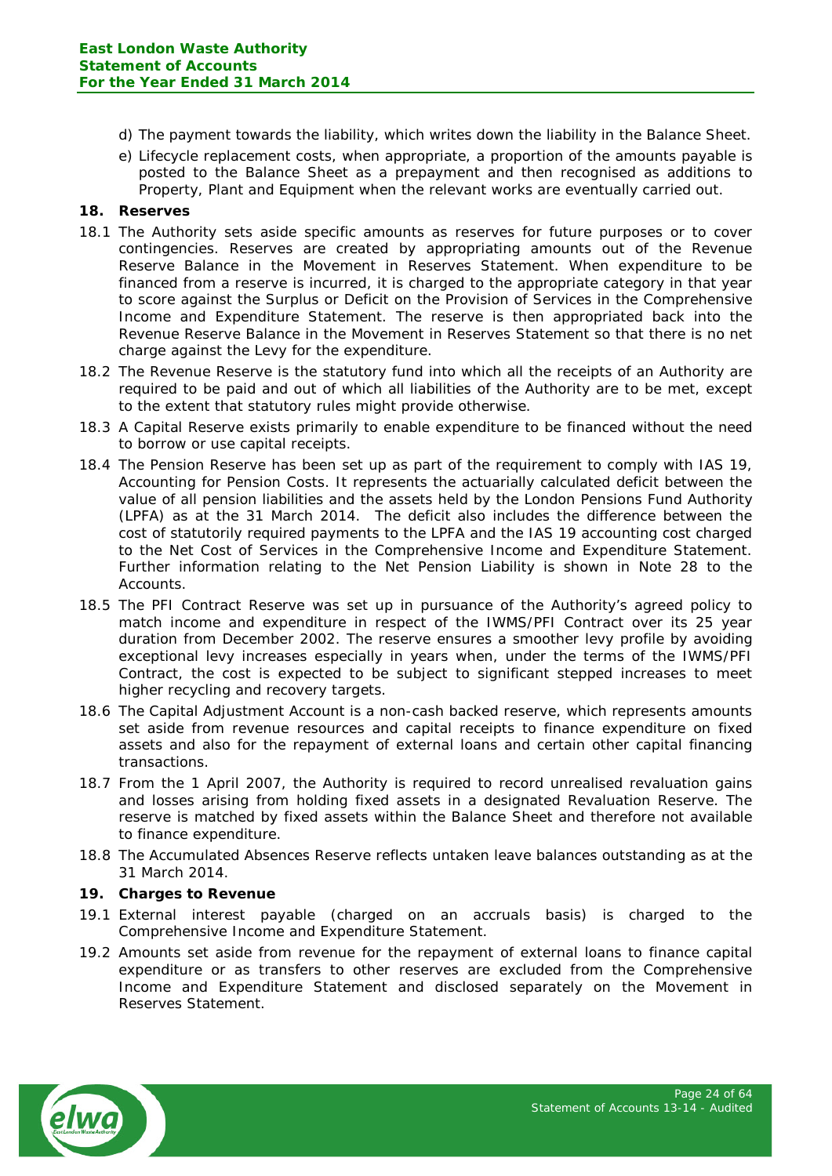- d) The payment towards the liability, which writes down the liability in the Balance Sheet.
- e) Lifecycle replacement costs, when appropriate, a proportion of the amounts payable is posted to the Balance Sheet as a prepayment and then recognised as additions to Property, Plant and Equipment when the relevant works are eventually carried out.

# **18. Reserves**

- 18.1 The Authority sets aside specific amounts as reserves for future purposes or to cover contingencies. Reserves are created by appropriating amounts out of the Revenue Reserve Balance in the Movement in Reserves Statement. When expenditure to be financed from a reserve is incurred, it is charged to the appropriate category in that year to score against the Surplus or Deficit on the Provision of Services in the Comprehensive Income and Expenditure Statement. The reserve is then appropriated back into the Revenue Reserve Balance in the Movement in Reserves Statement so that there is no net charge against the Levy for the expenditure.
- 18.2 The Revenue Reserve is the statutory fund into which all the receipts of an Authority are required to be paid and out of which all liabilities of the Authority are to be met, except to the extent that statutory rules might provide otherwise.
- 18.3 A Capital Reserve exists primarily to enable expenditure to be financed without the need to borrow or use capital receipts.
- 18.4 The Pension Reserve has been set up as part of the requirement to comply with IAS 19, Accounting for Pension Costs. It represents the actuarially calculated deficit between the value of all pension liabilities and the assets held by the London Pensions Fund Authority (LPFA) as at the 31 March 2014. The deficit also includes the difference between the cost of statutorily required payments to the LPFA and the IAS 19 accounting cost charged to the Net Cost of Services in the Comprehensive Income and Expenditure Statement. Further information relating to the Net Pension Liability is shown in Note 28 to the Accounts.
- 18.5 The PFI Contract Reserve was set up in pursuance of the Authority's agreed policy to match income and expenditure in respect of the IWMS/PFI Contract over its 25 year duration from December 2002. The reserve ensures a smoother levy profile by avoiding exceptional levy increases especially in years when, under the terms of the IWMS/PFI Contract, the cost is expected to be subject to significant stepped increases to meet higher recycling and recovery targets.
- 18.6 The Capital Adjustment Account is a non-cash backed reserve, which represents amounts set aside from revenue resources and capital receipts to finance expenditure on fixed assets and also for the repayment of external loans and certain other capital financing transactions.
- 18.7 From the 1 April 2007, the Authority is required to record unrealised revaluation gains and losses arising from holding fixed assets in a designated Revaluation Reserve. The reserve is matched by fixed assets within the Balance Sheet and therefore not available to finance expenditure.
- 18.8 The Accumulated Absences Reserve reflects untaken leave balances outstanding as at the 31 March 2014.

## **19. Charges to Revenue**

- 19.1 External interest payable (charged on an accruals basis) is charged to the Comprehensive Income and Expenditure Statement.
- 19.2 Amounts set aside from revenue for the repayment of external loans to finance capital expenditure or as transfers to other reserves are excluded from the Comprehensive Income and Expenditure Statement and disclosed separately on the Movement in Reserves Statement.

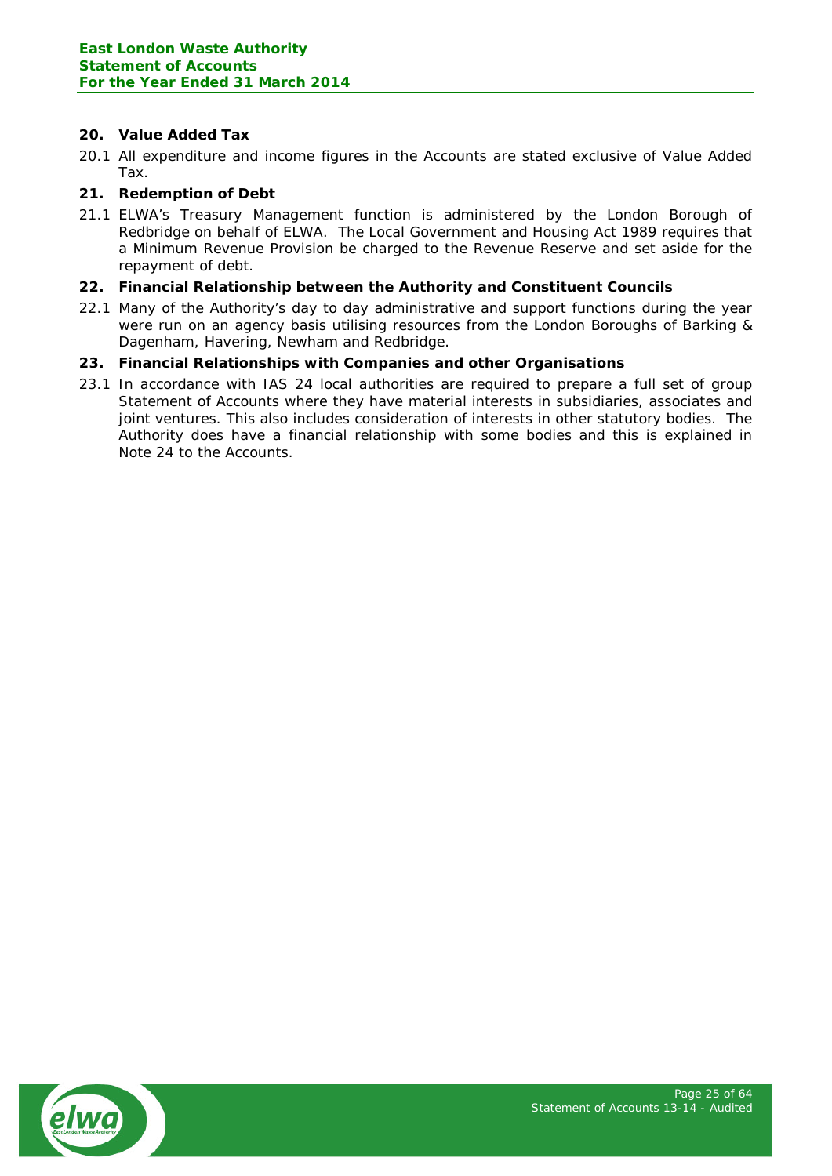# **20. Value Added Tax**

20.1 All expenditure and income figures in the Accounts are stated exclusive of Value Added Tax.

# **21. Redemption of Debt**

21.1 ELWA's Treasury Management function is administered by the London Borough of Redbridge on behalf of ELWA. The Local Government and Housing Act 1989 requires that a Minimum Revenue Provision be charged to the Revenue Reserve and set aside for the repayment of debt.

# **22. Financial Relationship between the Authority and Constituent Councils**

22.1 Many of the Authority's day to day administrative and support functions during the year were run on an agency basis utilising resources from the London Boroughs of Barking & Dagenham, Havering, Newham and Redbridge.

# **23. Financial Relationships with Companies and other Organisations**

23.1 In accordance with IAS 24 local authorities are required to prepare a full set of group Statement of Accounts where they have material interests in subsidiaries, associates and joint ventures. This also includes consideration of interests in other statutory bodies. The Authority does have a financial relationship with some bodies and this is explained in Note 24 to the Accounts.

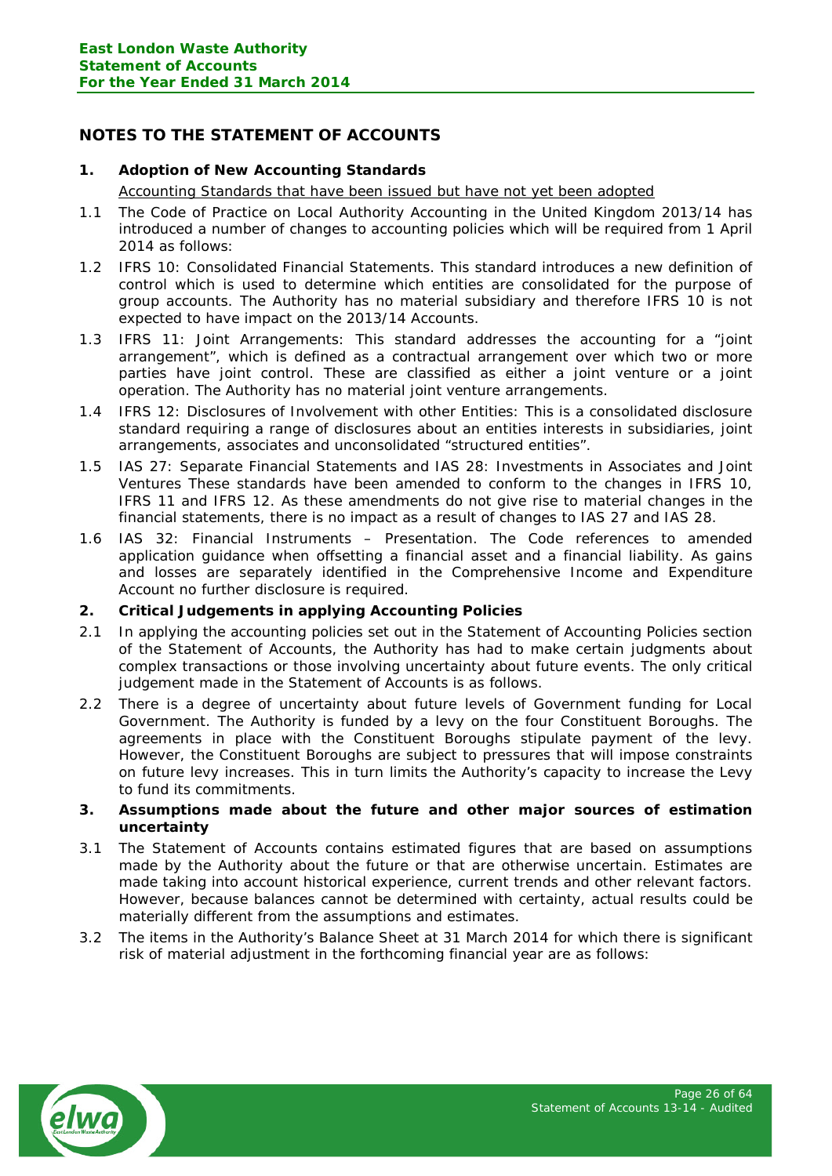# <span id="page-25-0"></span>**NOTES TO THE STATEMENT OF ACCOUNTS**

## **1. Adoption of New Accounting Standards**

Accounting Standards that have been issued but have not yet been adopted

- 1.1 The Code of Practice on Local Authority Accounting in the United Kingdom 2013/14 has introduced a number of changes to accounting policies which will be required from 1 April 2014 as follows:
- 1.2 IFRS 10: Consolidated Financial Statements. This standard introduces a new definition of control which is used to determine which entities are consolidated for the purpose of group accounts. The Authority has no material subsidiary and therefore IFRS 10 is not expected to have impact on the 2013/14 Accounts.
- 1.3 IFRS 11: Joint Arrangements: This standard addresses the accounting for a "joint arrangement", which is defined as a contractual arrangement over which two or more parties have joint control. These are classified as either a joint venture or a joint operation. The Authority has no material joint venture arrangements.
- 1.4 IFRS 12: Disclosures of Involvement with other Entities: This is a consolidated disclosure standard requiring a range of disclosures about an entities interests in subsidiaries, joint arrangements, associates and unconsolidated "structured entities".
- 1.5 IAS 27: Separate Financial Statements and IAS 28: Investments in Associates and Joint Ventures These standards have been amended to conform to the changes in IFRS 10, IFRS 11 and IFRS 12. As these amendments do not give rise to material changes in the financial statements, there is no impact as a result of changes to IAS 27 and IAS 28.
- 1.6 IAS 32: Financial Instruments Presentation. The Code references to amended application guidance when offsetting a financial asset and a financial liability. As gains and losses are separately identified in the Comprehensive Income and Expenditure Account no further disclosure is required.

## **2. Critical Judgements in applying Accounting Policies**

- 2.1 In applying the accounting policies set out in the Statement of Accounting Policies section of the Statement of Accounts, the Authority has had to make certain judgments about complex transactions or those involving uncertainty about future events. The only critical judgement made in the Statement of Accounts is as follows.
- 2.2 There is a degree of uncertainty about future levels of Government funding for Local Government. The Authority is funded by a levy on the four Constituent Boroughs. The agreements in place with the Constituent Boroughs stipulate payment of the levy. However, the Constituent Boroughs are subject to pressures that will impose constraints on future levy increases. This in turn limits the Authority's capacity to increase the Levy to fund its commitments.

#### **3. Assumptions made about the future and other major sources of estimation uncertainty**

- 3.1 The Statement of Accounts contains estimated figures that are based on assumptions made by the Authority about the future or that are otherwise uncertain. Estimates are made taking into account historical experience, current trends and other relevant factors. However, because balances cannot be determined with certainty, actual results could be materially different from the assumptions and estimates.
- 3.2 The items in the Authority's Balance Sheet at 31 March 2014 for which there is significant risk of material adjustment in the forthcoming financial year are as follows:

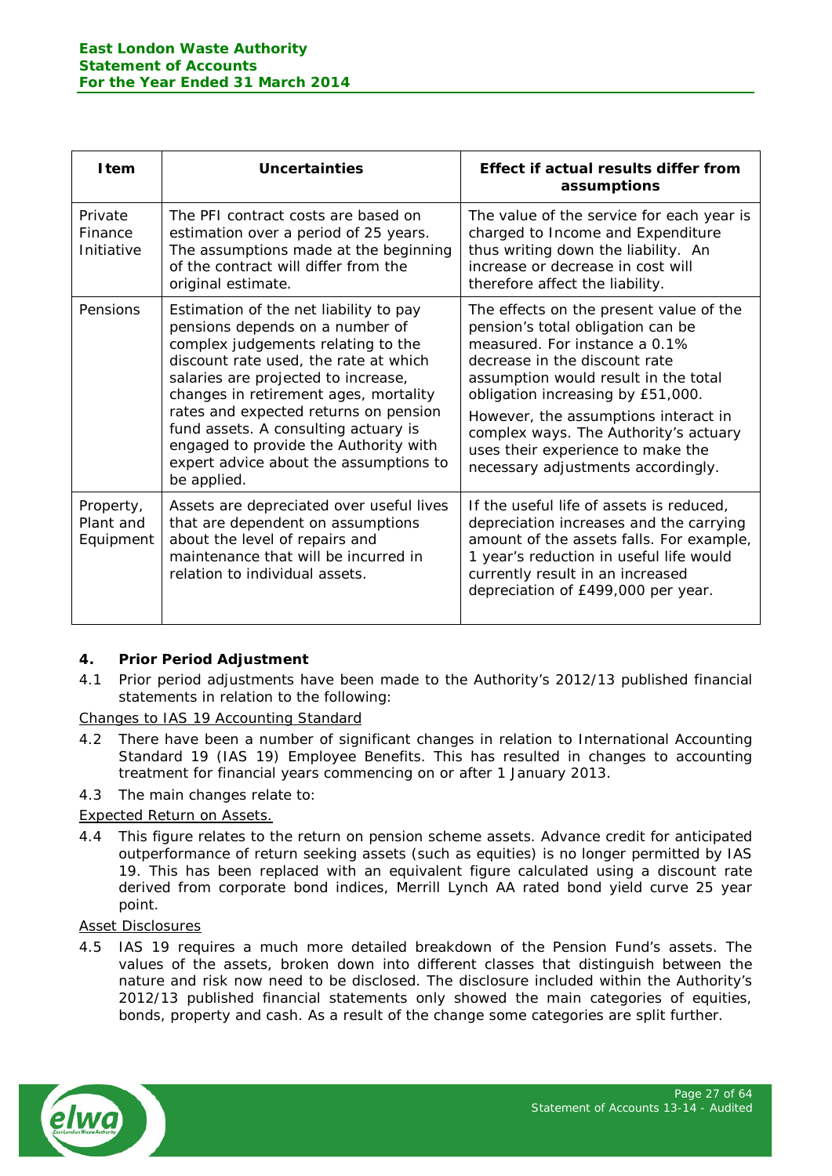| <b>I</b> tem                        | Uncertainties                                                                                                                                                                                                                                                                                                                                                                                                               | Effect if actual results differ from<br>assumptions                                                                                                                                                                                                                                                                                                                                     |
|-------------------------------------|-----------------------------------------------------------------------------------------------------------------------------------------------------------------------------------------------------------------------------------------------------------------------------------------------------------------------------------------------------------------------------------------------------------------------------|-----------------------------------------------------------------------------------------------------------------------------------------------------------------------------------------------------------------------------------------------------------------------------------------------------------------------------------------------------------------------------------------|
| Private<br>Finance<br>Initiative    | The PFI contract costs are based on<br>estimation over a period of 25 years.<br>The assumptions made at the beginning<br>of the contract will differ from the<br>original estimate.                                                                                                                                                                                                                                         | The value of the service for each year is<br>charged to Income and Expenditure<br>thus writing down the liability. An<br>increase or decrease in cost will<br>therefore affect the liability.                                                                                                                                                                                           |
| Pensions                            | Estimation of the net liability to pay<br>pensions depends on a number of<br>complex judgements relating to the<br>discount rate used, the rate at which<br>salaries are projected to increase,<br>changes in retirement ages, mortality<br>rates and expected returns on pension<br>fund assets. A consulting actuary is<br>engaged to provide the Authority with<br>expert advice about the assumptions to<br>be applied. | The effects on the present value of the<br>pension's total obligation can be<br>measured. For instance a 0.1%<br>decrease in the discount rate<br>assumption would result in the total<br>obligation increasing by £51,000.<br>However, the assumptions interact in<br>complex ways. The Authority's actuary<br>uses their experience to make the<br>necessary adjustments accordingly. |
| Property,<br>Plant and<br>Equipment | Assets are depreciated over useful lives<br>that are dependent on assumptions<br>about the level of repairs and<br>maintenance that will be incurred in<br>relation to individual assets.                                                                                                                                                                                                                                   | If the useful life of assets is reduced,<br>depreciation increases and the carrying<br>amount of the assets falls. For example,<br>1 year's reduction in useful life would<br>currently result in an increased<br>depreciation of £499,000 per year.                                                                                                                                    |

# **4. Prior Period Adjustment**

4.1 Prior period adjustments have been made to the Authority's 2012/13 published financial statements in relation to the following:

Changes to IAS 19 Accounting Standard

4.2 There have been a number of significant changes in relation to International Accounting Standard 19 (IAS 19) Employee Benefits. This has resulted in changes to accounting treatment for financial years commencing on or after 1 January 2013.

4.3 The main changes relate to:

## Expected Return on Assets.

4.4 This figure relates to the return on pension scheme assets. Advance credit for anticipated outperformance of return seeking assets (such as equities) is no longer permitted by IAS 19. This has been replaced with an equivalent figure calculated using a discount rate derived from corporate bond indices, Merrill Lynch AA rated bond yield curve 25 year point.

# Asset Disclosures

4.5 IAS 19 requires a much more detailed breakdown of the Pension Fund's assets. The values of the assets, broken down into different classes that distinguish between the nature and risk now need to be disclosed. The disclosure included within the Authority's 2012/13 published financial statements only showed the main categories of equities, bonds, property and cash. As a result of the change some categories are split further.

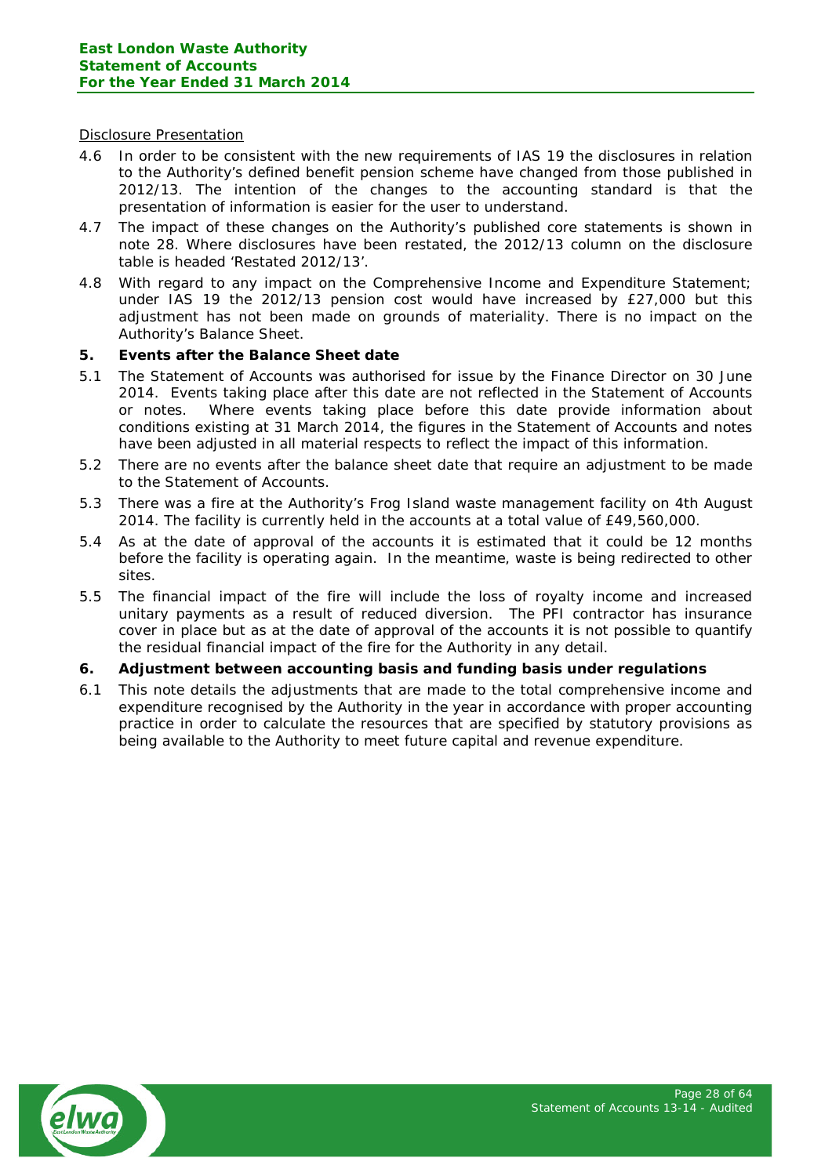#### Disclosure Presentation

- 4.6 In order to be consistent with the new requirements of IAS 19 the disclosures in relation to the Authority's defined benefit pension scheme have changed from those published in 2012/13. The intention of the changes to the accounting standard is that the presentation of information is easier for the user to understand.
- 4.7 The impact of these changes on the Authority's published core statements is shown in note 28. Where disclosures have been restated, the 2012/13 column on the disclosure table is headed 'Restated 2012/13'.
- 4.8 With regard to any impact on the Comprehensive Income and Expenditure Statement; under IAS 19 the 2012/13 pension cost would have increased by £27,000 but this adjustment has not been made on grounds of materiality. There is no impact on the Authority's Balance Sheet.

## **5. Events after the Balance Sheet date**

- 5.1 The Statement of Accounts was authorised for issue by the Finance Director on 30 June 2014. Events taking place after this date are not reflected in the Statement of Accounts or notes. Where events taking place before this date provide information about conditions existing at 31 March 2014, the figures in the Statement of Accounts and notes have been adjusted in all material respects to reflect the impact of this information.
- 5.2 There are no events after the balance sheet date that require an adjustment to be made to the Statement of Accounts.
- 5.3 There was a fire at the Authority's Frog Island waste management facility on 4th August 2014. The facility is currently held in the accounts at a total value of £49,560,000.
- 5.4 As at the date of approval of the accounts it is estimated that it could be 12 months before the facility is operating again. In the meantime, waste is being redirected to other sites.
- 5.5 The financial impact of the fire will include the loss of royalty income and increased unitary payments as a result of reduced diversion. The PFI contractor has insurance cover in place but as at the date of approval of the accounts it is not possible to quantify the residual financial impact of the fire for the Authority in any detail.

## **6. Adjustment between accounting basis and funding basis under regulations**

6.1 This note details the adjustments that are made to the total comprehensive income and expenditure recognised by the Authority in the year in accordance with proper accounting practice in order to calculate the resources that are specified by statutory provisions as being available to the Authority to meet future capital and revenue expenditure.

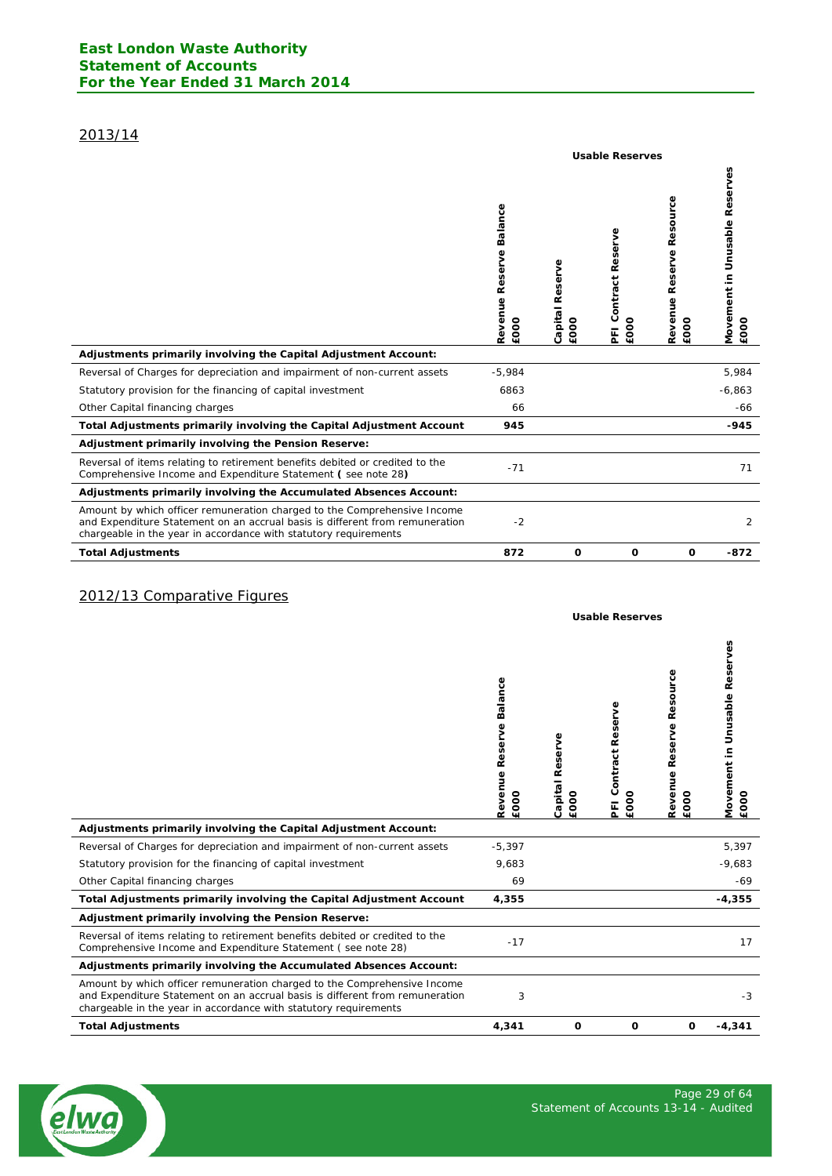# 2013/14

|                                                                                                                                                                                                                              | <b>Usable Reserves</b>             |                         |                                      |                                        |                                                 |  |
|------------------------------------------------------------------------------------------------------------------------------------------------------------------------------------------------------------------------------|------------------------------------|-------------------------|--------------------------------------|----------------------------------------|-------------------------------------------------|--|
|                                                                                                                                                                                                                              | Balance<br>Revenue Reserve<br>£000 | Capital Reserve<br>£000 | eserve<br>∝<br>Contract<br>£000<br>E | Resource<br>Reserve<br>Revenue<br>£000 | Unusable Reserves<br><b>Movement</b> in<br>£000 |  |
| Adjustments primarily involving the Capital Adjustment Account:                                                                                                                                                              |                                    |                         |                                      |                                        |                                                 |  |
| Reversal of Charges for depreciation and impairment of non-current assets                                                                                                                                                    | $-5,984$                           |                         |                                      |                                        | 5,984                                           |  |
| Statutory provision for the financing of capital investment                                                                                                                                                                  | 6863                               |                         |                                      |                                        | $-6,863$                                        |  |
| Other Capital financing charges                                                                                                                                                                                              | 66                                 |                         |                                      |                                        | -66                                             |  |
| Total Adjustments primarily involving the Capital Adjustment Account                                                                                                                                                         | 945                                |                         |                                      |                                        | $-945$                                          |  |
| Adjustment primarily involving the Pension Reserve:                                                                                                                                                                          |                                    |                         |                                      |                                        |                                                 |  |
| Reversal of items relating to retirement benefits debited or credited to the<br>Comprehensive Income and Expenditure Statement (see note 28)                                                                                 | $-71$                              |                         |                                      |                                        | 71                                              |  |
| Adjustments primarily involving the Accumulated Absences Account:                                                                                                                                                            |                                    |                         |                                      |                                        |                                                 |  |
| Amount by which officer remuneration charged to the Comprehensive Income<br>and Expenditure Statement on an accrual basis is different from remuneration<br>chargeable in the year in accordance with statutory requirements | $-2$                               |                         |                                      |                                        | 2                                               |  |
| <b>Total Adjustments</b>                                                                                                                                                                                                     | 872                                | 0                       | O                                    | O                                      | $-872$                                          |  |

# 2012/13 Comparative Figures

|                                                                                                                                                                                                                              | Balance<br>Revenue Reserve<br>£000 | Capital Reserve<br>£000 | Contract Reserve<br>£000<br>돈 | Resource<br>Reserve<br>Revenue<br>£000 | Š<br><b>Unusable Res</b><br>Movement in<br>EOOO |
|------------------------------------------------------------------------------------------------------------------------------------------------------------------------------------------------------------------------------|------------------------------------|-------------------------|-------------------------------|----------------------------------------|-------------------------------------------------|
| Adjustments primarily involving the Capital Adjustment Account:                                                                                                                                                              |                                    |                         |                               |                                        |                                                 |
| Reversal of Charges for depreciation and impairment of non-current assets                                                                                                                                                    | $-5,397$                           |                         |                               |                                        | 5,397                                           |
| Statutory provision for the financing of capital investment                                                                                                                                                                  | 9,683                              |                         |                               |                                        | $-9,683$                                        |
| Other Capital financing charges                                                                                                                                                                                              | 69                                 |                         |                               |                                        | $-69$                                           |
| Total Adjustments primarily involving the Capital Adjustment Account                                                                                                                                                         | 4,355                              |                         |                               |                                        | $-4,355$                                        |
| Adjustment primarily involving the Pension Reserve:                                                                                                                                                                          |                                    |                         |                               |                                        |                                                 |
| Reversal of items relating to retirement benefits debited or credited to the<br>Comprehensive Income and Expenditure Statement (see note 28)                                                                                 | $-17$                              |                         |                               |                                        | 17                                              |
| Adjustments primarily involving the Accumulated Absences Account:                                                                                                                                                            |                                    |                         |                               |                                        |                                                 |
| Amount by which officer remuneration charged to the Comprehensive Income<br>and Expenditure Statement on an accrual basis is different from remuneration<br>chargeable in the year in accordance with statutory requirements | 3                                  |                         |                               |                                        | $-3$                                            |
| <b>Total Adjustments</b>                                                                                                                                                                                                     | 4,341                              | O                       | 0                             | 0                                      | $-4,341$                                        |



**Usable Reserves**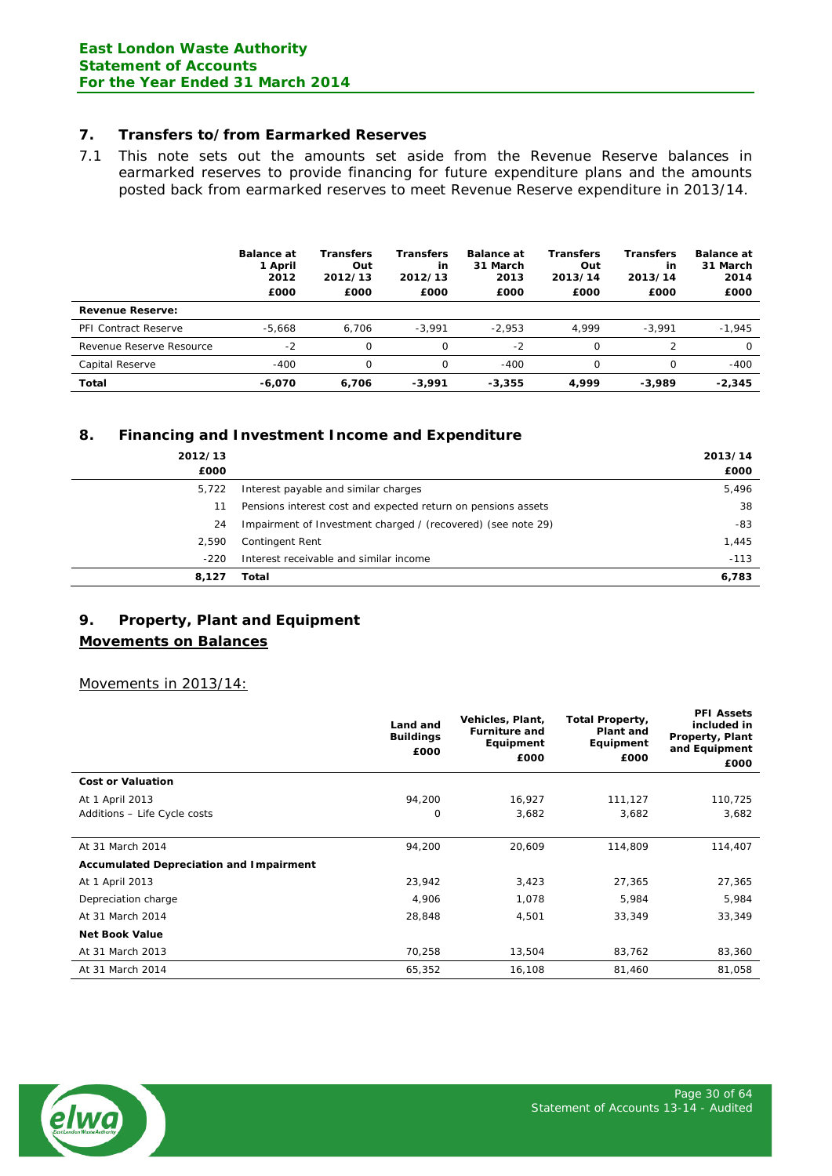## **7. Transfers to/from Earmarked Reserves**

7.1 This note sets out the amounts set aside from the Revenue Reserve balances in earmarked reserves to provide financing for future expenditure plans and the amounts posted back from earmarked reserves to meet Revenue Reserve expenditure in 2013/14.

|                             | <b>Balance at</b><br>1 April<br>2012<br>£000 | Transfers<br>Out<br>2012/13<br>£000 | Transfers<br>in<br>2012/13<br>£000 | <b>Balance at</b><br>31 March<br>2013<br>£000 | <b>Transfers</b><br>Out<br>2013/14<br>£000 | <b>Transfers</b><br>in<br>2013/14<br>£000 | <b>Balance at</b><br>31 March<br>2014<br>£000 |
|-----------------------------|----------------------------------------------|-------------------------------------|------------------------------------|-----------------------------------------------|--------------------------------------------|-------------------------------------------|-----------------------------------------------|
| <b>Revenue Reserve:</b>     |                                              |                                     |                                    |                                               |                                            |                                           |                                               |
| <b>PFI Contract Reserve</b> | $-5.668$                                     | 6.706                               | $-3.991$                           | $-2.953$                                      | 4.999                                      | $-3.991$                                  | $-1,945$                                      |
| Revenue Reserve Resource    | $-2$                                         | 0                                   | $\Omega$                           | $-2$                                          | Ω                                          |                                           | $\Omega$                                      |
| Capital Reserve             | $-400$                                       | 0                                   | 0                                  | $-400$                                        | Ω                                          | Ω                                         | $-400$                                        |
| Total                       | $-6.070$                                     | 6.706                               | $-3.991$                           | $-3.355$                                      | 4.999                                      | $-3.989$                                  | $-2.345$                                      |

# **8. Financing and Investment Income and Expenditure**

| 2012/13<br>£000 |                                                               | 2013/14<br>£000 |
|-----------------|---------------------------------------------------------------|-----------------|
| 5,722           | Interest payable and similar charges                          | 5,496           |
| 11              | Pensions interest cost and expected return on pensions assets | 38              |
| 24              | Impairment of Investment charged / (recovered) (see note 29)  | -83             |
| 2,590           | Contingent Rent                                               | 1,445           |
| $-220$          | Interest receivable and similar income                        | $-113$          |
| 8.127           | Total                                                         | 6,783           |

# **9. Property, Plant and Equipment**

# **Movements on Balances**

Movements in 2013/14:

|                                                | Land and<br><b>Buildings</b><br>£000 | Vehicles, Plant,<br><b>Furniture and</b><br>Equipment<br>£000 | <b>Total Property,</b><br>Plant and<br>Equipment<br>£000 | <b>PFI Assets</b><br>included in<br>Property, Plant<br>and Equipment<br>£000 |
|------------------------------------------------|--------------------------------------|---------------------------------------------------------------|----------------------------------------------------------|------------------------------------------------------------------------------|
| <b>Cost or Valuation</b>                       |                                      |                                                               |                                                          |                                                                              |
| At 1 April 2013                                | 94,200                               | 16,927                                                        | 111,127                                                  | 110,725                                                                      |
| Additions - Life Cycle costs                   | 0                                    | 3,682                                                         | 3,682                                                    | 3,682                                                                        |
|                                                |                                      |                                                               |                                                          |                                                                              |
| At 31 March 2014                               | 94,200                               | 20,609                                                        | 114,809                                                  | 114,407                                                                      |
| <b>Accumulated Depreciation and Impairment</b> |                                      |                                                               |                                                          |                                                                              |
| At 1 April 2013                                | 23,942                               | 3,423                                                         | 27,365                                                   | 27,365                                                                       |
| Depreciation charge                            | 4,906                                | 1,078                                                         | 5,984                                                    | 5,984                                                                        |
| At 31 March 2014                               | 28,848                               | 4,501                                                         | 33,349                                                   | 33,349                                                                       |
| <b>Net Book Value</b>                          |                                      |                                                               |                                                          |                                                                              |
| At 31 March 2013                               | 70,258                               | 13,504                                                        | 83,762                                                   | 83,360                                                                       |
| At 31 March 2014                               | 65,352                               | 16,108                                                        | 81,460                                                   | 81,058                                                                       |

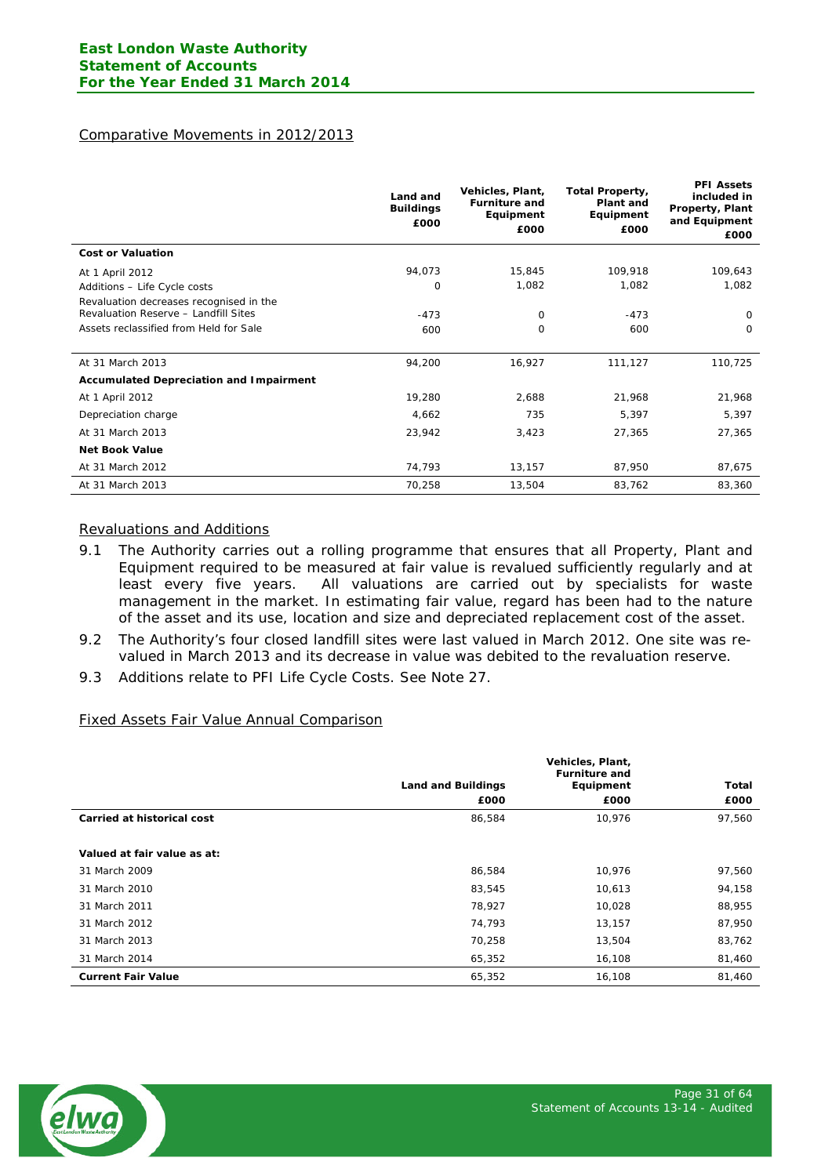# Comparative Movements in 2012/2013

|                                                | Land and<br><b>Buildings</b><br>£000 | Vehicles, Plant,<br><b>Furniture and</b><br>Equipment<br>£000 | <b>Total Property,</b><br>Plant and<br>Equipment<br>£000 | <b>PFI Assets</b><br>included in<br>Property, Plant<br>and Equipment<br>£000 |
|------------------------------------------------|--------------------------------------|---------------------------------------------------------------|----------------------------------------------------------|------------------------------------------------------------------------------|
| <b>Cost or Valuation</b>                       |                                      |                                                               |                                                          |                                                                              |
| At 1 April 2012                                | 94,073                               | 15,845                                                        | 109,918                                                  | 109,643                                                                      |
| Additions - Life Cycle costs                   | 0                                    | 1,082                                                         | 1,082                                                    | 1,082                                                                        |
| Revaluation decreases recognised in the        |                                      |                                                               |                                                          |                                                                              |
| Revaluation Reserve - Landfill Sites           | $-473$                               | 0                                                             | $-473$                                                   | 0                                                                            |
| Assets reclassified from Held for Sale         | 600                                  | 0                                                             | 600                                                      | 0                                                                            |
|                                                |                                      |                                                               |                                                          |                                                                              |
| At 31 March 2013                               | 94,200                               | 16,927                                                        | 111,127                                                  | 110,725                                                                      |
| <b>Accumulated Depreciation and Impairment</b> |                                      |                                                               |                                                          |                                                                              |
| At 1 April 2012                                | 19,280                               | 2,688                                                         | 21,968                                                   | 21,968                                                                       |
| Depreciation charge                            | 4,662                                | 735                                                           | 5,397                                                    | 5,397                                                                        |
| At 31 March 2013                               | 23,942                               | 3,423                                                         | 27,365                                                   | 27,365                                                                       |
| <b>Net Book Value</b>                          |                                      |                                                               |                                                          |                                                                              |
| At 31 March 2012                               | 74,793                               | 13,157                                                        | 87,950                                                   | 87,675                                                                       |
| At 31 March 2013                               | 70,258                               | 13,504                                                        | 83,762                                                   | 83,360                                                                       |

#### Revaluations and Additions

- 9.1 The Authority carries out a rolling programme that ensures that all Property, Plant and Equipment required to be measured at fair value is revalued sufficiently regularly and at least every five years. All valuations are carried out by specialists for waste management in the market. In estimating fair value, regard has been had to the nature of the asset and its use, location and size and depreciated replacement cost of the asset.
- 9.2 The Authority's four closed landfill sites were last valued in March 2012. One site was revalued in March 2013 and its decrease in value was debited to the revaluation reserve.
- 9.3 Additions relate to PFI Life Cycle Costs. See Note 27.

#### Fixed Assets Fair Value Annual Comparison

|                             | Vehicles, Plant,<br><b>Furniture and</b> |           |        |
|-----------------------------|------------------------------------------|-----------|--------|
|                             | <b>Land and Buildings</b>                | Equipment | Total  |
|                             | £000                                     | £000      | £000   |
| Carried at historical cost  | 86,584                                   | 10,976    | 97,560 |
|                             |                                          |           |        |
| Valued at fair value as at: |                                          |           |        |
| 31 March 2009               | 86,584                                   | 10.976    | 97,560 |
| 31 March 2010               | 83,545                                   | 10,613    | 94,158 |
| 31 March 2011               | 78,927                                   | 10,028    | 88,955 |
| 31 March 2012               | 74,793                                   | 13,157    | 87,950 |
| 31 March 2013               | 70,258                                   | 13,504    | 83,762 |
| 31 March 2014               | 65,352                                   | 16,108    | 81,460 |
| <b>Current Fair Value</b>   | 65,352                                   | 16,108    | 81,460 |

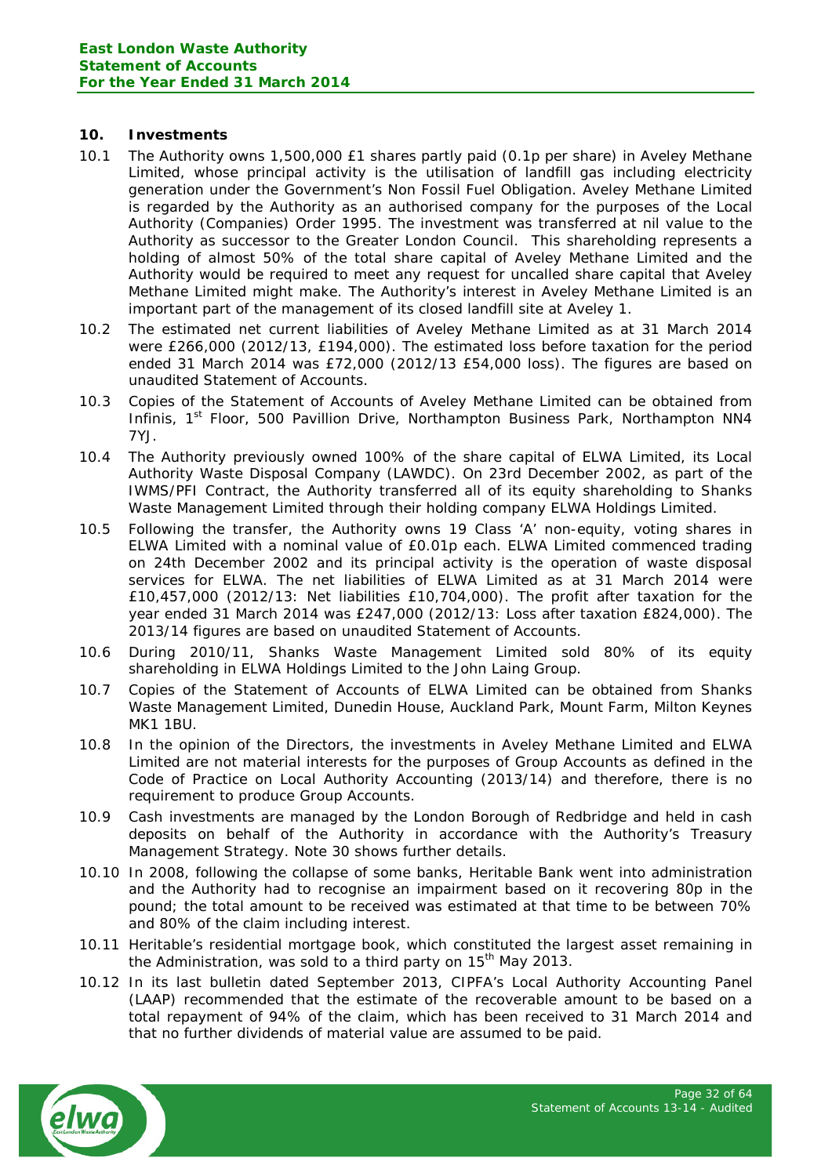## **10. Investments**

- 10.1 The Authority owns 1,500,000 £1 shares partly paid (0.1p per share) in Aveley Methane Limited, whose principal activity is the utilisation of landfill gas including electricity generation under the Government's Non Fossil Fuel Obligation. Aveley Methane Limited is regarded by the Authority as an authorised company for the purposes of the Local Authority (Companies) Order 1995. The investment was transferred at nil value to the Authority as successor to the Greater London Council. This shareholding represents a holding of almost 50% of the total share capital of Aveley Methane Limited and the Authority would be required to meet any request for uncalled share capital that Aveley Methane Limited might make. The Authority's interest in Aveley Methane Limited is an important part of the management of its closed landfill site at Aveley 1.
- 10.2 The estimated net current liabilities of Aveley Methane Limited as at 31 March 2014 were £266,000 (2012/13, £194,000). The estimated loss before taxation for the period ended 31 March 2014 was £72,000 (2012/13 £54,000 loss). The figures are based on unaudited Statement of Accounts.
- 10.3 Copies of the Statement of Accounts of Aveley Methane Limited can be obtained from Infinis, 1<sup>st</sup> Floor, 500 Pavillion Drive, Northampton Business Park, Northampton NN4 7YJ.
- 10.4 The Authority previously owned 100% of the share capital of ELWA Limited, its Local Authority Waste Disposal Company (LAWDC). On 23rd December 2002, as part of the IWMS/PFI Contract, the Authority transferred all of its equity shareholding to Shanks Waste Management Limited through their holding company ELWA Holdings Limited.
- 10.5 Following the transfer, the Authority owns 19 Class 'A' non-equity, voting shares in ELWA Limited with a nominal value of £0.01p each. ELWA Limited commenced trading on 24th December 2002 and its principal activity is the operation of waste disposal services for ELWA. The net liabilities of ELWA Limited as at 31 March 2014 were £10,457,000 (2012/13: Net liabilities £10,704,000). The profit after taxation for the year ended 31 March 2014 was £247,000 (2012/13: Loss after taxation £824,000). The 2013/14 figures are based on unaudited Statement of Accounts.
- 10.6 During 2010/11, Shanks Waste Management Limited sold 80% of its equity shareholding in ELWA Holdings Limited to the John Laing Group.
- 10.7 Copies of the Statement of Accounts of ELWA Limited can be obtained from Shanks Waste Management Limited, Dunedin House, Auckland Park, Mount Farm, Milton Keynes MK1 1BU.
- 10.8 In the opinion of the Directors, the investments in Aveley Methane Limited and ELWA Limited are not material interests for the purposes of Group Accounts as defined in the Code of Practice on Local Authority Accounting (2013/14) and therefore, there is no requirement to produce Group Accounts.
- 10.9 Cash investments are managed by the London Borough of Redbridge and held in cash deposits on behalf of the Authority in accordance with the Authority's Treasury Management Strategy. Note 30 shows further details.
- 10.10 In 2008, following the collapse of some banks, Heritable Bank went into administration and the Authority had to recognise an impairment based on it recovering 80p in the pound; the total amount to be received was estimated at that time to be between 70% and 80% of the claim including interest.
- 10.11 Heritable's residential mortgage book, which constituted the largest asset remaining in the Administration, was sold to a third party on  $15<sup>th</sup>$  May 2013.
- 10.12 In its last bulletin dated September 2013, CIPFA's Local Authority Accounting Panel (LAAP) recommended that the estimate of the recoverable amount to be based on a total repayment of 94% of the claim, which has been received to 31 March 2014 and that no further dividends of material value are assumed to be paid.

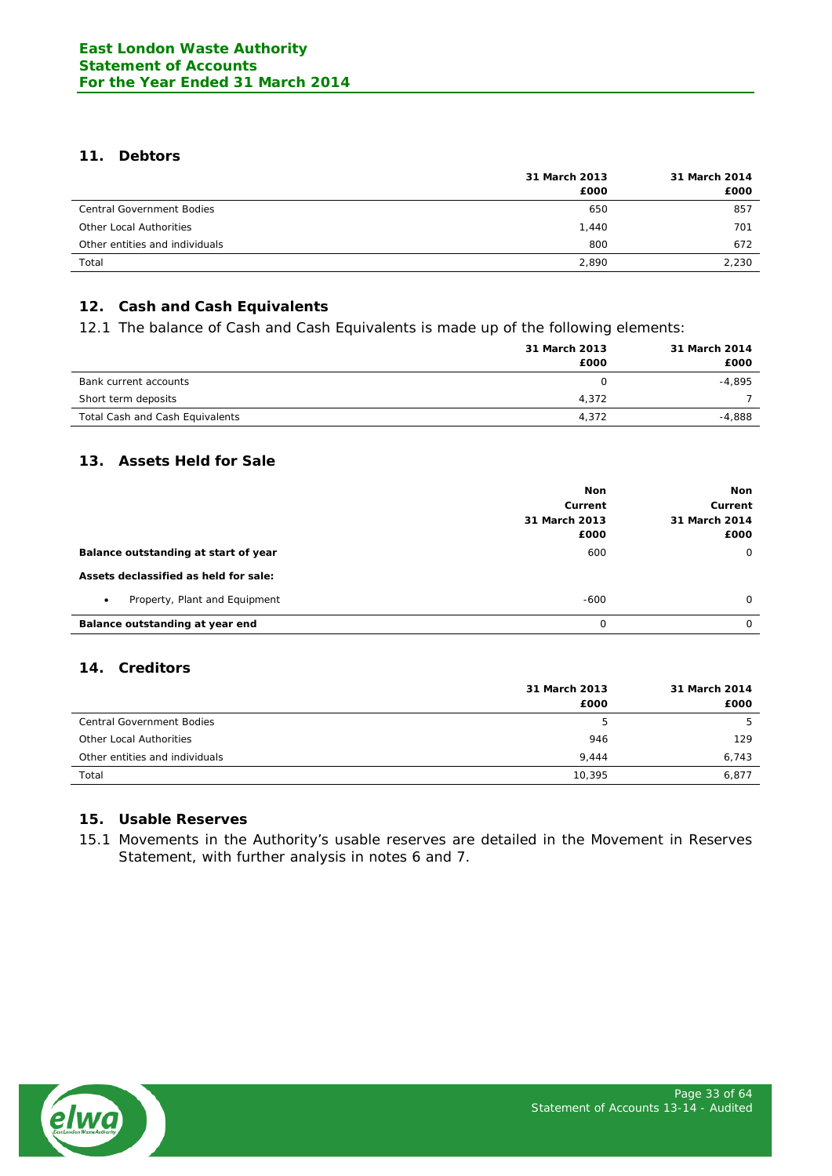# **11. Debtors**

|                                  | 31 March 2013 | 31 March 2014 |  |
|----------------------------------|---------------|---------------|--|
|                                  | £000          | £000          |  |
| <b>Central Government Bodies</b> | 650           | 857           |  |
| Other Local Authorities          | 1.440         | 701           |  |
| Other entities and individuals   | 800           | 672           |  |
| Total                            | 2,890         | 2.230         |  |

# **12. Cash and Cash Equivalents**

12.1 The balance of Cash and Cash Equivalents is made up of the following elements:

|                                 | 31 March 2013<br>£000 | 31 March 2014<br>£000 |
|---------------------------------|-----------------------|-----------------------|
| Bank current accounts           | O                     | $-4.895$              |
| Short term deposits             | 4,372                 |                       |
| Total Cash and Cash Equivalents | 4,372                 | $-4.888$              |

# **13. Assets Held for Sale**

|                                            | <b>Non</b><br>Current<br>31 March 2013<br>£000 | Non<br>Current<br>31 March 2014<br>£000 |
|--------------------------------------------|------------------------------------------------|-----------------------------------------|
| Balance outstanding at start of year       | 600                                            | $\circ$                                 |
| Assets declassified as held for sale:      |                                                |                                         |
| Property, Plant and Equipment<br>$\bullet$ | $-600$                                         | $\Omega$                                |
| Balance outstanding at year end            | $\Omega$                                       | $\Omega$                                |

# **14. Creditors**

|                                  | 31 March 2013 | 31 March 2014 |  |
|----------------------------------|---------------|---------------|--|
|                                  | £000          | £000          |  |
| <b>Central Government Bodies</b> | 5             | ь             |  |
| Other Local Authorities          | 946           | 129           |  |
| Other entities and individuals   | 9.444         | 6,743         |  |
| Total                            | 10.395        | 6,877         |  |

## **15. Usable Reserves**

15.1 Movements in the Authority's usable reserves are detailed in the Movement in Reserves Statement, with further analysis in notes 6 and 7.

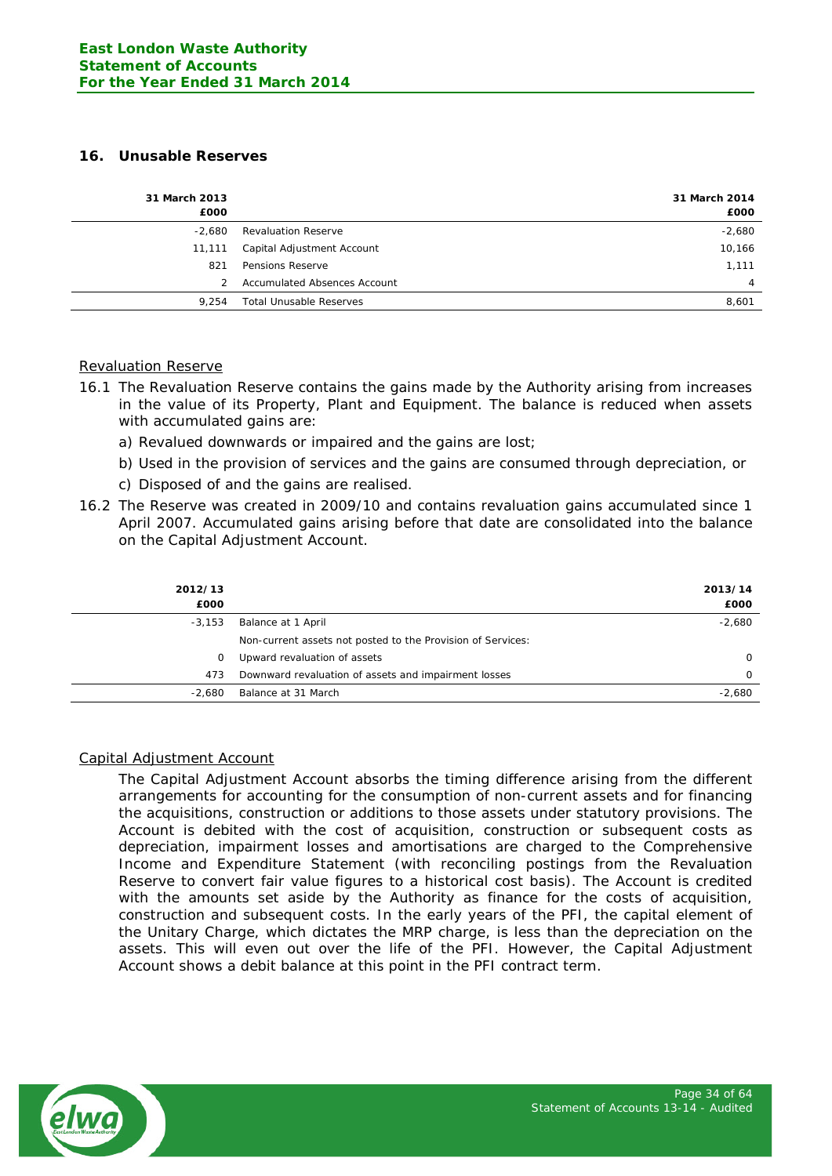## **16. Unusable Reserves**

| 31 March 2013<br>£000 |                                     | 31 March 2014<br>£000 |
|-----------------------|-------------------------------------|-----------------------|
| $-2.680$              | <b>Revaluation Reserve</b>          | $-2,680$              |
| 11,111                | Capital Adjustment Account          | 10,166                |
| 821                   | Pensions Reserve                    | 1,111                 |
|                       | <b>Accumulated Absences Account</b> | 4                     |
| 9.254                 | <b>Total Unusable Reserves</b>      | 8,601                 |

# Revaluation Reserve

- 16.1 The Revaluation Reserve contains the gains made by the Authority arising from increases in the value of its Property, Plant and Equipment. The balance is reduced when assets with accumulated gains are:
	- a) Revalued downwards or impaired and the gains are lost;
	- b) Used in the provision of services and the gains are consumed through depreciation, or
	- c) Disposed of and the gains are realised.
- 16.2 The Reserve was created in 2009/10 and contains revaluation gains accumulated since 1 April 2007. Accumulated gains arising before that date are consolidated into the balance on the Capital Adjustment Account.

|                                                             | 2013/14<br>£000 |
|-------------------------------------------------------------|-----------------|
| Balance at 1 April                                          | $-2,680$        |
| Non-current assets not posted to the Provision of Services: |                 |
| Upward revaluation of assets                                | 0               |
| Downward revaluation of assets and impairment losses        | $\Omega$        |
| Balance at 31 March                                         | $-2,680$        |
|                                                             |                 |

## Capital Adjustment Account

The Capital Adjustment Account absorbs the timing difference arising from the different arrangements for accounting for the consumption of non-current assets and for financing the acquisitions, construction or additions to those assets under statutory provisions. The Account is debited with the cost of acquisition, construction or subsequent costs as depreciation, impairment losses and amortisations are charged to the Comprehensive Income and Expenditure Statement (with reconciling postings from the Revaluation Reserve to convert fair value figures to a historical cost basis). The Account is credited with the amounts set aside by the Authority as finance for the costs of acquisition, construction and subsequent costs. In the early years of the PFI, the capital element of the Unitary Charge, which dictates the MRP charge, is less than the depreciation on the assets. This will even out over the life of the PFI. However, the Capital Adjustment Account shows a debit balance at this point in the PFI contract term.

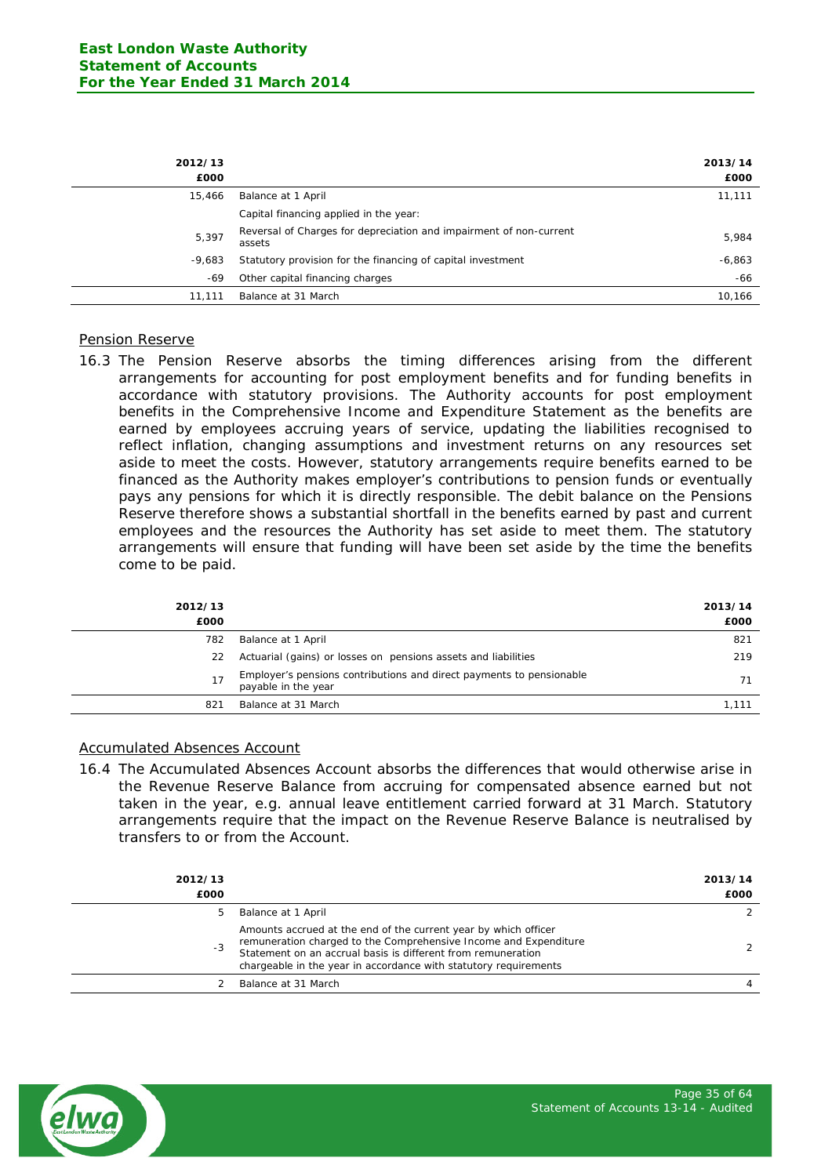| 2012/13<br>£000 |                                                                              | 2013/14<br>£000 |
|-----------------|------------------------------------------------------------------------------|-----------------|
| 15,466          | Balance at 1 April                                                           | 11,111          |
|                 | Capital financing applied in the year:                                       |                 |
| 5.397           | Reversal of Charges for depreciation and impairment of non-current<br>assets | 5,984           |
| -9.683          | Statutory provision for the financing of capital investment                  | $-6,863$        |
| -69             | Other capital financing charges                                              | -66             |
| 11.111          | Balance at 31 March                                                          | 10,166          |

#### Pension Reserve

16.3 The Pension Reserve absorbs the timing differences arising from the different arrangements for accounting for post employment benefits and for funding benefits in accordance with statutory provisions. The Authority accounts for post employment benefits in the Comprehensive Income and Expenditure Statement as the benefits are earned by employees accruing years of service, updating the liabilities recognised to reflect inflation, changing assumptions and investment returns on any resources set aside to meet the costs. However, statutory arrangements require benefits earned to be financed as the Authority makes employer's contributions to pension funds or eventually pays any pensions for which it is directly responsible. The debit balance on the Pensions Reserve therefore shows a substantial shortfall in the benefits earned by past and current employees and the resources the Authority has set aside to meet them. The statutory arrangements will ensure that funding will have been set aside by the time the benefits come to be paid.

| 2012/13<br>£000 |                                                                                             | 2013/14<br>£000 |
|-----------------|---------------------------------------------------------------------------------------------|-----------------|
| 782             | Balance at 1 April                                                                          | 821             |
| 22              | Actuarial (gains) or losses on pensions assets and liabilities                              | 219             |
| 17              | Employer's pensions contributions and direct payments to pensionable<br>payable in the year | 71              |
| 821             | Balance at 31 March                                                                         | 1.111           |

## Accumulated Absences Account

16.4 The Accumulated Absences Account absorbs the differences that would otherwise arise in the Revenue Reserve Balance from accruing for compensated absence earned but not taken in the year, e.g. annual leave entitlement carried forward at 31 March. Statutory arrangements require that the impact on the Revenue Reserve Balance is neutralised by transfers to or from the Account.

| 2012/13<br>£000 |                                                                                                                                                                                                                                                                         | 2013/14<br>£000 |
|-----------------|-------------------------------------------------------------------------------------------------------------------------------------------------------------------------------------------------------------------------------------------------------------------------|-----------------|
| 5               | Balance at 1 April                                                                                                                                                                                                                                                      | 2               |
| $-3$            | Amounts accrued at the end of the current year by which officer<br>remuneration charged to the Comprehensive Income and Expenditure<br>Statement on an accrual basis is different from remuneration<br>chargeable in the year in accordance with statutory requirements |                 |
|                 | Balance at 31 March                                                                                                                                                                                                                                                     | 4               |
|                 |                                                                                                                                                                                                                                                                         |                 |

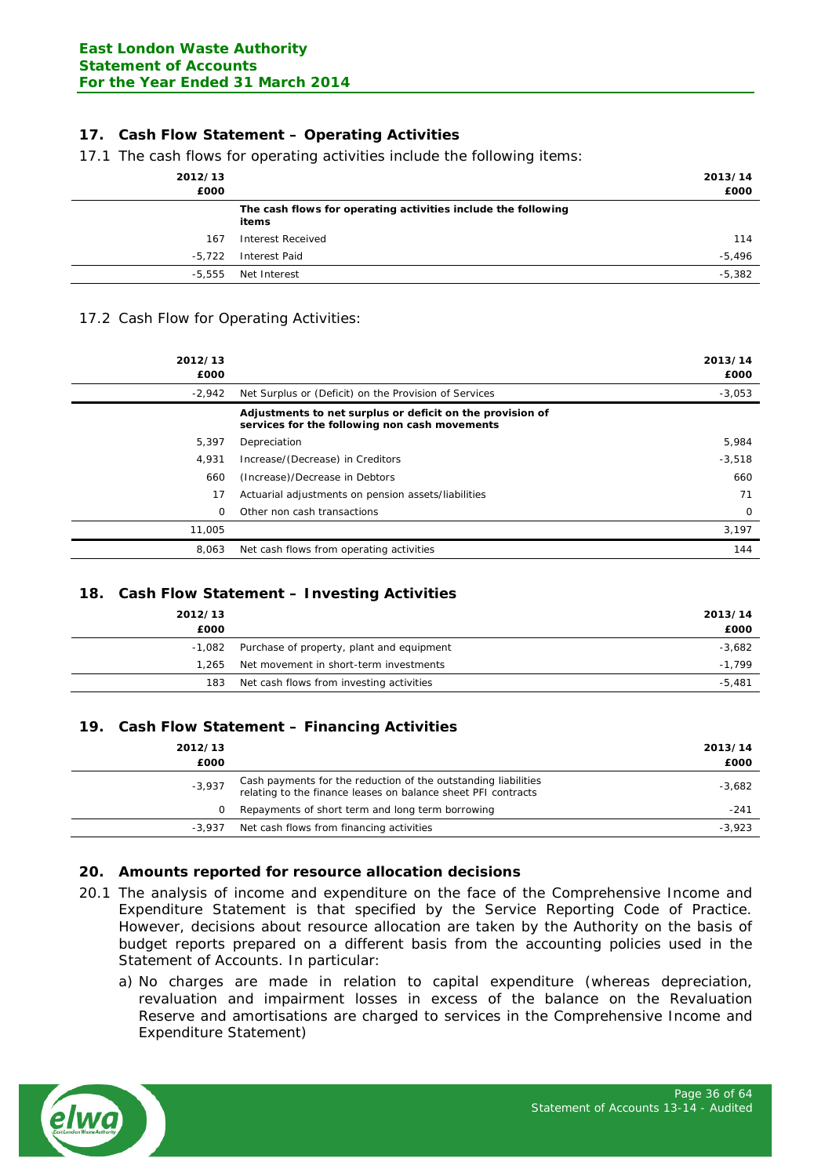# **17. Cash Flow Statement – Operating Activities**

17.1 The cash flows for operating activities include the following items:

|                                                                        | 2013/14  |
|------------------------------------------------------------------------|----------|
|                                                                        | £000     |
| The cash flows for operating activities include the following<br>items |          |
| Interest Received                                                      | 114      |
| Interest Paid                                                          | $-5,496$ |
| Net Interest                                                           | $-5,382$ |
|                                                                        |          |

#### 17.2 Cash Flow for Operating Activities:

| 2012/13<br>£000 |                                                                                                            | 2013/14<br>£000 |
|-----------------|------------------------------------------------------------------------------------------------------------|-----------------|
| $-2,942$        | Net Surplus or (Deficit) on the Provision of Services                                                      | $-3,053$        |
|                 | Adjustments to net surplus or deficit on the provision of<br>services for the following non cash movements |                 |
| 5,397           | Depreciation                                                                                               | 5,984           |
| 4,931           | Increase/(Decrease) in Creditors                                                                           | $-3,518$        |
| 660             | (Increase)/Decrease in Debtors                                                                             | 660             |
| 17              | Actuarial adjustments on pension assets/liabilities                                                        | 71              |
| 0               | Other non cash transactions                                                                                | 0               |
| 11,005          |                                                                                                            | 3,197           |
| 8,063           | Net cash flows from operating activities                                                                   | 144             |

## **18. Cash Flow Statement – Investing Activities**

| 2012/13<br>£000 |                                           | 2013/14<br>£000 |
|-----------------|-------------------------------------------|-----------------|
| -1,082          | Purchase of property, plant and equipment | $-3,682$        |
| 1.265           | Net movement in short-term investments    | $-1.799$        |
| 183             | Net cash flows from investing activities  | $-5,481$        |
|                 |                                           |                 |

## **19. Cash Flow Statement – Financing Activities**

| 2012/13<br>£000 |                                                                                                                                 | 2013/14<br>£000 |
|-----------------|---------------------------------------------------------------------------------------------------------------------------------|-----------------|
| $-3,937$        | Cash payments for the reduction of the outstanding liabilities<br>relating to the finance leases on balance sheet PFI contracts | $-3,682$        |
| 0               | Repayments of short term and long term borrowing                                                                                | -241            |
| $-3.937$        | Net cash flows from financing activities                                                                                        | $-3,923$        |

#### **20. Amounts reported for resource allocation decisions**

- 20.1 The analysis of income and expenditure on the face of the Comprehensive Income and Expenditure Statement is that specified by the Service Reporting Code of Practice. However, decisions about resource allocation are taken by the Authority on the basis of budget reports prepared on a different basis from the accounting policies used in the Statement of Accounts. In particular:
	- a) No charges are made in relation to capital expenditure (whereas depreciation, revaluation and impairment losses in excess of the balance on the Revaluation Reserve and amortisations are charged to services in the Comprehensive Income and Expenditure Statement)

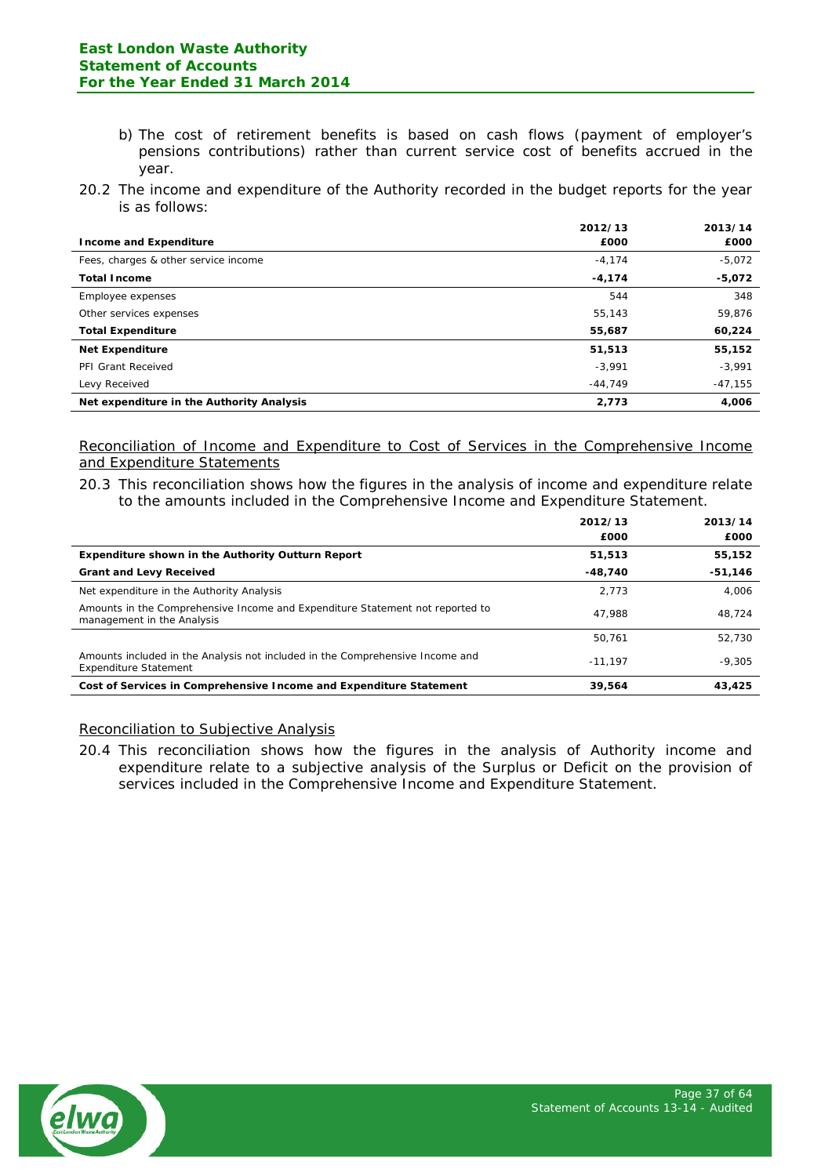- b) The cost of retirement benefits is based on cash flows (payment of employer's pensions contributions) rather than current service cost of benefits accrued in the year.
- 20.2 The income and expenditure of the Authority recorded in the budget reports for the year is as follows:

|                                           | 2012/13   | 2013/14   |
|-------------------------------------------|-----------|-----------|
| <b>Income and Expenditure</b>             | £000      | £000      |
| Fees, charges & other service income      | $-4,174$  | $-5,072$  |
| <b>Total Income</b>                       | $-4,174$  | $-5,072$  |
| Employee expenses                         | 544       | 348       |
| Other services expenses                   | 55,143    | 59,876    |
| <b>Total Expenditure</b>                  | 55,687    | 60,224    |
| <b>Net Expenditure</b>                    | 51,513    | 55,152    |
| PFI Grant Received                        | $-3,991$  | $-3,991$  |
| Levy Received                             | $-44.749$ | $-47,155$ |
| Net expenditure in the Authority Analysis | 2,773     | 4,006     |

Reconciliation of Income and Expenditure to Cost of Services in the Comprehensive Income and Expenditure Statements

20.3 This reconciliation shows how the figures in the analysis of income and expenditure relate to the amounts included in the Comprehensive Income and Expenditure Statement.

|                                                                                                               | 2012/13   | 2013/14   |
|---------------------------------------------------------------------------------------------------------------|-----------|-----------|
|                                                                                                               | £000      | £000      |
| <b>Expenditure shown in the Authority Outturn Report</b>                                                      | 51,513    | 55,152    |
| <b>Grant and Levy Received</b>                                                                                | $-48.740$ | $-51,146$ |
| Net expenditure in the Authority Analysis                                                                     | 2.773     | 4.006     |
| Amounts in the Comprehensive Income and Expenditure Statement not reported to<br>management in the Analysis   | 47.988    | 48.724    |
|                                                                                                               | 50.761    | 52.730    |
| Amounts included in the Analysis not included in the Comprehensive Income and<br><b>Expenditure Statement</b> | $-11.197$ | $-9.305$  |
| Cost of Services in Comprehensive Income and Expenditure Statement                                            | 39,564    | 43,425    |

## Reconciliation to Subjective Analysis

20.4 This reconciliation shows how the figures in the analysis of Authority income and expenditure relate to a subjective analysis of the Surplus or Deficit on the provision of services included in the Comprehensive Income and Expenditure Statement.

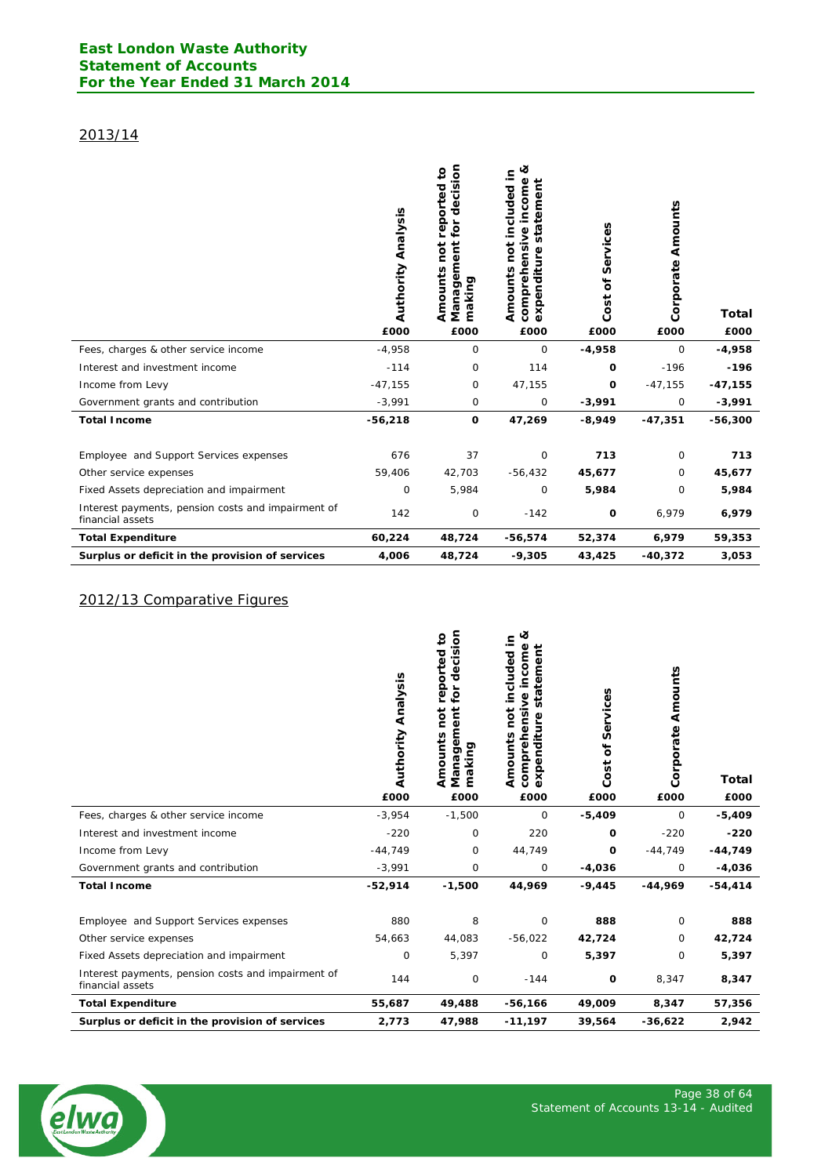# 2013/14

|                                                                        | <b>Authority Analysis</b><br>£000 | decision<br>$\overline{\mathbf{c}}$<br>reported<br>for<br>Management<br>not<br>Amounts<br>making<br>£000 | త<br>included in<br>income<br>temen<br>sta<br>comprehensive<br>pot<br>expenditure<br>Amounts<br>£000 | Services<br>ð<br>Cost<br>£000 | Amounts<br>Corporate<br>£000 | <b>Total</b><br>£000 |
|------------------------------------------------------------------------|-----------------------------------|----------------------------------------------------------------------------------------------------------|------------------------------------------------------------------------------------------------------|-------------------------------|------------------------------|----------------------|
| Fees, charges & other service income                                   | $-4,958$                          | 0                                                                                                        | 0                                                                                                    | $-4,958$                      | 0                            | $-4,958$             |
| Interest and investment income                                         | $-114$                            | 0                                                                                                        | 114                                                                                                  | 0                             | $-196$                       | $-196$               |
| Income from Levy                                                       | $-47,155$                         | 0                                                                                                        | 47,155                                                                                               | O                             | $-47,155$                    | $-47,155$            |
| Government grants and contribution                                     | $-3,991$                          | 0                                                                                                        | 0                                                                                                    | $-3,991$                      | 0                            | $-3,991$             |
| <b>Total Income</b>                                                    | $-56,218$                         | $\mathbf 0$                                                                                              | 47,269                                                                                               | $-8,949$                      | $-47,351$                    | $-56,300$            |
| Employee and Support Services expenses                                 | 676                               | 37                                                                                                       | 0                                                                                                    | 713                           | 0                            | 713                  |
| Other service expenses                                                 | 59,406                            | 42,703                                                                                                   | $-56,432$                                                                                            | 45,677                        | 0                            | 45,677               |
| Fixed Assets depreciation and impairment                               | 0                                 | 5,984                                                                                                    | 0                                                                                                    | 5,984                         | 0                            | 5,984                |
| Interest payments, pension costs and impairment of<br>financial assets | 142                               | 0                                                                                                        | $-142$                                                                                               | O                             | 6,979                        | 6,979                |
| <b>Total Expenditure</b>                                               | 60,224                            | 48,724                                                                                                   | -56,574                                                                                              | 52,374                        | 6,979                        | 59,353               |
| Surplus or deficit in the provision of services                        | 4,006                             | 48,724                                                                                                   | $-9,305$                                                                                             | 43,425                        | $-40,372$                    | 3,053                |

# 2012/13 Comparative Figures

|                                                                        | <b>Authority Analysis</b><br>£000 | cision<br>$\overline{\mathbf{c}}$<br>reported<br>Ō<br>ъ<br>ğ<br>ōq<br>ent<br>Amounts<br>$\overline{\mathbf{0}}$<br>making<br>Nanag<br>£000 | ಷ<br>included in<br>income<br>tement<br>sta<br>ensive<br>pot<br>enditure<br>Amounts<br>compreh<br>$\frac{5}{x}$<br>ω<br>£000 | Services<br>$\mathbf{\tilde{o}}$<br>Cost<br>£000 | Amounts<br>Corporate<br>£000 | <b>Total</b><br>£000 |
|------------------------------------------------------------------------|-----------------------------------|--------------------------------------------------------------------------------------------------------------------------------------------|------------------------------------------------------------------------------------------------------------------------------|--------------------------------------------------|------------------------------|----------------------|
| Fees, charges & other service income                                   | $-3,954$                          | $-1,500$                                                                                                                                   | 0                                                                                                                            | $-5,409$                                         | 0                            | $-5,409$             |
| Interest and investment income                                         | $-220$                            | 0                                                                                                                                          | 220                                                                                                                          | 0                                                | $-220$                       | $-220$               |
| Income from Levy                                                       | $-44,749$                         | 0                                                                                                                                          | 44,749                                                                                                                       | 0                                                | $-44,749$                    | $-44,749$            |
| Government grants and contribution                                     | $-3,991$                          | 0                                                                                                                                          | $\mathbf 0$                                                                                                                  | $-4,036$                                         | 0                            | $-4,036$             |
| <b>Total Income</b>                                                    | $-52,914$                         | $-1,500$                                                                                                                                   | 44,969                                                                                                                       | $-9,445$                                         | $-44,969$                    | $-54, 414$           |
| Employee and Support Services expenses                                 | 880                               | 8                                                                                                                                          | $\circ$                                                                                                                      | 888                                              | 0                            | 888                  |
| Other service expenses                                                 | 54,663                            | 44,083                                                                                                                                     | $-56,022$                                                                                                                    | 42,724                                           | 0                            | 42,724               |
| Fixed Assets depreciation and impairment                               | 0                                 | 5,397                                                                                                                                      | 0                                                                                                                            | 5,397                                            | 0                            | 5,397                |
| Interest payments, pension costs and impairment of<br>financial assets | 144                               | 0                                                                                                                                          | $-144$                                                                                                                       | 0                                                | 8,347                        | 8,347                |
| <b>Total Expenditure</b>                                               | 55,687                            | 49,488                                                                                                                                     | $-56,166$                                                                                                                    | 49,009                                           | 8,347                        | 57,356               |
| Surplus or deficit in the provision of services                        | 2,773                             | 47,988                                                                                                                                     | $-11,197$                                                                                                                    | 39,564                                           | $-36,622$                    | 2,942                |

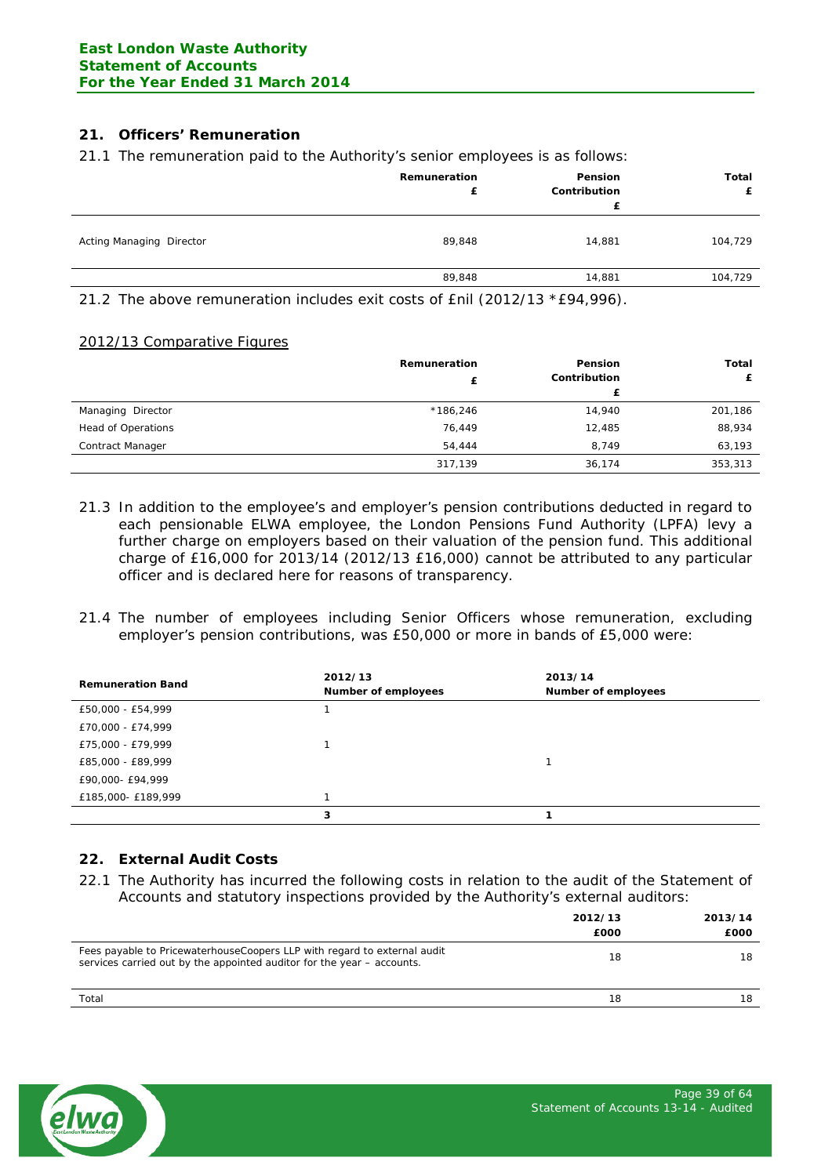# **21. Officers' Remuneration**

21.1 The remuneration paid to the Authority's senior employees is as follows:

|                          | Remuneration<br>£ | Pension<br>Contribution<br>£ | Total<br>£ |
|--------------------------|-------------------|------------------------------|------------|
| Acting Managing Director | 89,848            | 14,881                       | 104,729    |
|                          | 89,848            | 14,881                       | 104,729    |
|                          |                   |                              |            |

21.2 The above remuneration includes exit costs of £nil (2012/13 \*£94,996).

#### 2012/13 Comparative Figures

|                           | Remuneration | <b>Pension</b><br>Contribution | Total<br>£ |
|---------------------------|--------------|--------------------------------|------------|
|                           |              |                                |            |
| Managing Director         | $*186,246$   | 14,940                         | 201,186    |
| <b>Head of Operations</b> | 76.449       | 12,485                         | 88,934     |
| Contract Manager          | 54,444       | 8,749                          | 63,193     |
|                           | 317,139      | 36,174                         | 353,313    |

- 21.3 In addition to the employee's and employer's pension contributions deducted in regard to each pensionable ELWA employee, the London Pensions Fund Authority (LPFA) levy a further charge on employers based on their valuation of the pension fund. This additional charge of £16,000 for 2013/14 (2012/13 £16,000) cannot be attributed to any particular officer and is declared here for reasons of transparency.
- 21.4 The number of employees including Senior Officers whose remuneration, excluding employer's pension contributions, was £50,000 or more in bands of £5,000 were:

| <b>Remuneration Band</b> | 2012/13<br>Number of employees | 2013/14<br>Number of employees |
|--------------------------|--------------------------------|--------------------------------|
| £50,000 - £54,999        |                                |                                |
| £70,000 - £74,999        |                                |                                |
| £75,000 - £79,999        |                                |                                |
| £85,000 - £89,999        |                                |                                |
| £90,000- £94,999         |                                |                                |
| £185,000- £189,999       |                                |                                |
|                          | 3                              |                                |

## **22. External Audit Costs**

22.1 The Authority has incurred the following costs in relation to the audit of the Statement of Accounts and statutory inspections provided by the Authority's external auditors:

|                                                                                                                                                     | 2012/13<br>£000 | 2013/14<br>£000 |
|-----------------------------------------------------------------------------------------------------------------------------------------------------|-----------------|-----------------|
| Fees payable to Pricewaterhouse Coopers LLP with regard to external audit<br>services carried out by the appointed auditor for the year – accounts. | 18              | 18              |
| Total                                                                                                                                               | 18              | 18              |

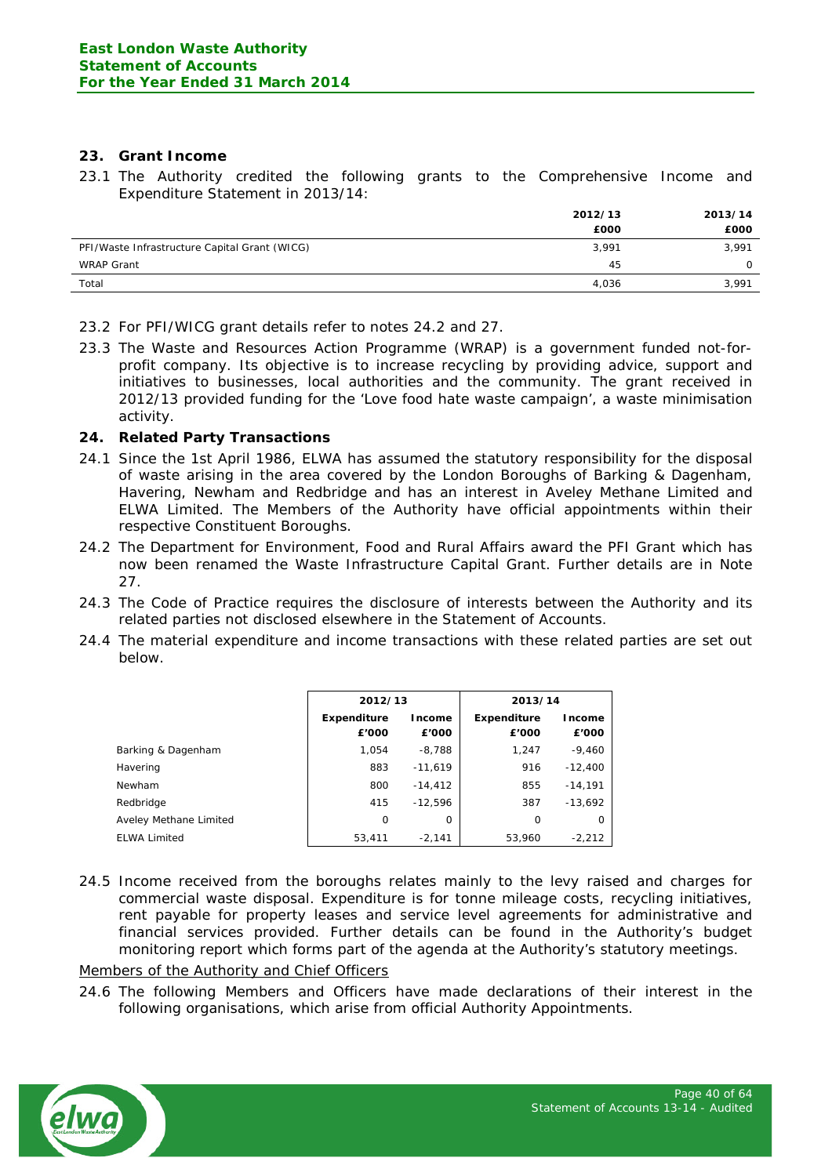# **23. Grant Income**

23.1 The Authority credited the following grants to the Comprehensive Income and Expenditure Statement in 2013/14:

|                                               | 2012/13 | 2013/14 |
|-----------------------------------------------|---------|---------|
|                                               | £000    | £000    |
| PFI/Waste Infrastructure Capital Grant (WICG) | 3,991   | 3,991   |
| WRAP Grant                                    | 45      | 0       |
| Total                                         | 4,036   | 3,991   |

- 23.2 For PFI/WICG grant details refer to notes 24.2 and 27.
- 23.3 The Waste and Resources Action Programme (WRAP) is a government funded not-forprofit company. Its objective is to increase recycling by providing advice, support and initiatives to businesses, local authorities and the community. The grant received in 2012/13 provided funding for the 'Love food hate waste campaign', a waste minimisation activity.

## **24. Related Party Transactions**

- 24.1 Since the 1st April 1986, ELWA has assumed the statutory responsibility for the disposal of waste arising in the area covered by the London Boroughs of Barking & Dagenham, Havering, Newham and Redbridge and has an interest in Aveley Methane Limited and ELWA Limited. The Members of the Authority have official appointments within their respective Constituent Boroughs.
- 24.2 The Department for Environment, Food and Rural Affairs award the PFI Grant which has now been renamed the Waste Infrastructure Capital Grant. Further details are in Note 27.
- 24.3 The Code of Practice requires the disclosure of interests between the Authority and its related parties not disclosed elsewhere in the Statement of Accounts.
- 24.4 The material expenditure and income transactions with these related parties are set out below.

|                        | 2012/13              |                 | 2013/14                     |                        |
|------------------------|----------------------|-----------------|-----------------------------|------------------------|
|                        | Expenditure<br>£'000 | Income<br>£'000 | <b>Expenditure</b><br>£'000 | <b>Income</b><br>£'000 |
| Barking & Dagenham     | 1.054                | $-8,788$        | 1,247                       | $-9,460$               |
| Havering               | 883                  | $-11,619$       | 916                         | $-12,400$              |
| Newham                 | 800                  | $-14.412$       | 855                         | $-14,191$              |
| Redbridge              | 415                  | $-12.596$       | 387                         | $-13.692$              |
| Aveley Methane Limited | 0                    | 0               | O                           | 0                      |
| <b>ELWA Limited</b>    | 53,411               | $-2.141$        | 53,960                      | $-2,212$               |

24.5 Income received from the boroughs relates mainly to the levy raised and charges for commercial waste disposal. Expenditure is for tonne mileage costs, recycling initiatives, rent payable for property leases and service level agreements for administrative and financial services provided. Further details can be found in the Authority's budget monitoring report which forms part of the agenda at the Authority's statutory meetings.

# Members of the Authority and Chief Officers

24.6 The following Members and Officers have made declarations of their interest in the following organisations, which arise from official Authority Appointments.

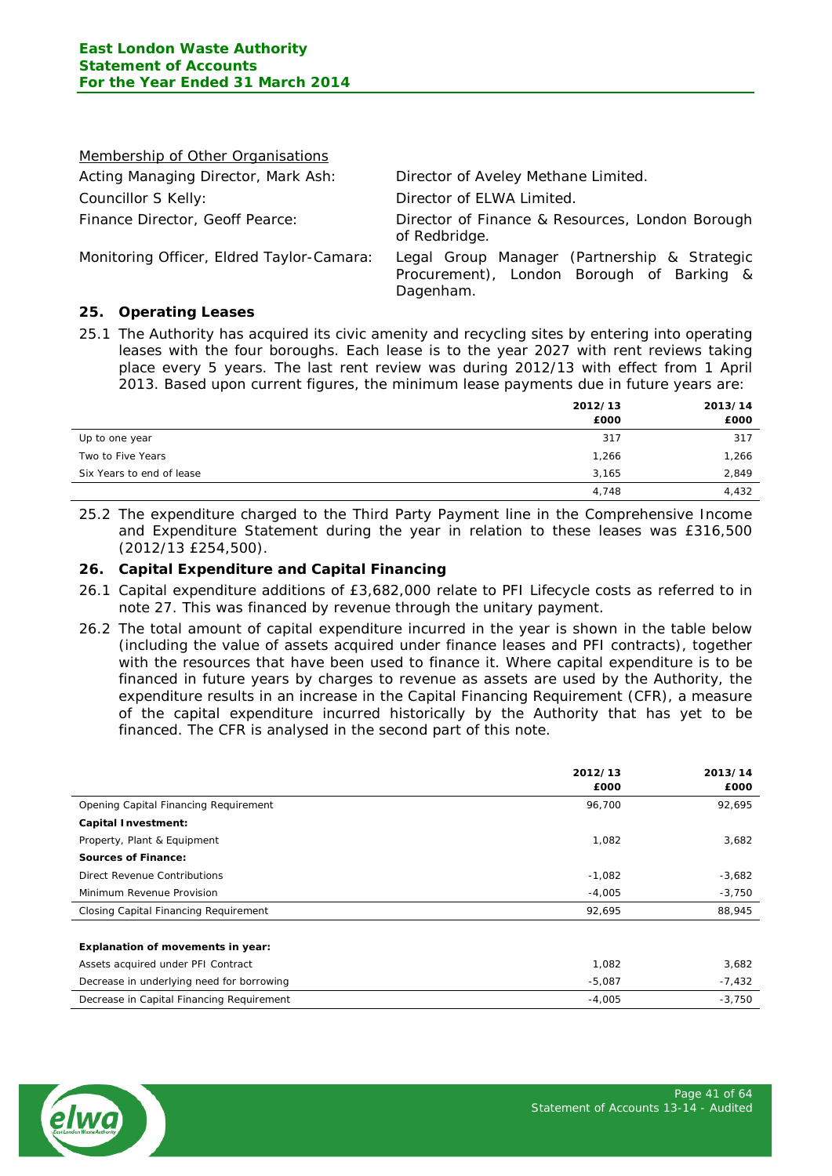| Membership of Other Organisations         |                                                                                                        |
|-------------------------------------------|--------------------------------------------------------------------------------------------------------|
| Acting Managing Director, Mark Ash:       | Director of Aveley Methane Limited.                                                                    |
| Councillor S Kelly:                       | Director of ELWA Limited.                                                                              |
| Finance Director, Geoff Pearce:           | Director of Finance & Resources, London Borough<br>of Redbridge.                                       |
| Monitoring Officer, Eldred Taylor-Camara: | Legal Group Manager (Partnership & Strategic<br>Procurement), London Borough of Barking &<br>Dagenham. |

## **25. Operating Leases**

25.1 The Authority has acquired its civic amenity and recycling sites by entering into operating leases with the four boroughs. Each lease is to the year 2027 with rent reviews taking place every 5 years. The last rent review was during 2012/13 with effect from 1 April 2013. Based upon current figures, the minimum lease payments due in future years are:

|                           | 2012/13 | 2013/14 |
|---------------------------|---------|---------|
|                           | £000    | £000    |
| Up to one year            | 317     | 317     |
| Two to Five Years         | 1,266   | 1,266   |
| Six Years to end of lease | 3,165   | 2,849   |
|                           | 4,748   | 4,432   |

25.2 The expenditure charged to the Third Party Payment line in the Comprehensive Income and Expenditure Statement during the year in relation to these leases was £316,500 (2012/13 £254,500).

## **26. Capital Expenditure and Capital Financing**

- 26.1 Capital expenditure additions of £3,682,000 relate to PFI Lifecycle costs as referred to in note 27. This was financed by revenue through the unitary payment.
- 26.2 The total amount of capital expenditure incurred in the year is shown in the table below (including the value of assets acquired under finance leases and PFI contracts), together with the resources that have been used to finance it. Where capital expenditure is to be financed in future years by charges to revenue as assets are used by the Authority, the expenditure results in an increase in the Capital Financing Requirement (CFR), a measure of the capital expenditure incurred historically by the Authority that has yet to be financed. The CFR is analysed in the second part of this note.

|                                              | 2012/13<br>£000 | 2013/14<br>£000 |
|----------------------------------------------|-----------------|-----------------|
| Opening Capital Financing Requirement        | 96,700          | 92,695          |
| <b>Capital Investment:</b>                   |                 |                 |
| Property, Plant & Equipment                  | 1,082           | 3,682           |
| <b>Sources of Finance:</b>                   |                 |                 |
| Direct Revenue Contributions                 | $-1,082$        | $-3,682$        |
| Minimum Revenue Provision                    | $-4,005$        | $-3,750$        |
| <b>Closing Capital Financing Requirement</b> | 92,695          | 88,945          |
|                                              |                 |                 |
| Explanation of movements in year:            |                 |                 |
| Assets acquired under PFI Contract           | 1,082           | 3,682           |
| Decrease in underlying need for borrowing    | $-5,087$        | $-7,432$        |
| Decrease in Capital Financing Requirement    | $-4,005$        | $-3,750$        |

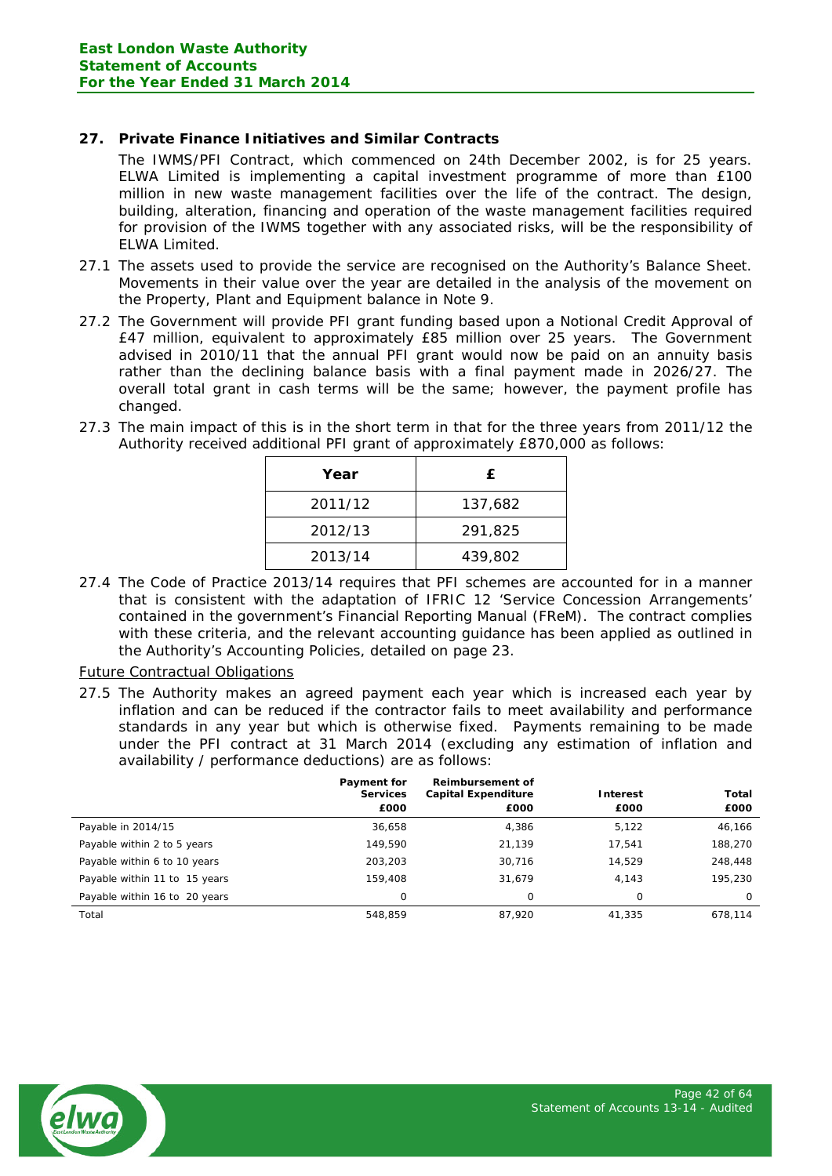# **27. Private Finance Initiatives and Similar Contracts**

The IWMS/PFI Contract, which commenced on 24th December 2002, is for 25 years. ELWA Limited is implementing a capital investment programme of more than £100 million in new waste management facilities over the life of the contract. The design, building, alteration, financing and operation of the waste management facilities required for provision of the IWMS together with any associated risks, will be the responsibility of ELWA Limited.

- 27.1 The assets used to provide the service are recognised on the Authority's Balance Sheet. Movements in their value over the year are detailed in the analysis of the movement on the Property, Plant and Equipment balance in Note 9.
- 27.2 The Government will provide PFI grant funding based upon a Notional Credit Approval of £47 million, equivalent to approximately £85 million over 25 years. The Government advised in 2010/11 that the annual PFI grant would now be paid on an annuity basis rather than the declining balance basis with a final payment made in 2026/27. The overall total grant in cash terms will be the same; however, the payment profile has changed.
- 27.3 The main impact of this is in the short term in that for the three years from 2011/12 the Authority received additional PFI grant of approximately £870,000 as follows:

| Year    | £.      |
|---------|---------|
| 2011/12 | 137,682 |
| 2012/13 | 291,825 |
| 2013/14 | 439,802 |

27.4 The Code of Practice 2013/14 requires that PFI schemes are accounted for in a manner that is consistent with the adaptation of IFRIC 12 'Service Concession Arrangements' contained in the government's Financial Reporting Manual (FReM). The contract complies with these criteria, and the relevant accounting guidance has been applied as outlined in the Authority's Accounting Policies, detailed on page 23.

## Future Contractual Obligations

27.5 The Authority makes an agreed payment each year which is increased each year by inflation and can be reduced if the contractor fails to meet availability and performance standards in any year but which is otherwise fixed. Payments remaining to be made under the PFI contract at 31 March 2014 (excluding any estimation of inflation and availability / performance deductions) are as follows:

|                               | Payment for<br><b>Services</b> | <b>Reimbursement of</b><br><b>Capital Expenditure</b> | Interest | Total    |
|-------------------------------|--------------------------------|-------------------------------------------------------|----------|----------|
|                               | £000                           | £000                                                  | £000     | £000     |
| Payable in 2014/15            | 36,658                         | 4,386                                                 | 5,122    | 46,166   |
| Payable within 2 to 5 years   | 149,590                        | 21,139                                                | 17,541   | 188,270  |
| Payable within 6 to 10 years  | 203,203                        | 30,716                                                | 14.529   | 248,448  |
| Payable within 11 to 15 years | 159,408                        | 31.679                                                | 4.143    | 195,230  |
| Payable within 16 to 20 years | 0                              | 0                                                     | 0        | $\Omega$ |
| Total                         | 548.859                        | 87,920                                                | 41,335   | 678.114  |

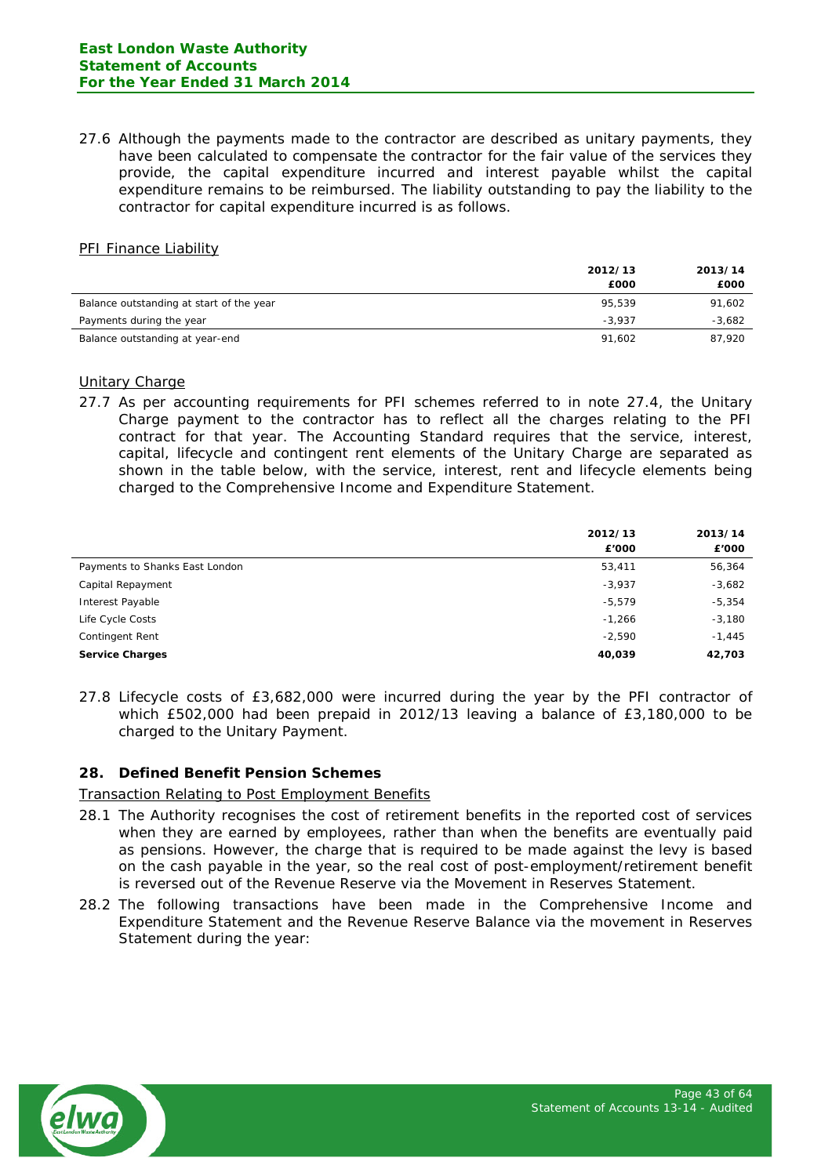27.6 Although the payments made to the contractor are described as unitary payments, they have been calculated to compensate the contractor for the fair value of the services they provide, the capital expenditure incurred and interest payable whilst the capital expenditure remains to be reimbursed. The liability outstanding to pay the liability to the contractor for capital expenditure incurred is as follows.

#### PFI Finance Liability

|                                          | 2012/13  | 2013/14  |
|------------------------------------------|----------|----------|
|                                          | £000     | £000     |
| Balance outstanding at start of the year | 95.539   | 91,602   |
| Payments during the year                 | $-3.937$ | $-3,682$ |
| Balance outstanding at year-end          | 91.602   | 87.920   |

#### Unitary Charge

27.7 As per accounting requirements for PFI schemes referred to in note 27.4, the Unitary Charge payment to the contractor has to reflect all the charges relating to the PFI contract for that year. The Accounting Standard requires that the service, interest, capital, lifecycle and contingent rent elements of the Unitary Charge are separated as shown in the table below, with the service, interest, rent and lifecycle elements being charged to the Comprehensive Income and Expenditure Statement.

|                                | 2012/13<br>£'000 | 2013/14<br>£'000 |
|--------------------------------|------------------|------------------|
| Payments to Shanks East London | 53,411           | 56,364           |
| Capital Repayment              | $-3,937$         | $-3,682$         |
| Interest Payable               | $-5,579$         | $-5,354$         |
| Life Cycle Costs               | $-1,266$         | $-3,180$         |
| Contingent Rent                | $-2,590$         | $-1,445$         |
| <b>Service Charges</b>         | 40,039           | 42,703           |

27.8 Lifecycle costs of £3,682,000 were incurred during the year by the PFI contractor of which £502,000 had been prepaid in 2012/13 leaving a balance of £3,180,000 to be charged to the Unitary Payment.

## **28. Defined Benefit Pension Schemes**

## **Transaction Relating to Post Employment Benefits**

- 28.1 The Authority recognises the cost of retirement benefits in the reported cost of services when they are earned by employees, rather than when the benefits are eventually paid as pensions. However, the charge that is required to be made against the levy is based on the cash payable in the year, so the real cost of post-employment/retirement benefit is reversed out of the Revenue Reserve via the Movement in Reserves Statement.
- 28.2 The following transactions have been made in the Comprehensive Income and Expenditure Statement and the Revenue Reserve Balance via the movement in Reserves Statement during the year:

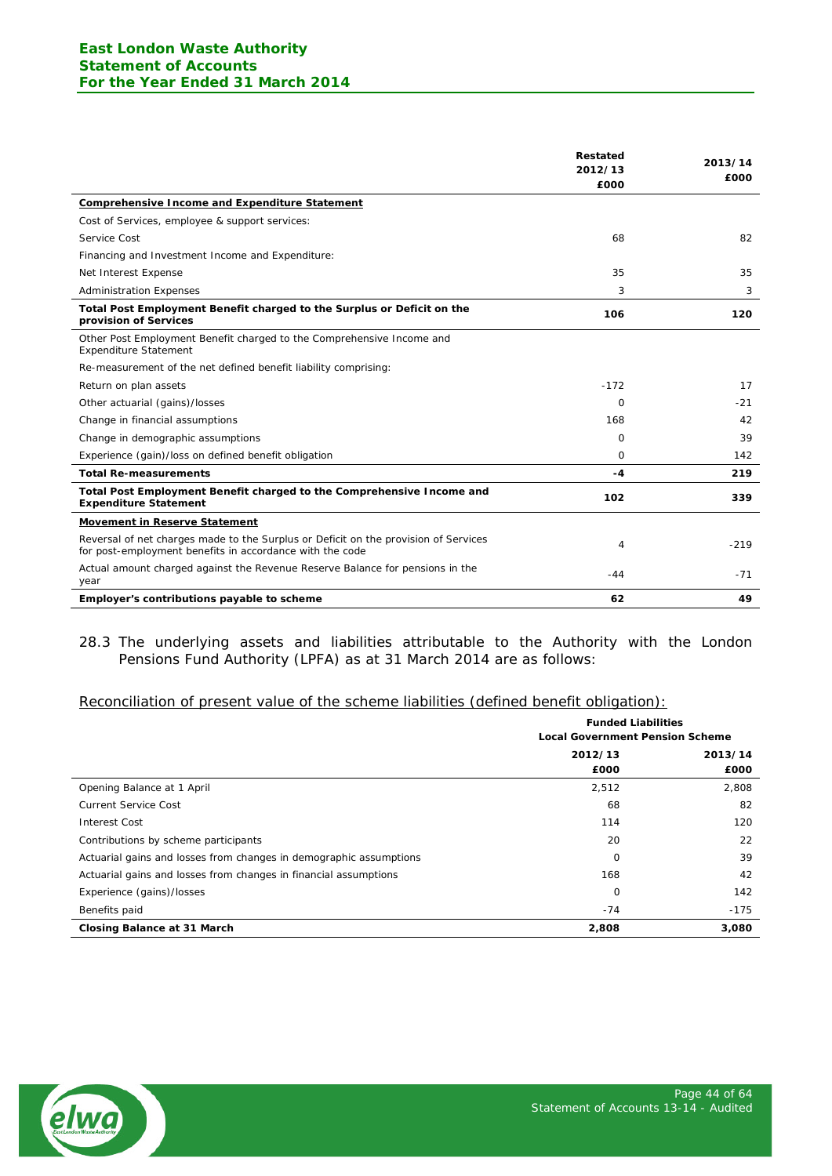|                                                                                                                                                 | <b>Restated</b><br>2012/13<br>£000 | 2013/14<br>£000 |
|-------------------------------------------------------------------------------------------------------------------------------------------------|------------------------------------|-----------------|
| <b>Comprehensive Income and Expenditure Statement</b>                                                                                           |                                    |                 |
| Cost of Services, employee & support services:                                                                                                  |                                    |                 |
| Service Cost                                                                                                                                    | 68                                 | 82              |
| Financing and Investment Income and Expenditure:                                                                                                |                                    |                 |
| Net Interest Expense                                                                                                                            | 35                                 | 35              |
| <b>Administration Expenses</b>                                                                                                                  | 3                                  | 3               |
| Total Post Employment Benefit charged to the Surplus or Deficit on the<br>provision of Services                                                 | 106                                | 120             |
| Other Post Employment Benefit charged to the Comprehensive Income and<br><b>Expenditure Statement</b>                                           |                                    |                 |
| Re-measurement of the net defined benefit liability comprising:                                                                                 |                                    |                 |
| Return on plan assets                                                                                                                           | $-172$                             | 17              |
| Other actuarial (gains)/losses                                                                                                                  | 0                                  | $-21$           |
| Change in financial assumptions                                                                                                                 | 168                                | 42              |
| Change in demographic assumptions                                                                                                               | 0                                  | 39              |
| Experience (gain)/loss on defined benefit obligation                                                                                            | $\Omega$                           | 142             |
| <b>Total Re-measurements</b>                                                                                                                    | -4                                 | 219             |
| Total Post Employment Benefit charged to the Comprehensive Income and<br><b>Expenditure Statement</b>                                           | 102                                | 339             |
| <b>Movement in Reserve Statement</b>                                                                                                            |                                    |                 |
| Reversal of net charges made to the Surplus or Deficit on the provision of Services<br>for post-employment benefits in accordance with the code | 4                                  | $-219$          |
| Actual amount charged against the Revenue Reserve Balance for pensions in the<br>year                                                           | -44                                | $-71$           |
| Employer's contributions payable to scheme                                                                                                      | 62                                 | 49              |

28.3 The underlying assets and liabilities attributable to the Authority with the London Pensions Fund Authority (LPFA) as at 31 March 2014 are as follows:

#### Reconciliation of present value of the scheme liabilities (defined benefit obligation):

|                                                                    | <b>Funded Liabilities</b><br><b>Local Government Pension Scheme</b> |                 |
|--------------------------------------------------------------------|---------------------------------------------------------------------|-----------------|
|                                                                    | 2012/13<br>£000                                                     | 2013/14<br>£000 |
| Opening Balance at 1 April                                         | 2,512                                                               | 2,808           |
| <b>Current Service Cost</b>                                        | 68                                                                  | 82              |
| <b>Interest Cost</b>                                               | 114                                                                 | 120             |
| Contributions by scheme participants                               | 20                                                                  | 22              |
| Actuarial gains and losses from changes in demographic assumptions | $\Omega$                                                            | 39              |
| Actuarial gains and losses from changes in financial assumptions   | 168                                                                 | 42              |
| Experience (gains)/losses                                          | $\Omega$                                                            | 142             |
| Benefits paid                                                      | $-74$                                                               | $-175$          |
| Closing Balance at 31 March                                        | 2,808                                                               | 3,080           |

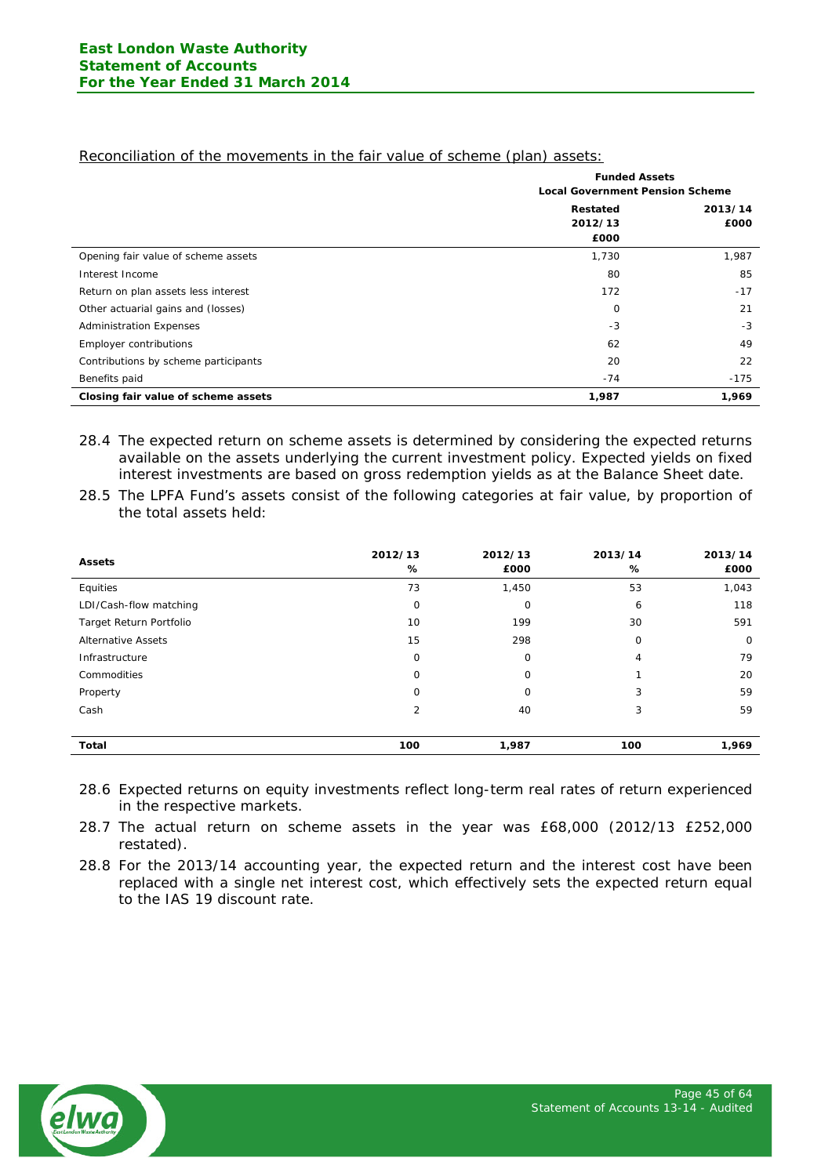|                                      | <b>Funded Assets</b>                   |         |  |  |
|--------------------------------------|----------------------------------------|---------|--|--|
|                                      | <b>Local Government Pension Scheme</b> |         |  |  |
|                                      | <b>Restated</b>                        | 2013/14 |  |  |
|                                      | 2012/13                                | £000    |  |  |
|                                      | £000                                   |         |  |  |
| Opening fair value of scheme assets  | 1,730                                  | 1,987   |  |  |
| Interest Income                      | 80                                     | 85      |  |  |
| Return on plan assets less interest  | 172                                    | $-17$   |  |  |
| Other actuarial gains and (losses)   | 0                                      | 21      |  |  |
| <b>Administration Expenses</b>       | $-3$                                   | -3      |  |  |
| Employer contributions               | 62                                     | 49      |  |  |
| Contributions by scheme participants | 20                                     | 22      |  |  |
| Benefits paid                        | $-74$                                  | $-175$  |  |  |
| Closing fair value of scheme assets  | 1,987                                  | 1,969   |  |  |

Reconciliation of the movements in the fair value of scheme (plan) assets:

- 28.4 The expected return on scheme assets is determined by considering the expected returns available on the assets underlying the current investment policy. Expected yields on fixed interest investments are based on gross redemption yields as at the Balance Sheet date.
- 28.5 The LPFA Fund's assets consist of the following categories at fair value, by proportion of the total assets held:

| <b>Assets</b>             | 2012/13<br>% | 2012/13<br>£000 | 2013/14<br>% | 2013/14<br>£000 |
|---------------------------|--------------|-----------------|--------------|-----------------|
| Equities                  | 73           | 1,450           | 53           | 1,043           |
| LDI/Cash-flow matching    | 0            | 0               | 6            | 118             |
| Target Return Portfolio   | 10           | 199             | 30           | 591             |
| <b>Alternative Assets</b> | 15           | 298             | 0            | 0               |
| Infrastructure            | 0            | 0               | 4            | 79              |
| Commodities               | O            | $\Omega$        |              | 20              |
| Property                  | 0            | $\Omega$        | 3            | 59              |
| Cash                      | 2            | 40              | 3            | 59              |
|                           |              |                 |              |                 |
| Total                     | 100          | 1,987           | 100          | 1,969           |

- 28.6 Expected returns on equity investments reflect long-term real rates of return experienced in the respective markets.
- 28.7 The actual return on scheme assets in the year was £68,000 (2012/13 £252,000 restated).
- 28.8 For the 2013/14 accounting year, the expected return and the interest cost have been replaced with a single net interest cost, which effectively sets the expected return equal to the IAS 19 discount rate.

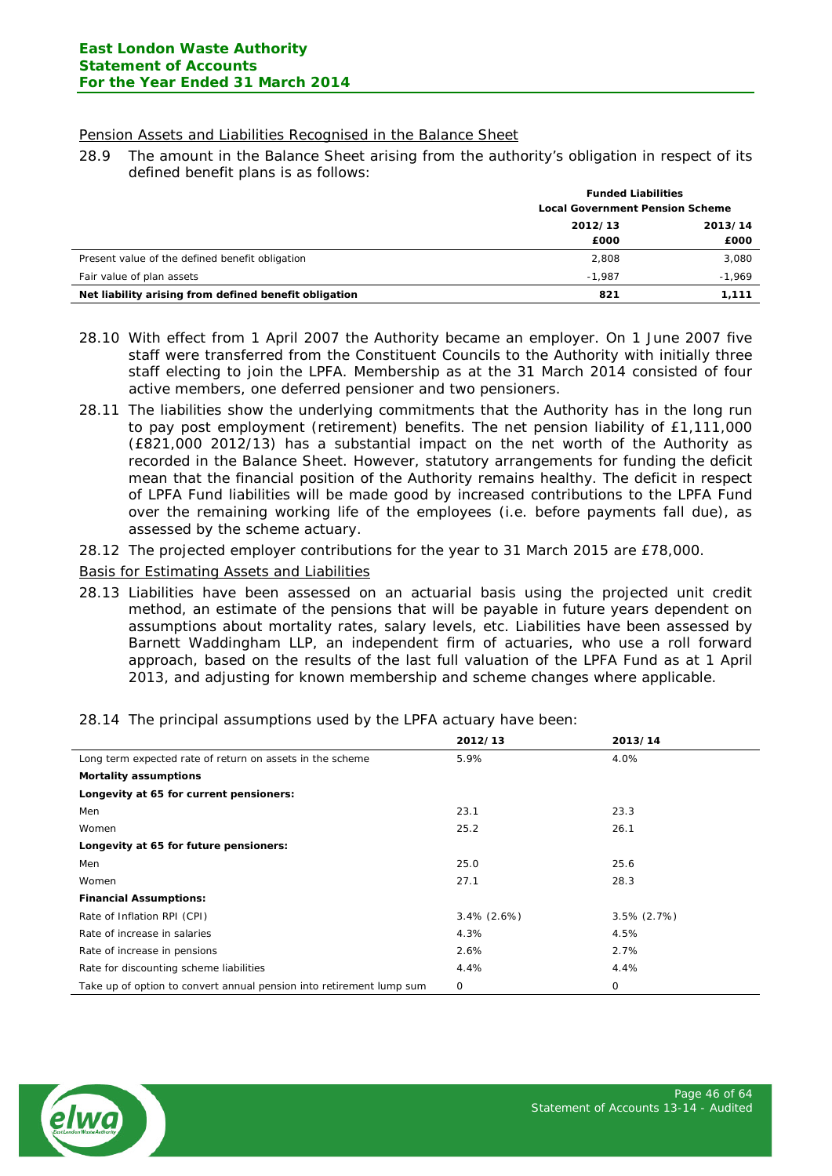## Pension Assets and Liabilities Recognised in the Balance Sheet

28.9 The amount in the Balance Sheet arising from the authority's obligation in respect of its defined benefit plans is as follows:

|                                                       | <b>Funded Liabilities</b>              |          |  |
|-------------------------------------------------------|----------------------------------------|----------|--|
|                                                       | <b>Local Government Pension Scheme</b> |          |  |
|                                                       | 2012/13                                |          |  |
|                                                       | £000                                   | £000     |  |
| Present value of the defined benefit obligation       | 2,808                                  | 3,080    |  |
| Fair value of plan assets                             | $-1.987$                               | $-1,969$ |  |
| Net liability arising from defined benefit obligation | 821                                    | 1,111    |  |

- 28.10 With effect from 1 April 2007 the Authority became an employer. On 1 June 2007 five staff were transferred from the Constituent Councils to the Authority with initially three staff electing to join the LPFA. Membership as at the 31 March 2014 consisted of four active members, one deferred pensioner and two pensioners.
- 28.11 The liabilities show the underlying commitments that the Authority has in the long run to pay post employment (retirement) benefits. The net pension liability of £1,111,000 (£821,000 2012/13) has a substantial impact on the net worth of the Authority as recorded in the Balance Sheet. However, statutory arrangements for funding the deficit mean that the financial position of the Authority remains healthy. The deficit in respect of LPFA Fund liabilities will be made good by increased contributions to the LPFA Fund over the remaining working life of the employees (i.e. before payments fall due), as assessed by the scheme actuary.
- 28.12 The projected employer contributions for the year to 31 March 2015 are £78,000.

#### Basis for Estimating Assets and Liabilities

28.13 Liabilities have been assessed on an actuarial basis using the projected unit credit method, an estimate of the pensions that will be payable in future years dependent on assumptions about mortality rates, salary levels, etc. Liabilities have been assessed by Barnett Waddingham LLP, an independent firm of actuaries, who use a roll forward approach, based on the results of the last full valuation of the LPFA Fund as at 1 April 2013, and adjusting for known membership and scheme changes where applicable.

|                                                                      | 2012/13        | 2013/14        |
|----------------------------------------------------------------------|----------------|----------------|
| Long term expected rate of return on assets in the scheme            | 5.9%           | 4.0%           |
| <b>Mortality assumptions</b>                                         |                |                |
| Longevity at 65 for current pensioners:                              |                |                |
| Men                                                                  | 23.1           | 23.3           |
| Women                                                                | 25.2           | 26.1           |
| Longevity at 65 for future pensioners:                               |                |                |
| Men                                                                  | 25.0           | 25.6           |
| Women                                                                | 27.1           | 28.3           |
| <b>Financial Assumptions:</b>                                        |                |                |
| Rate of Inflation RPI (CPI)                                          | $3.4\%$ (2.6%) | $3.5\%$ (2.7%) |
| Rate of increase in salaries                                         | 4.3%           | 4.5%           |
| Rate of increase in pensions                                         | 2.6%           | 2.7%           |
| Rate for discounting scheme liabilities                              | 4.4%           | 4.4%           |
| Take up of option to convert annual pension into retirement lump sum | 0              | 0              |

28.14 The principal assumptions used by the LPFA actuary have been:

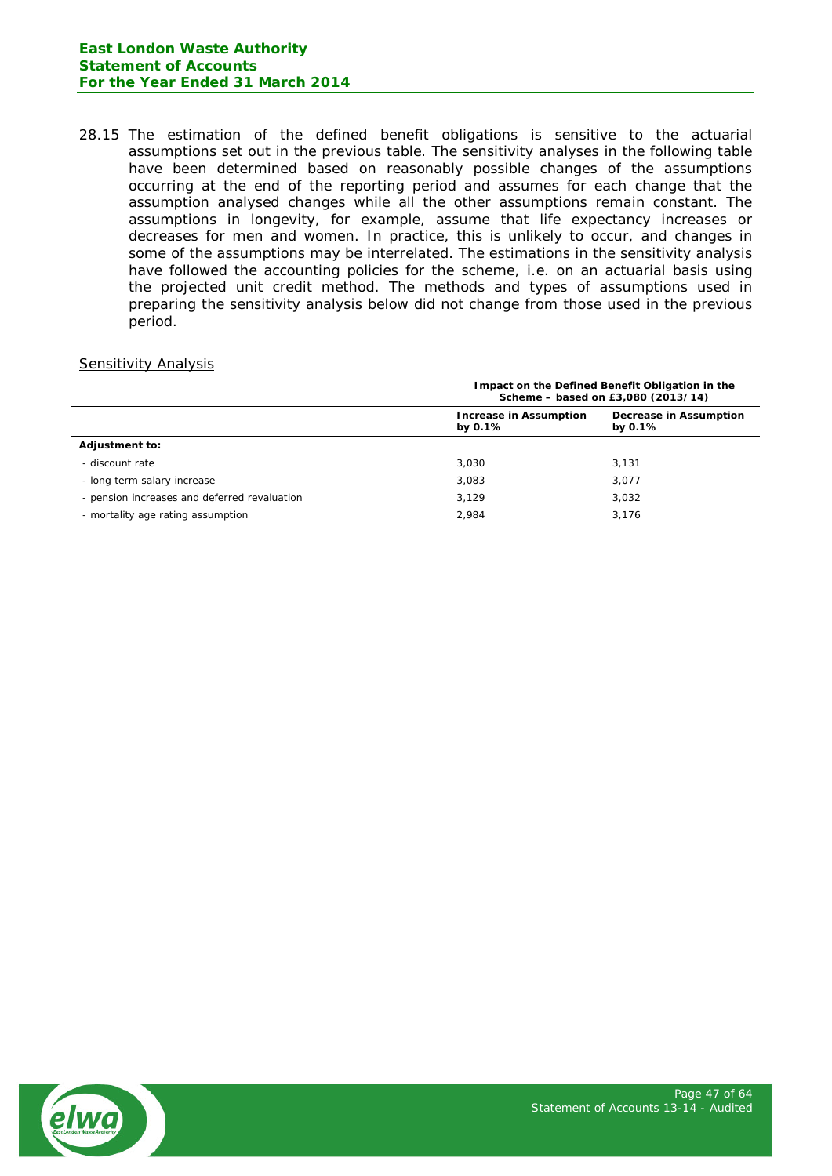28.15 The estimation of the defined benefit obligations is sensitive to the actuarial assumptions set out in the previous table. The sensitivity analyses in the following table have been determined based on reasonably possible changes of the assumptions occurring at the end of the reporting period and assumes for each change that the assumption analysed changes while all the other assumptions remain constant. The assumptions in longevity, for example, assume that life expectancy increases or decreases for men and women. In practice, this is unlikely to occur, and changes in some of the assumptions may be interrelated. The estimations in the sensitivity analysis have followed the accounting policies for the scheme, i.e. on an actuarial basis using the projected unit credit method. The methods and types of assumptions used in preparing the sensitivity analysis below did not change from those used in the previous period.

## Sensitivity Analysis

|                                              | Impact on the Defined Benefit Obligation in the<br>Scheme - based on £3,080 (2013/14) |                                             |  |  |  |
|----------------------------------------------|---------------------------------------------------------------------------------------|---------------------------------------------|--|--|--|
|                                              | <b>Increase in Assumption</b><br>by $0.1\%$                                           | <b>Decrease in Assumption</b><br>by $0.1\%$ |  |  |  |
| <b>Adjustment to:</b>                        |                                                                                       |                                             |  |  |  |
| - discount rate                              | 3,030                                                                                 | 3.131                                       |  |  |  |
| - long term salary increase                  | 3,083                                                                                 | 3.077                                       |  |  |  |
| - pension increases and deferred revaluation | 3.129                                                                                 | 3.032                                       |  |  |  |
| - mortality age rating assumption            | 2,984                                                                                 | 3.176                                       |  |  |  |

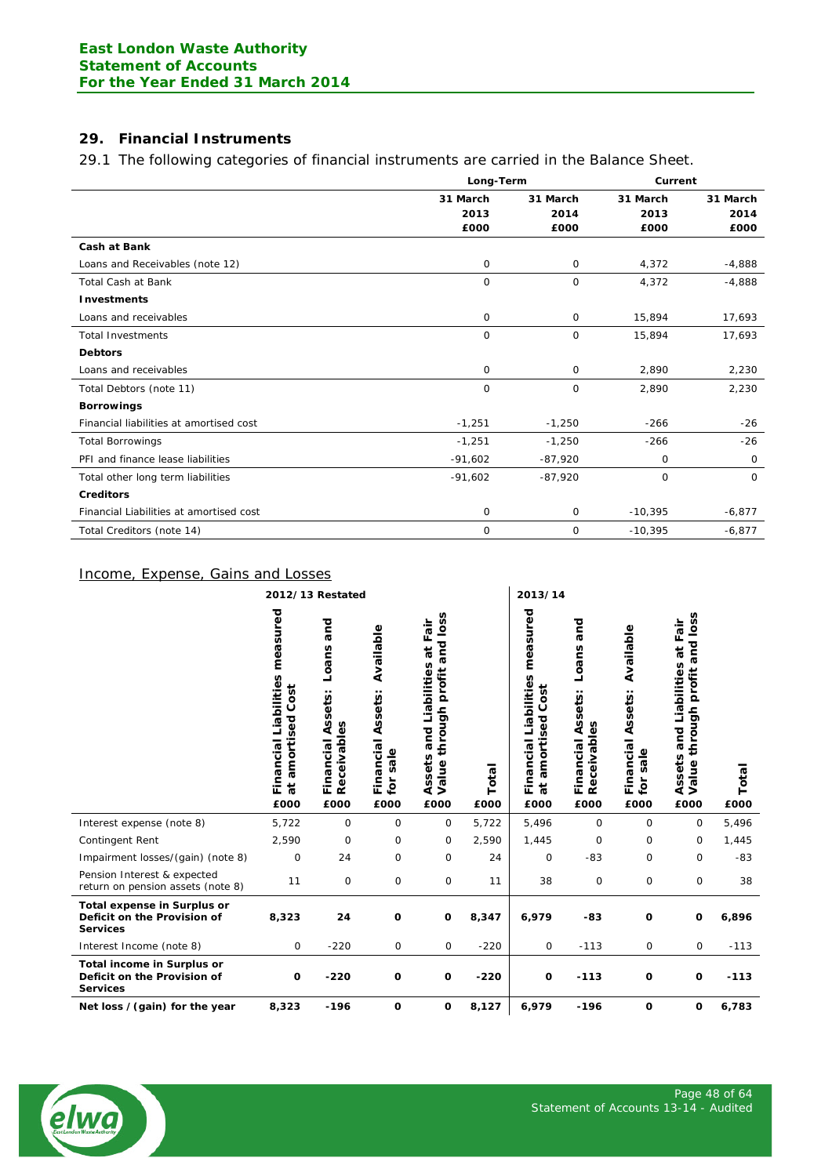# **29. Financial Instruments**

# 29.1 The following categories of financial instruments are carried in the Balance Sheet.

|                                         |           | Long-Term    |           | Current     |
|-----------------------------------------|-----------|--------------|-----------|-------------|
|                                         | 31 March  | 31 March     |           | 31 March    |
|                                         | 2013      | 2014         | 2013      | 2014        |
|                                         | £000      | £000         | £000      | £000        |
| <b>Cash at Bank</b>                     |           |              |           |             |
| Loans and Receivables (note 12)         | 0         | 0            | 4,372     | $-4,888$    |
| <b>Total Cash at Bank</b>               | $\circ$   | $\mathsf{O}$ | 4,372     | $-4,888$    |
| <b>Investments</b>                      |           |              |           |             |
| Loans and receivables                   | 0         | $\mathsf{O}$ | 15,894    | 17,693      |
| <b>Total Investments</b>                | 0         | $\mathsf{O}$ | 15,894    | 17,693      |
| <b>Debtors</b>                          |           |              |           |             |
| Loans and receivables                   | $\circ$   | $\mathsf{O}$ | 2,890     | 2,230       |
| Total Debtors (note 11)                 | $\circ$   | $\mathsf{O}$ | 2,890     | 2,230       |
| <b>Borrowings</b>                       |           |              |           |             |
| Financial liabilities at amortised cost | $-1,251$  | $-1,250$     | $-266$    | $-26$       |
| <b>Total Borrowings</b>                 | $-1,251$  | $-1,250$     | $-266$    | $-26$       |
| PFI and finance lease liabilities       | $-91,602$ | $-87,920$    | 0         | $\mathbf 0$ |
| Total other long term liabilities       | $-91,602$ | $-87,920$    | 0         | $\Omega$    |
| <b>Creditors</b>                        |           |              |           |             |
| Financial Liabilities at amortised cost | 0         | $\mathsf{O}$ | $-10,395$ | $-6,877$    |
| Total Creditors (note 14)               | 0         | $\mathbf 0$  | $-10,395$ | $-6,877$    |

# Income, Expense, Gains and Losses

|                                                                                      |                                                                     | 2012/13 Restated                                            |                                                          |                                                                                                  |               | 2013/14                                                                  |                                                             |                                                          |                                                                                        |               |
|--------------------------------------------------------------------------------------|---------------------------------------------------------------------|-------------------------------------------------------------|----------------------------------------------------------|--------------------------------------------------------------------------------------------------|---------------|--------------------------------------------------------------------------|-------------------------------------------------------------|----------------------------------------------------------|----------------------------------------------------------------------------------------|---------------|
|                                                                                      | measured<br>Financial Liabilities<br>Cost<br>amortised<br>đ<br>£000 | and<br>Loans<br>Assets:<br>Receivables<br>Financial<br>£000 | Available<br>Assets:<br>Financial<br>sale<br>for<br>£000 | and loss<br>at Fair<br>Assets and Liabilities<br>profit<br>through<br>Value <sup>+</sup><br>£000 | Total<br>£000 | measured<br>Financial Liabilities<br>amortised Cost<br>$\vec{a}$<br>£000 | and<br>Loans<br>Assets:<br>Receivables<br>Financial<br>£000 | Available<br>Assets:<br>Financial<br>sale<br>for<br>£000 | and loss<br>at Fair<br>and Liabilities<br>profit<br>through<br>Assets<br>Value<br>£000 | Total<br>£000 |
| Interest expense (note 8)                                                            | 5,722                                                               | $\mathsf{O}$                                                | $\mathbf 0$                                              | $\mathbf 0$                                                                                      | 5,722         | 5,496                                                                    | 0                                                           | $\mathbf 0$                                              | $\mathbf 0$                                                                            | 5,496         |
| Contingent Rent                                                                      | 2,590                                                               | $\mathbf 0$                                                 | 0                                                        | 0                                                                                                | 2,590         | 1,445                                                                    | 0                                                           | $\mathbf 0$                                              | 0                                                                                      | 1,445         |
| Impairment losses/(gain) (note 8)                                                    | $\mathbf 0$                                                         | 24                                                          | $\mathbf 0$                                              | $\mathbf 0$                                                                                      | 24            | $\circ$                                                                  | $-83$                                                       | $\mathbf 0$                                              | $\mathbf 0$                                                                            | $-83$         |
| Pension Interest & expected<br>return on pension assets (note 8)                     | 11                                                                  | 0                                                           | 0                                                        | $\mathsf{O}$                                                                                     | 11            | 38                                                                       | 0                                                           | 0                                                        | $\mathsf{O}$                                                                           | 38            |
| <b>Total expense in Surplus or</b><br>Deficit on the Provision of<br><b>Services</b> | 8,323                                                               | 24                                                          | $\mathbf 0$                                              | O                                                                                                | 8,347         | 6,979                                                                    | $-83$                                                       | $\mathbf 0$                                              | O                                                                                      | 6,896         |
| Interest Income (note 8)                                                             | 0                                                                   | $-220$                                                      | 0                                                        | $\mathsf{O}\xspace$                                                                              | $-220$        | $\mathbf 0$                                                              | $-113$                                                      | 0                                                        | 0                                                                                      | $-113$        |
| Total income in Surplus or<br>Deficit on the Provision of<br><b>Services</b>         | $\mathbf 0$                                                         | $-220$                                                      | $\mathbf 0$                                              | O                                                                                                | $-220$        | O                                                                        | $-113$                                                      | $\mathbf 0$                                              | O                                                                                      | $-113$        |
| Net loss / (gain) for the year                                                       | 8,323                                                               | $-196$                                                      | O                                                        | o                                                                                                | 8,127         | 6,979                                                                    | $-196$                                                      | $\mathbf 0$                                              | O                                                                                      | 6,783         |

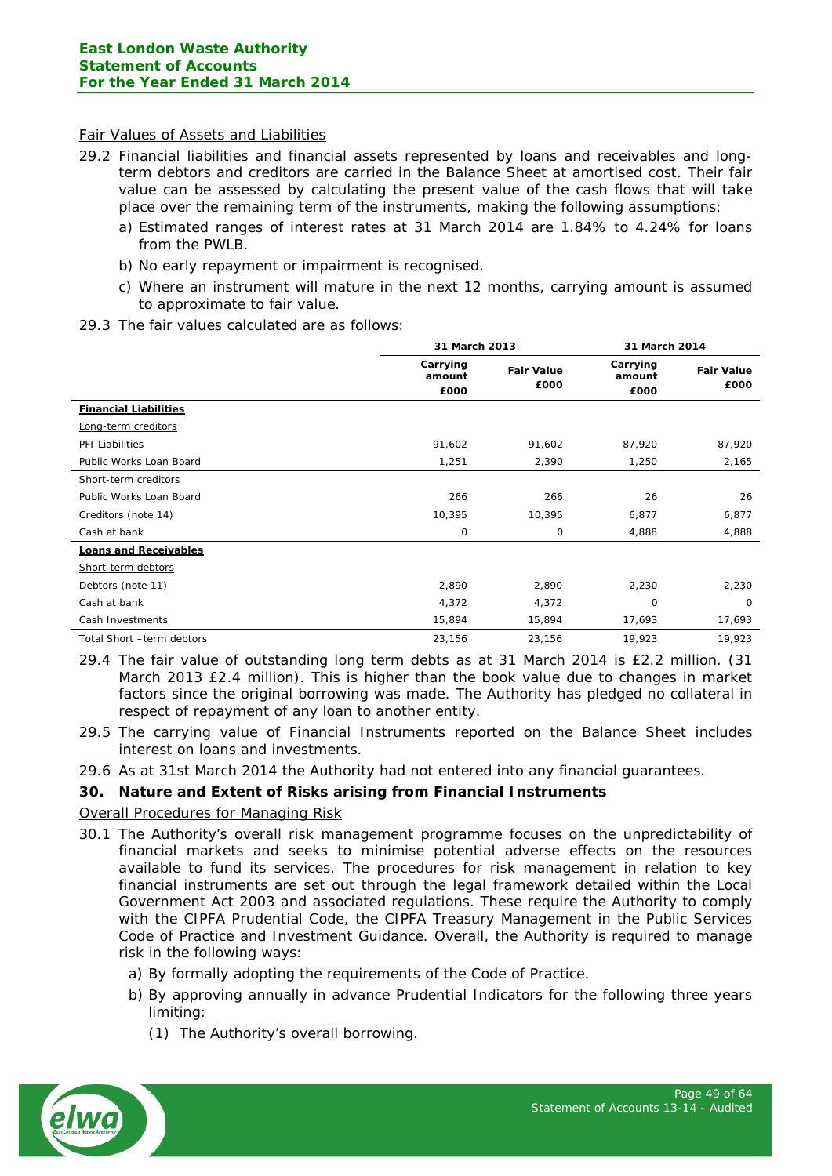#### Fair Values of Assets and Liabilities

- 29.2 Financial liabilities and financial assets represented by loans and receivables and longterm debtors and creditors are carried in the Balance Sheet at amortised cost. Their fair value can be assessed by calculating the present value of the cash flows that will take place over the remaining term of the instruments, making the following assumptions:
	- a) Estimated ranges of interest rates at 31 March 2014 are 1.84% to 4.24% for loans from the PWLB.
	- b) No early repayment or impairment is recognised.
	- c) Where an instrument will mature in the next 12 months, carrying amount is assumed to approximate to fair value.
- 29.3 The fair values calculated are as follows:

|                              | 31 March 2013              |                           | 31 March 2014              |                           |
|------------------------------|----------------------------|---------------------------|----------------------------|---------------------------|
|                              | Carrying<br>amount<br>£000 | <b>Fair Value</b><br>£000 | Carrying<br>amount<br>£000 | <b>Fair Value</b><br>£000 |
| <b>Financial Liabilities</b> |                            |                           |                            |                           |
| Long-term creditors          |                            |                           |                            |                           |
| PFI Liabilities              | 91,602                     | 91,602                    | 87,920                     | 87,920                    |
| Public Works Loan Board      | 1,251                      | 2,390                     | 1,250                      | 2,165                     |
| Short-term creditors         |                            |                           |                            |                           |
| Public Works Loan Board      | 266                        | 266                       | 26                         | 26                        |
| Creditors (note 14)          | 10,395                     | 10,395                    | 6,877                      | 6,877                     |
| Cash at bank                 | 0                          | 0                         | 4,888                      | 4,888                     |
| <b>Loans and Receivables</b> |                            |                           |                            |                           |
| Short-term debtors           |                            |                           |                            |                           |
| Debtors (note 11)            | 2,890                      | 2,890                     | 2,230                      | 2,230                     |
| Cash at bank                 | 4,372                      | 4,372                     | 0                          | $\circ$                   |
| Cash Investments             | 15,894                     | 15,894                    | 17,693                     | 17,693                    |
| Total Short -term debtors    | 23,156                     | 23,156                    | 19,923                     | 19,923                    |

- 29.4 The fair value of outstanding long term debts as at 31 March 2014 is £2.2 million. (31 March 2013 £2.4 million). This is higher than the book value due to changes in market factors since the original borrowing was made. The Authority has pledged no collateral in respect of repayment of any loan to another entity.
- 29.5 The carrying value of Financial Instruments reported on the Balance Sheet includes interest on loans and investments.
- 29.6 As at 31st March 2014 the Authority had not entered into any financial guarantees.

## **30. Nature and Extent of Risks arising from Financial Instruments**

## Overall Procedures for Managing Risk

- 30.1 The Authority's overall risk management programme focuses on the unpredictability of financial markets and seeks to minimise potential adverse effects on the resources available to fund its services. The procedures for risk management in relation to key financial instruments are set out through the legal framework detailed within the Local Government Act 2003 and associated regulations. These require the Authority to comply with the CIPFA Prudential Code, the CIPFA Treasury Management in the Public Services Code of Practice and Investment Guidance. Overall, the Authority is required to manage risk in the following ways:
	- a) By formally adopting the requirements of the Code of Practice.
	- b) By approving annually in advance Prudential Indicators for the following three years limiting:
		- (1) The Authority's overall borrowing.

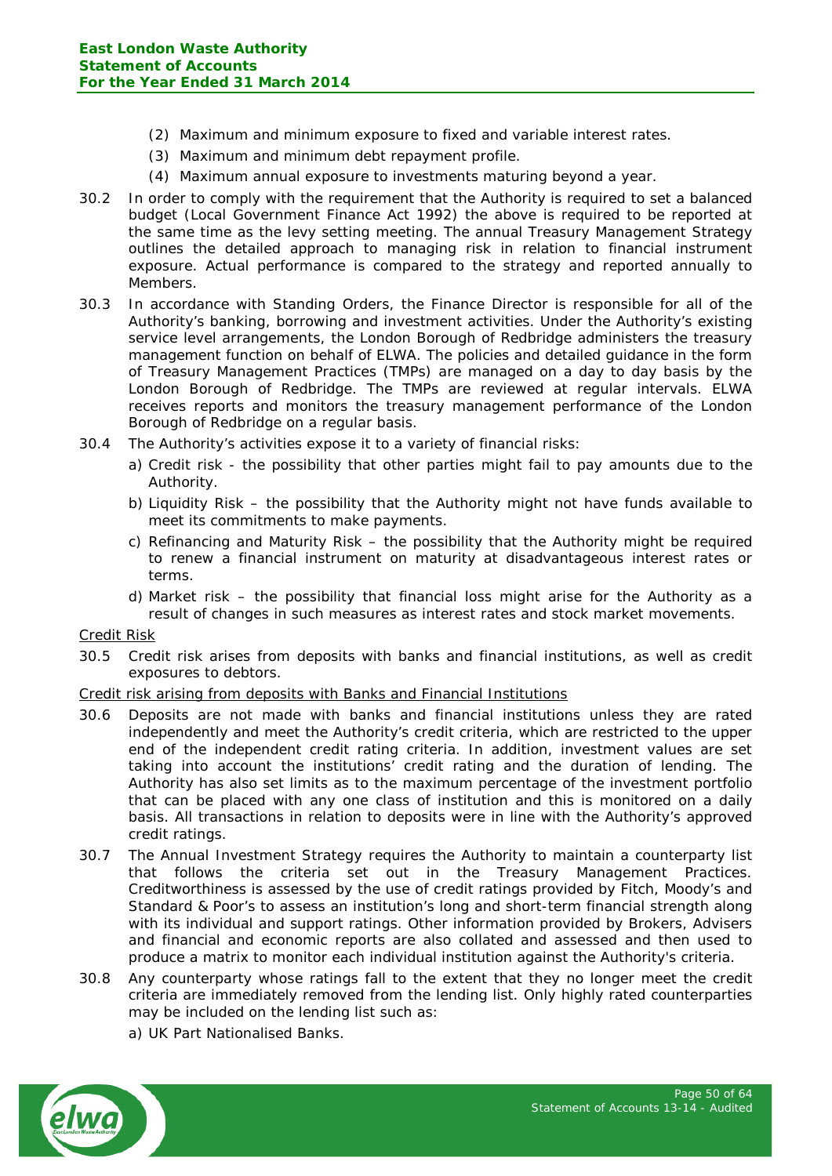- (2) Maximum and minimum exposure to fixed and variable interest rates.
- (3) Maximum and minimum debt repayment profile.
- (4) Maximum annual exposure to investments maturing beyond a year.
- 30.2 In order to comply with the requirement that the Authority is required to set a balanced budget (Local Government Finance Act 1992) the above is required to be reported at the same time as the levy setting meeting. The annual Treasury Management Strategy outlines the detailed approach to managing risk in relation to financial instrument exposure. Actual performance is compared to the strategy and reported annually to Members.
- 30.3 In accordance with Standing Orders, the Finance Director is responsible for all of the Authority's banking, borrowing and investment activities. Under the Authority's existing service level arrangements, the London Borough of Redbridge administers the treasury management function on behalf of ELWA. The policies and detailed guidance in the form of Treasury Management Practices (TMPs) are managed on a day to day basis by the London Borough of Redbridge. The TMPs are reviewed at regular intervals. ELWA receives reports and monitors the treasury management performance of the London Borough of Redbridge on a regular basis.
- 30.4 The Authority's activities expose it to a variety of financial risks:
	- a) Credit risk the possibility that other parties might fail to pay amounts due to the Authority.
	- b) Liquidity Risk the possibility that the Authority might not have funds available to meet its commitments to make payments.
	- c) Refinancing and Maturity Risk the possibility that the Authority might be required to renew a financial instrument on maturity at disadvantageous interest rates or terms.
	- d) Market risk the possibility that financial loss might arise for the Authority as a result of changes in such measures as interest rates and stock market movements.

Credit Risk

30.5 Credit risk arises from deposits with banks and financial institutions, as well as credit exposures to debtors.

## Credit risk arising from deposits with Banks and Financial Institutions

- 30.6 Deposits are not made with banks and financial institutions unless they are rated independently and meet the Authority's credit criteria, which are restricted to the upper end of the independent credit rating criteria. In addition, investment values are set taking into account the institutions' credit rating and the duration of lending. The Authority has also set limits as to the maximum percentage of the investment portfolio that can be placed with any one class of institution and this is monitored on a daily basis. All transactions in relation to deposits were in line with the Authority's approved credit ratings.
- 30.7 The Annual Investment Strategy requires the Authority to maintain a counterparty list that follows the criteria set out in the Treasury Management Practices. Creditworthiness is assessed by the use of credit ratings provided by Fitch, Moody's and Standard & Poor's to assess an institution's long and short-term financial strength along with its individual and support ratings. Other information provided by Brokers, Advisers and financial and economic reports are also collated and assessed and then used to produce a matrix to monitor each individual institution against the Authority's criteria.
- 30.8 Any counterparty whose ratings fall to the extent that they no longer meet the credit criteria are immediately removed from the lending list. Only highly rated counterparties may be included on the lending list such as:
	- a) UK Part Nationalised Banks.

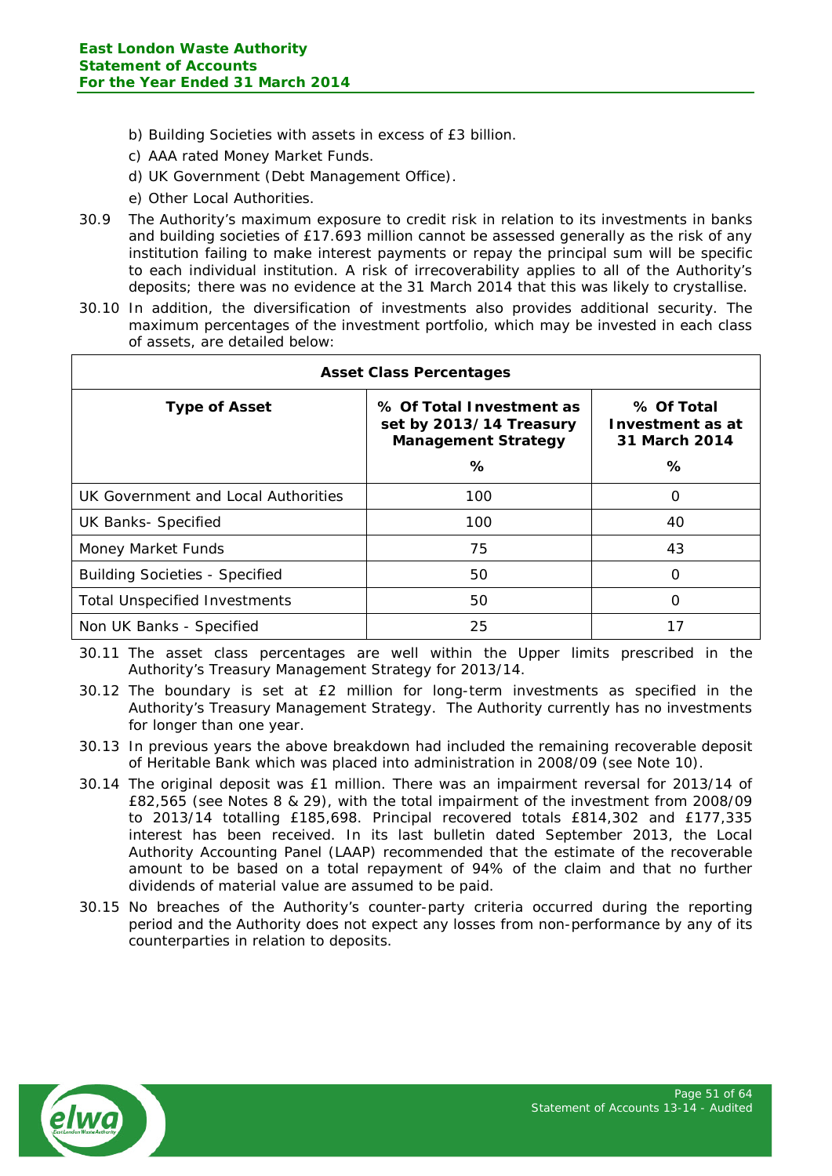- b) Building Societies with assets in excess of £3 billion.
- c) AAA rated Money Market Funds.
- d) UK Government (Debt Management Office).
- e) Other Local Authorities.
- 30.9 The Authority's maximum exposure to credit risk in relation to its investments in banks and building societies of £17.693 million cannot be assessed generally as the risk of any institution failing to make interest payments or repay the principal sum will be specific to each individual institution. A risk of irrecoverability applies to all of the Authority's deposits; there was no evidence at the 31 March 2014 that this was likely to crystallise.
- 30.10 In addition, the diversification of investments also provides additional security. The maximum percentages of the investment portfolio, which may be invested in each class of assets, are detailed below:

| <b>Asset Class Percentages</b>        |                                                                                        |          |  |  |
|---------------------------------------|----------------------------------------------------------------------------------------|----------|--|--|
| <b>Type of Asset</b>                  | % Of Total Investment as<br>set by 2013/14 Treasury<br><b>Management Strategy</b><br>℅ |          |  |  |
| UK Government and Local Authorities   | 100                                                                                    | $\Omega$ |  |  |
| <b>UK Banks- Specified</b>            | 100                                                                                    | 40       |  |  |
| Money Market Funds                    | 75                                                                                     | 43       |  |  |
| <b>Building Societies - Specified</b> | 50                                                                                     | $\Omega$ |  |  |
| <b>Total Unspecified Investments</b>  | 50                                                                                     | $\Omega$ |  |  |
| Non UK Banks - Specified              | 25                                                                                     | 17       |  |  |

30.11 The asset class percentages are well within the Upper limits prescribed in the Authority's Treasury Management Strategy for 2013/14.

- 30.12 The boundary is set at £2 million for long-term investments as specified in the Authority's Treasury Management Strategy. The Authority currently has no investments for longer than one year.
- 30.13 In previous years the above breakdown had included the remaining recoverable deposit of Heritable Bank which was placed into administration in 2008/09 (see Note 10).
- 30.14 The original deposit was £1 million. There was an impairment reversal for 2013/14 of £82,565 (see Notes 8 & 29), with the total impairment of the investment from 2008/09 to 2013/14 totalling £185,698. Principal recovered totals £814,302 and £177,335 interest has been received. In its last bulletin dated September 2013, the Local Authority Accounting Panel (LAAP) recommended that the estimate of the recoverable amount to be based on a total repayment of 94% of the claim and that no further dividends of material value are assumed to be paid.
- 30.15 No breaches of the Authority's counter-party criteria occurred during the reporting period and the Authority does not expect any losses from non-performance by any of its counterparties in relation to deposits.

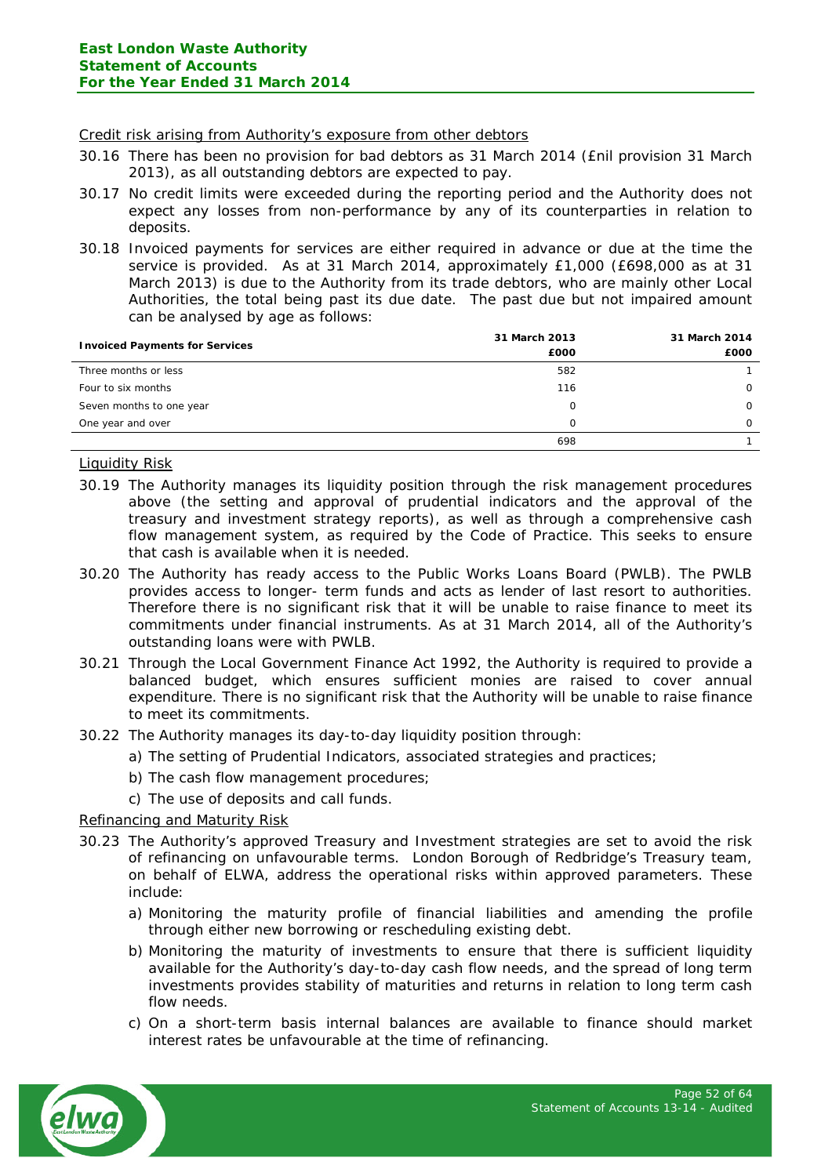#### Credit risk arising from Authority's exposure from other debtors

- 30.16 There has been no provision for bad debtors as 31 March 2014 (£nil provision 31 March 2013), as all outstanding debtors are expected to pay.
- 30.17 No credit limits were exceeded during the reporting period and the Authority does not expect any losses from non-performance by any of its counterparties in relation to deposits.
- 30.18 Invoiced payments for services are either required in advance or due at the time the service is provided. As at 31 March 2014, approximately £1,000 (£698,000 as at 31 March 2013) is due to the Authority from its trade debtors, who are mainly other Local Authorities, the total being past its due date. The past due but not impaired amount can be analysed by age as follows:

|                                       | 31 March 2013 | 31 March 2014 |
|---------------------------------------|---------------|---------------|
| <b>Invoiced Payments for Services</b> | £000          | £000          |
| Three months or less                  | 582           |               |
| Four to six months                    | 116           | $\Omega$      |
| Seven months to one year              | 0             | $\Omega$      |
| One year and over                     | $\Omega$      | $\Omega$      |
|                                       | 698           |               |

## Liquidity Risk

- 30.19 The Authority manages its liquidity position through the risk management procedures above (the setting and approval of prudential indicators and the approval of the treasury and investment strategy reports), as well as through a comprehensive cash flow management system, as required by the Code of Practice. This seeks to ensure that cash is available when it is needed.
- 30.20 The Authority has ready access to the Public Works Loans Board (PWLB). The PWLB provides access to longer- term funds and acts as lender of last resort to authorities. Therefore there is no significant risk that it will be unable to raise finance to meet its commitments under financial instruments. As at 31 March 2014, all of the Authority's outstanding loans were with PWLB.
- 30.21 Through the Local Government Finance Act 1992, the Authority is required to provide a balanced budget, which ensures sufficient monies are raised to cover annual expenditure. There is no significant risk that the Authority will be unable to raise finance to meet its commitments.
- 30.22 The Authority manages its day-to-day liquidity position through:
	- a) The setting of Prudential Indicators, associated strategies and practices;
	- b) The cash flow management procedures;
	- c) The use of deposits and call funds.

## Refinancing and Maturity Risk

- 30.23 The Authority's approved Treasury and Investment strategies are set to avoid the risk of refinancing on unfavourable terms. London Borough of Redbridge's Treasury team, on behalf of ELWA, address the operational risks within approved parameters. These include:
	- a) Monitoring the maturity profile of financial liabilities and amending the profile through either new borrowing or rescheduling existing debt.
	- b) Monitoring the maturity of investments to ensure that there is sufficient liquidity available for the Authority's day-to-day cash flow needs, and the spread of long term investments provides stability of maturities and returns in relation to long term cash flow needs.
	- c) On a short-term basis internal balances are available to finance should market interest rates be unfavourable at the time of refinancing.

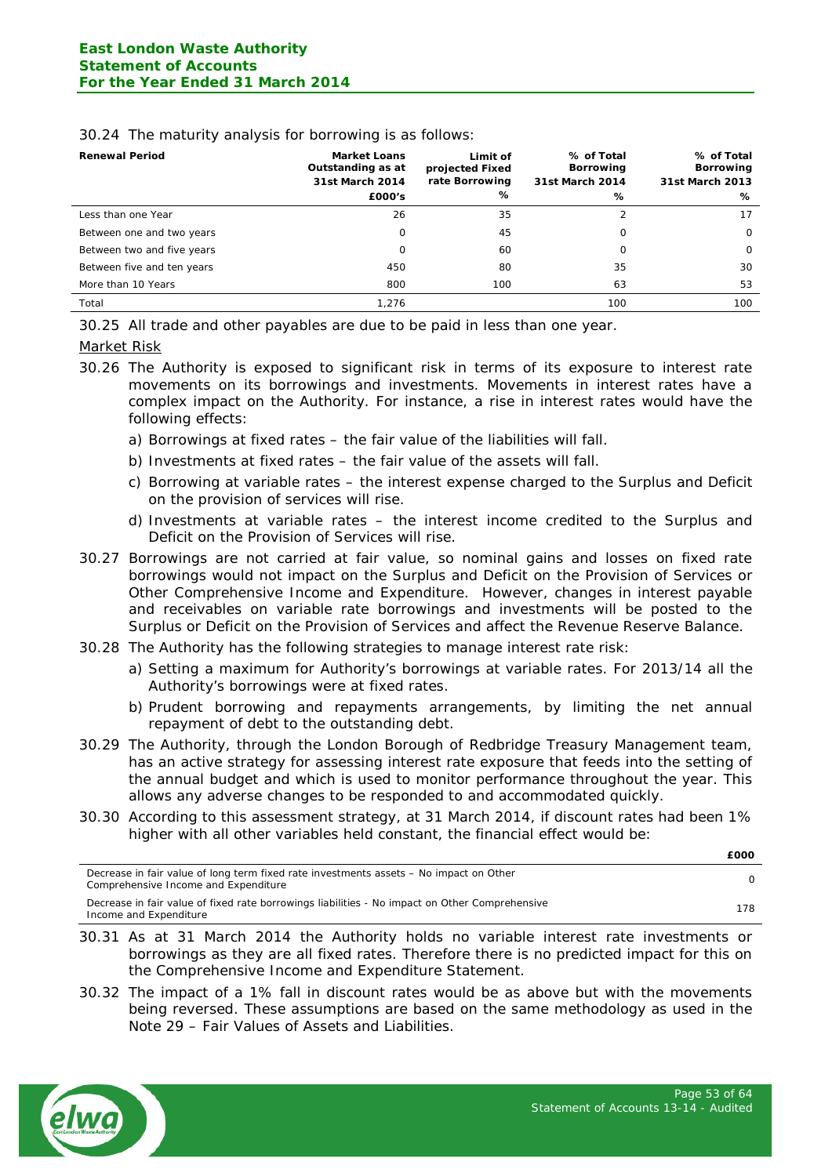| <b>Renewal Period</b>      | <b>Market Loans</b><br>Outstanding as at<br>31st March 2014<br>£000's | Limit of<br>projected Fixed<br>rate Borrowing<br>% | % of Total<br>Borrowing<br>31st March 2014<br>% | % of Total<br>Borrowing<br>31st March 2013<br>℅ |
|----------------------------|-----------------------------------------------------------------------|----------------------------------------------------|-------------------------------------------------|-------------------------------------------------|
| Less than one Year         | 26                                                                    | 35                                                 |                                                 | 17                                              |
| Between one and two years  | 0                                                                     | 45                                                 | 0                                               | $\circ$                                         |
| Between two and five years | 0                                                                     | 60                                                 | 0                                               | $\Omega$                                        |
| Between five and ten years | 450                                                                   | 80                                                 | 35                                              | 30                                              |
| More than 10 Years         | 800                                                                   | 100                                                | 63                                              | 53                                              |
| Total                      | 1,276                                                                 |                                                    | 100                                             | 100                                             |

#### 30.24 The maturity analysis for borrowing is as follows:

30.25 All trade and other payables are due to be paid in less than one year.

#### Market Risk

- 30.26 The Authority is exposed to significant risk in terms of its exposure to interest rate movements on its borrowings and investments. Movements in interest rates have a complex impact on the Authority. For instance, a rise in interest rates would have the following effects:
	- a) Borrowings at fixed rates the fair value of the liabilities will fall.
	- b) Investments at fixed rates the fair value of the assets will fall.
	- c) Borrowing at variable rates the interest expense charged to the Surplus and Deficit on the provision of services will rise.
	- d) Investments at variable rates the interest income credited to the Surplus and Deficit on the Provision of Services will rise.
- 30.27 Borrowings are not carried at fair value, so nominal gains and losses on fixed rate borrowings would not impact on the Surplus and Deficit on the Provision of Services or Other Comprehensive Income and Expenditure. However, changes in interest payable and receivables on variable rate borrowings and investments will be posted to the Surplus or Deficit on the Provision of Services and affect the Revenue Reserve Balance.
- 30.28 The Authority has the following strategies to manage interest rate risk:
	- a) Setting a maximum for Authority's borrowings at variable rates. For 2013/14 all the Authority's borrowings were at fixed rates.
	- b) Prudent borrowing and repayments arrangements, by limiting the net annual repayment of debt to the outstanding debt.
- 30.29 The Authority, through the London Borough of Redbridge Treasury Management team, has an active strategy for assessing interest rate exposure that feeds into the setting of the annual budget and which is used to monitor performance throughout the year. This allows any adverse changes to be responded to and accommodated quickly.
- 30.30 According to this assessment strategy, at 31 March 2014, if discount rates had been 1% higher with all other variables held constant, the financial effect would be:

| Decrease in fair value of long term fixed rate investments assets – No impact on Other<br>Comprehensive Income and Expenditure |     |
|--------------------------------------------------------------------------------------------------------------------------------|-----|
| Decrease in fair value of fixed rate borrowings liabilities - No impact on Other Comprehensive<br>Income and Expenditure       | 178 |

- 30.31 As at 31 March 2014 the Authority holds no variable interest rate investments or borrowings as they are all fixed rates. Therefore there is no predicted impact for this on the Comprehensive Income and Expenditure Statement.
- 30.32 The impact of a 1% fall in discount rates would be as above but with the movements being reversed. These assumptions are based on the same methodology as used in the Note 29 – Fair Values of Assets and Liabilities.



**£000**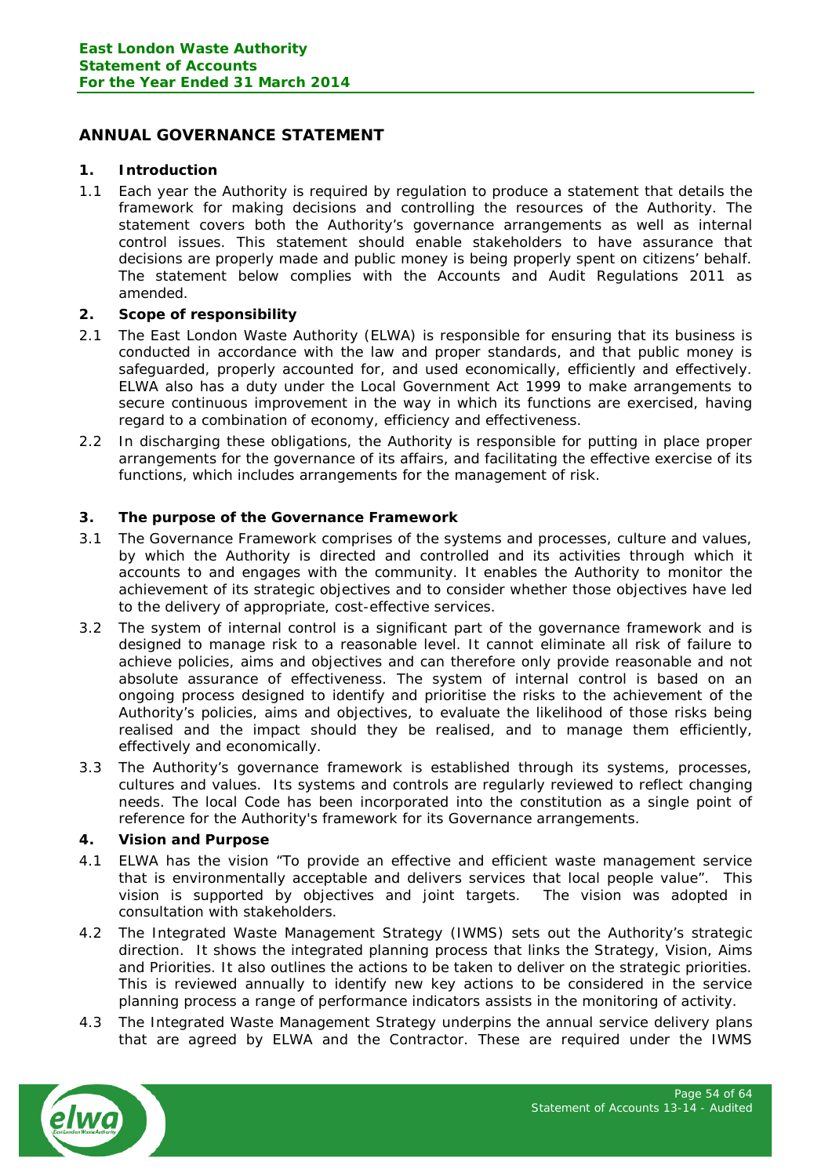# <span id="page-53-0"></span>**ANNUAL GOVERNANCE STATEMENT**

## **1. Introduction**

1.1 Each year the Authority is required by regulation to produce a statement that details the framework for making decisions and controlling the resources of the Authority. The statement covers both the Authority's governance arrangements as well as internal control issues. This statement should enable stakeholders to have assurance that decisions are properly made and public money is being properly spent on citizens' behalf. The statement below complies with the Accounts and Audit Regulations 2011 as amended.

# **2. Scope of responsibility**

- 2.1 The East London Waste Authority (ELWA) is responsible for ensuring that its business is conducted in accordance with the law and proper standards, and that public money is safeguarded, properly accounted for, and used economically, efficiently and effectively. ELWA also has a duty under the Local Government Act 1999 to make arrangements to secure continuous improvement in the way in which its functions are exercised, having regard to a combination of economy, efficiency and effectiveness.
- 2.2 In discharging these obligations, the Authority is responsible for putting in place proper arrangements for the governance of its affairs, and facilitating the effective exercise of its functions, which includes arrangements for the management of risk.

# **3. The purpose of the Governance Framework**

- 3.1 The Governance Framework comprises of the systems and processes, culture and values, by which the Authority is directed and controlled and its activities through which it accounts to and engages with the community. It enables the Authority to monitor the achievement of its strategic objectives and to consider whether those objectives have led to the delivery of appropriate, cost-effective services.
- 3.2 The system of internal control is a significant part of the governance framework and is designed to manage risk to a reasonable level. It cannot eliminate all risk of failure to achieve policies, aims and objectives and can therefore only provide reasonable and not absolute assurance of effectiveness. The system of internal control is based on an ongoing process designed to identify and prioritise the risks to the achievement of the Authority's policies, aims and objectives, to evaluate the likelihood of those risks being realised and the impact should they be realised, and to manage them efficiently, effectively and economically.
- 3.3 The Authority's governance framework is established through its systems, processes, cultures and values. Its systems and controls are regularly reviewed to reflect changing needs. The local Code has been incorporated into the constitution as a single point of reference for the Authority's framework for its Governance arrangements.

## **4. Vision and Purpose**

- 4.1 ELWA has the vision "To provide an effective and efficient waste management service that is environmentally acceptable and delivers services that local people value". This vision is supported by objectives and joint targets. The vision was adopted in consultation with stakeholders.
- 4.2 The Integrated Waste Management Strategy (IWMS) sets out the Authority's strategic direction. It shows the integrated planning process that links the Strategy, Vision, Aims and Priorities. It also outlines the actions to be taken to deliver on the strategic priorities. This is reviewed annually to identify new key actions to be considered in the service planning process a range of performance indicators assists in the monitoring of activity.
- 4.3 The Integrated Waste Management Strategy underpins the annual service delivery plans that are agreed by ELWA and the Contractor. These are required under the IWMS

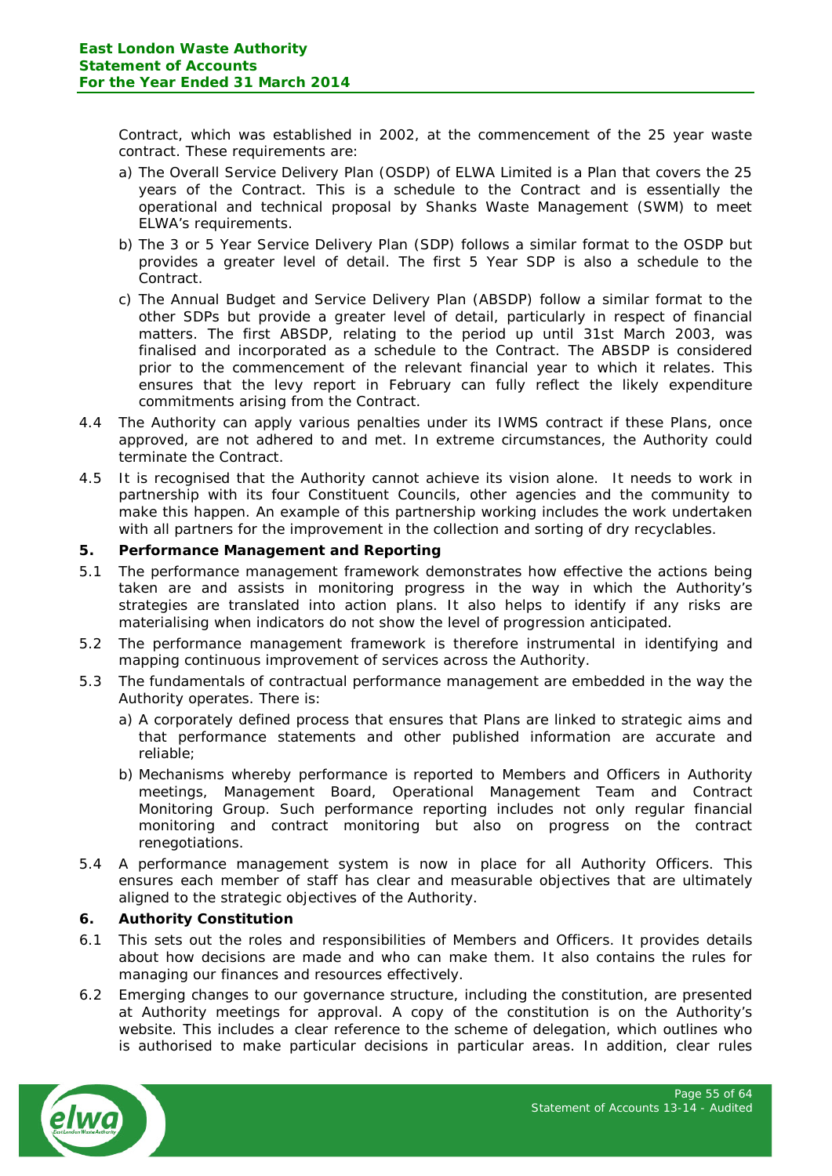Contract, which was established in 2002, at the commencement of the 25 year waste contract. These requirements are:

- a) The Overall Service Delivery Plan (OSDP) of ELWA Limited is a Plan that covers the 25 years of the Contract. This is a schedule to the Contract and is essentially the operational and technical proposal by Shanks Waste Management (SWM) to meet ELWA's requirements.
- b) The 3 or 5 Year Service Delivery Plan (SDP) follows a similar format to the OSDP but provides a greater level of detail. The first 5 Year SDP is also a schedule to the Contract.
- c) The Annual Budget and Service Delivery Plan (ABSDP) follow a similar format to the other SDPs but provide a greater level of detail, particularly in respect of financial matters. The first ABSDP, relating to the period up until 31st March 2003, was finalised and incorporated as a schedule to the Contract. The ABSDP is considered prior to the commencement of the relevant financial year to which it relates. This ensures that the levy report in February can fully reflect the likely expenditure commitments arising from the Contract.
- 4.4 The Authority can apply various penalties under its IWMS contract if these Plans, once approved, are not adhered to and met. In extreme circumstances, the Authority could terminate the Contract.
- 4.5 It is recognised that the Authority cannot achieve its vision alone. It needs to work in partnership with its four Constituent Councils, other agencies and the community to make this happen. An example of this partnership working includes the work undertaken with all partners for the improvement in the collection and sorting of dry recyclables.

## **5. Performance Management and Reporting**

- 5.1 The performance management framework demonstrates how effective the actions being taken are and assists in monitoring progress in the way in which the Authority's strategies are translated into action plans. It also helps to identify if any risks are materialising when indicators do not show the level of progression anticipated.
- 5.2 The performance management framework is therefore instrumental in identifying and mapping continuous improvement of services across the Authority.
- 5.3 The fundamentals of contractual performance management are embedded in the way the Authority operates. There is:
	- a) A corporately defined process that ensures that Plans are linked to strategic aims and that performance statements and other published information are accurate and reliable;
	- b) Mechanisms whereby performance is reported to Members and Officers in Authority meetings, Management Board, Operational Management Team and Contract Monitoring Group. Such performance reporting includes not only regular financial monitoring and contract monitoring but also on progress on the contract renegotiations.
- 5.4 A performance management system is now in place for all Authority Officers. This ensures each member of staff has clear and measurable objectives that are ultimately aligned to the strategic objectives of the Authority.

## **6. Authority Constitution**

- 6.1 This sets out the roles and responsibilities of Members and Officers. It provides details about how decisions are made and who can make them. It also contains the rules for managing our finances and resources effectively.
- 6.2 Emerging changes to our governance structure, including the constitution, are presented at Authority meetings for approval. A copy of the constitution is on the Authority's website. This includes a clear reference to the scheme of delegation, which outlines who is authorised to make particular decisions in particular areas. In addition, clear rules

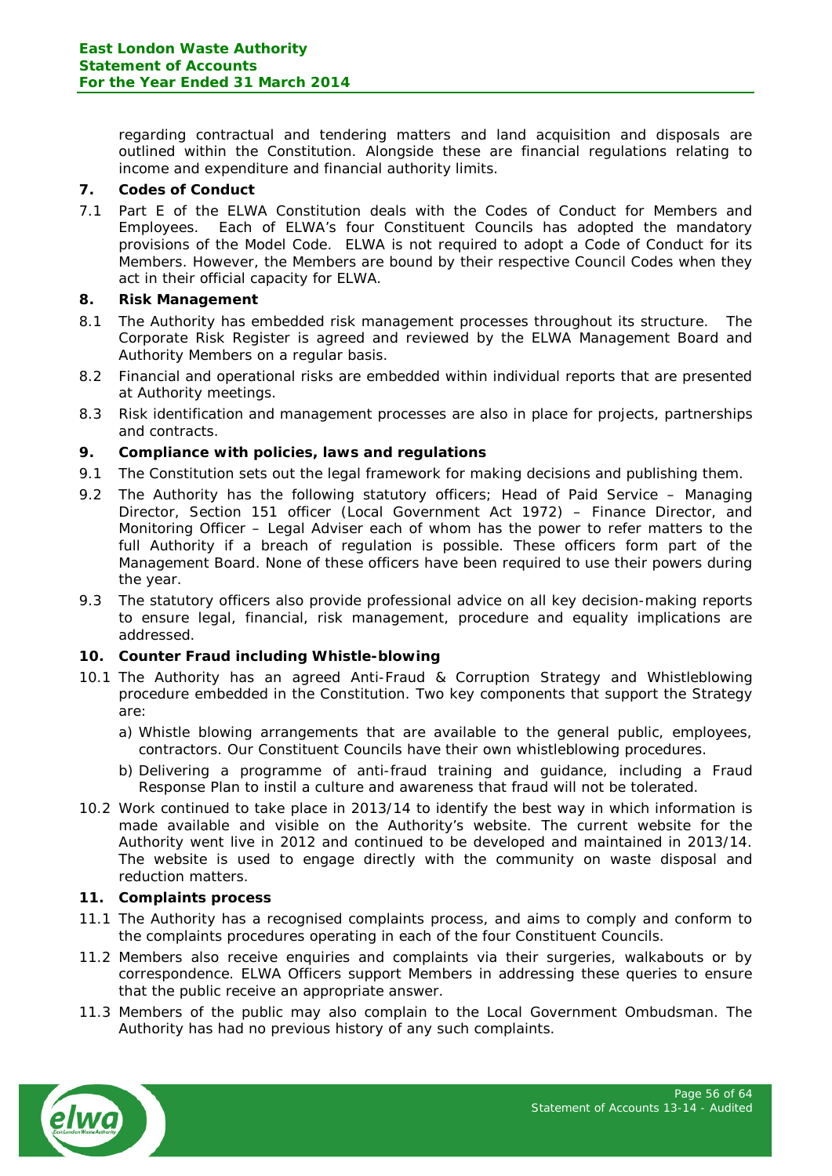regarding contractual and tendering matters and land acquisition and disposals are outlined within the Constitution. Alongside these are financial regulations relating to income and expenditure and financial authority limits.

## **7. Codes of Conduct**

7.1 Part E of the ELWA Constitution deals with the Codes of Conduct for Members and Employees. Each of ELWA's four Constituent Councils has adopted the mandatory provisions of the Model Code. ELWA is not required to adopt a Code of Conduct for its Members. However, the Members are bound by their respective Council Codes when they act in their official capacity for ELWA.

## **8. Risk Management**

- 8.1 The Authority has embedded risk management processes throughout its structure. The Corporate Risk Register is agreed and reviewed by the ELWA Management Board and Authority Members on a regular basis.
- 8.2 Financial and operational risks are embedded within individual reports that are presented at Authority meetings.
- 8.3 Risk identification and management processes are also in place for projects, partnerships and contracts.

# **9. Compliance with policies, laws and regulations**

- 9.1 The Constitution sets out the legal framework for making decisions and publishing them.
- 9.2 The Authority has the following statutory officers; Head of Paid Service Managing Director, Section 151 officer (Local Government Act 1972) – Finance Director, and Monitoring Officer – Legal Adviser each of whom has the power to refer matters to the full Authority if a breach of regulation is possible. These officers form part of the Management Board. None of these officers have been required to use their powers during the year.
- 9.3 The statutory officers also provide professional advice on all key decision-making reports to ensure legal, financial, risk management, procedure and equality implications are addressed.

## **10. Counter Fraud including Whistle-blowing**

- 10.1 The Authority has an agreed Anti-Fraud & Corruption Strategy and Whistleblowing procedure embedded in the Constitution. Two key components that support the Strategy are:
	- a) Whistle blowing arrangements that are available to the general public, employees, contractors. Our Constituent Councils have their own whistleblowing procedures.
	- b) Delivering a programme of anti-fraud training and guidance, including a Fraud Response Plan to instil a culture and awareness that fraud will not be tolerated.
- 10.2 Work continued to take place in 2013/14 to identify the best way in which information is made available and visible on the Authority's website. The current website for the Authority went live in 2012 and continued to be developed and maintained in 2013/14. The website is used to engage directly with the community on waste disposal and reduction matters.

## **11. Complaints process**

- 11.1 The Authority has a recognised complaints process, and aims to comply and conform to the complaints procedures operating in each of the four Constituent Councils.
- 11.2 Members also receive enquiries and complaints via their surgeries, walkabouts or by correspondence. ELWA Officers support Members in addressing these queries to ensure that the public receive an appropriate answer.
- 11.3 Members of the public may also complain to the Local Government Ombudsman. The Authority has had no previous history of any such complaints.

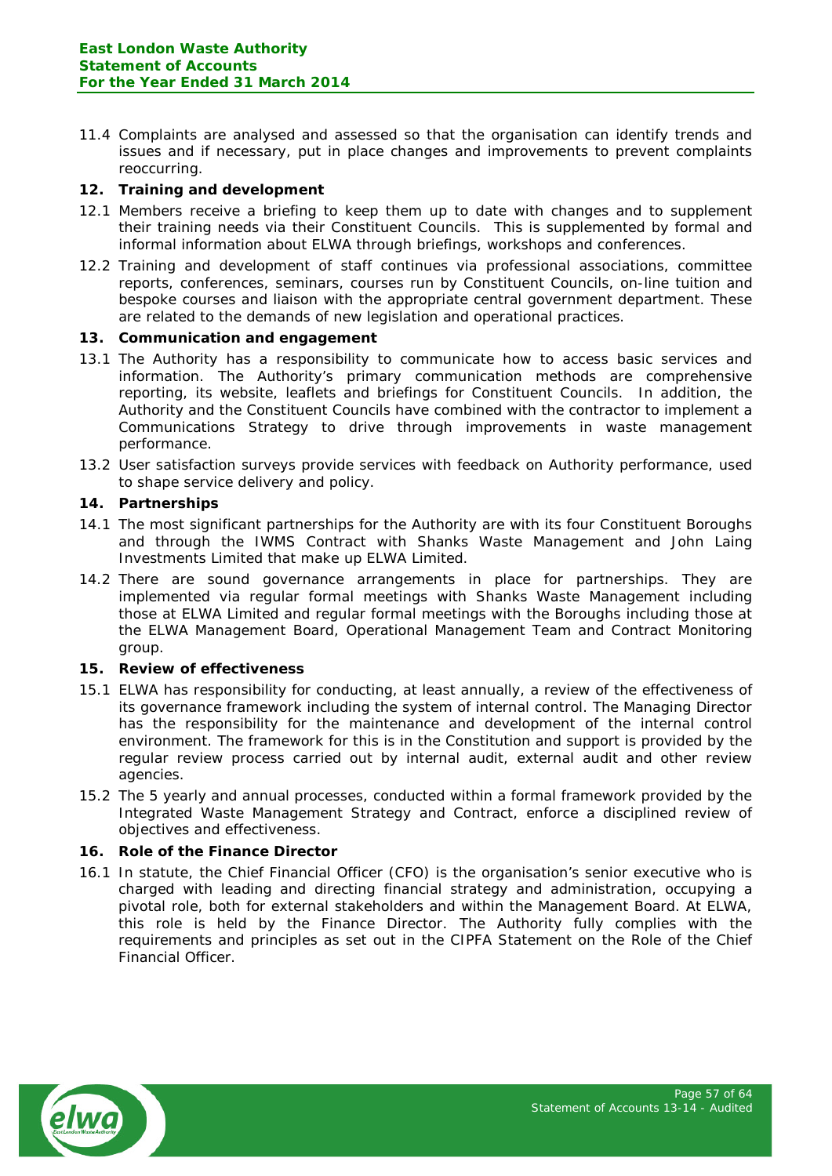11.4 Complaints are analysed and assessed so that the organisation can identify trends and issues and if necessary, put in place changes and improvements to prevent complaints reoccurring.

## **12. Training and development**

- 12.1 Members receive a briefing to keep them up to date with changes and to supplement their training needs via their Constituent Councils. This is supplemented by formal and informal information about ELWA through briefings, workshops and conferences.
- 12.2 Training and development of staff continues via professional associations, committee reports, conferences, seminars, courses run by Constituent Councils, on-line tuition and bespoke courses and liaison with the appropriate central government department. These are related to the demands of new legislation and operational practices.

# **13. Communication and engagement**

- 13.1 The Authority has a responsibility to communicate how to access basic services and information. The Authority's primary communication methods are comprehensive reporting, its website, leaflets and briefings for Constituent Councils. In addition, the Authority and the Constituent Councils have combined with the contractor to implement a Communications Strategy to drive through improvements in waste management performance.
- 13.2 User satisfaction surveys provide services with feedback on Authority performance, used to shape service delivery and policy.

# **14. Partnerships**

- 14.1 The most significant partnerships for the Authority are with its four Constituent Boroughs and through the IWMS Contract with Shanks Waste Management and John Laing Investments Limited that make up ELWA Limited.
- 14.2 There are sound governance arrangements in place for partnerships. They are implemented via regular formal meetings with Shanks Waste Management including those at ELWA Limited and regular formal meetings with the Boroughs including those at the ELWA Management Board, Operational Management Team and Contract Monitoring group.

## **15. Review of effectiveness**

- 15.1 ELWA has responsibility for conducting, at least annually, a review of the effectiveness of its governance framework including the system of internal control. The Managing Director has the responsibility for the maintenance and development of the internal control environment. The framework for this is in the Constitution and support is provided by the regular review process carried out by internal audit, external audit and other review agencies.
- 15.2 The 5 yearly and annual processes, conducted within a formal framework provided by the Integrated Waste Management Strategy and Contract, enforce a disciplined review of objectives and effectiveness.

## **16. Role of the Finance Director**

16.1 In statute, the Chief Financial Officer (CFO) is the organisation's senior executive who is charged with leading and directing financial strategy and administration, occupying a pivotal role, both for external stakeholders and within the Management Board. At ELWA, this role is held by the Finance Director. The Authority fully complies with the requirements and principles as set out in the CIPFA Statement on the Role of the Chief Financial Officer.

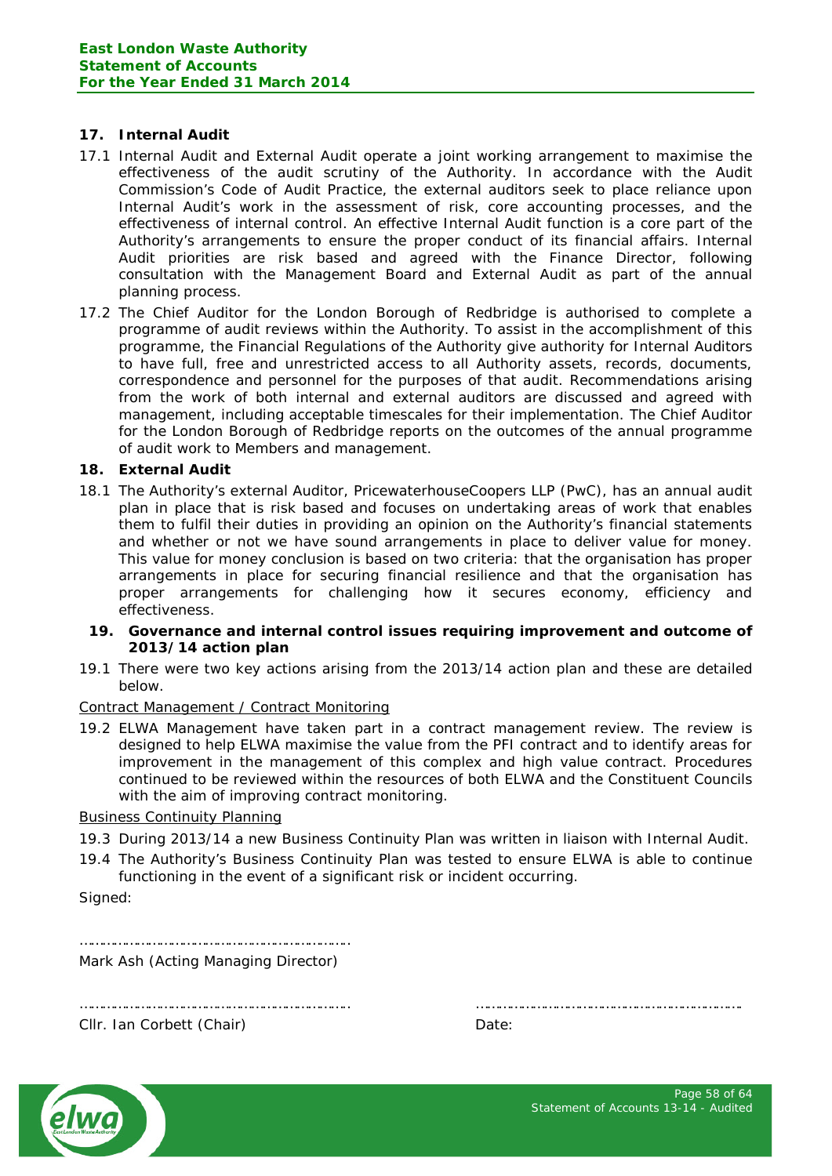## **17. Internal Audit**

- 17.1 Internal Audit and External Audit operate a joint working arrangement to maximise the effectiveness of the audit scrutiny of the Authority. In accordance with the Audit Commission's Code of Audit Practice, the external auditors seek to place reliance upon Internal Audit's work in the assessment of risk, core accounting processes, and the effectiveness of internal control. An effective Internal Audit function is a core part of the Authority's arrangements to ensure the proper conduct of its financial affairs. Internal Audit priorities are risk based and agreed with the Finance Director, following consultation with the Management Board and External Audit as part of the annual planning process.
- 17.2 The Chief Auditor for the London Borough of Redbridge is authorised to complete a programme of audit reviews within the Authority. To assist in the accomplishment of this programme, the Financial Regulations of the Authority give authority for Internal Auditors to have full, free and unrestricted access to all Authority assets, records, documents, correspondence and personnel for the purposes of that audit. Recommendations arising from the work of both internal and external auditors are discussed and agreed with management, including acceptable timescales for their implementation. The Chief Auditor for the London Borough of Redbridge reports on the outcomes of the annual programme of audit work to Members and management.

## **18. External Audit**

18.1 The Authority's external Auditor, PricewaterhouseCoopers LLP (PwC), has an annual audit plan in place that is risk based and focuses on undertaking areas of work that enables them to fulfil their duties in providing an opinion on the Authority's financial statements and whether or not we have sound arrangements in place to deliver value for money. This value for money conclusion is based on two criteria: that the organisation has proper arrangements in place for securing financial resilience and that the organisation has proper arrangements for challenging how it secures economy, efficiency and effectiveness.

#### **19. Governance and internal control issues requiring improvement and outcome of 2013/14 action plan**

19.1 There were two key actions arising from the 2013/14 action plan and these are detailed below.

## Contract Management / Contract Monitoring

19.2 ELWA Management have taken part in a contract management review. The review is designed to help ELWA maximise the value from the PFI contract and to identify areas for improvement in the management of this complex and high value contract. Procedures continued to be reviewed within the resources of both ELWA and the Constituent Councils with the aim of improving contract monitoring.

#### Business Continuity Planning

- 19.3 During 2013/14 a new Business Continuity Plan was written in liaison with Internal Audit.
- 19.4 The Authority's Business Continuity Plan was tested to ensure ELWA is able to continue functioning in the event of a significant risk or incident occurring.

Signed:

…………………………………………………………….. Mark Ash (Acting Managing Director)

…………………………………………………………….. …………………………………………………………….



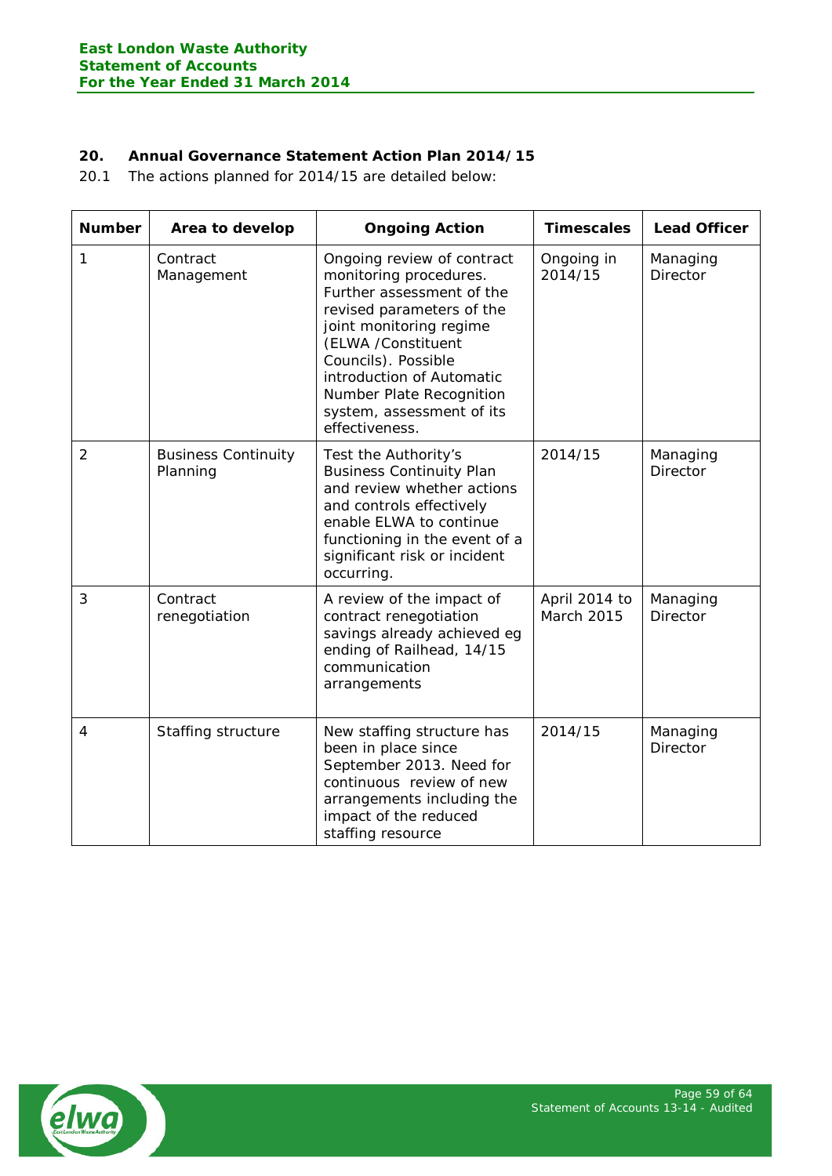# **20. Annual Governance Statement Action Plan 2014/15**

20.1 The actions planned for 2014/15 are detailed below:

| <b>Number</b>  | Area to develop                        | <b>Ongoing Action</b>                                                                                                                                                                                                                                                                          | <b>Timescales</b>                  | <b>Lead Officer</b>         |
|----------------|----------------------------------------|------------------------------------------------------------------------------------------------------------------------------------------------------------------------------------------------------------------------------------------------------------------------------------------------|------------------------------------|-----------------------------|
| 1              | Contract<br>Management                 | Ongoing review of contract<br>monitoring procedures.<br>Further assessment of the<br>revised parameters of the<br>joint monitoring regime<br>(ELWA /Constituent<br>Councils). Possible<br>introduction of Automatic<br>Number Plate Recognition<br>system, assessment of its<br>effectiveness. | Ongoing in<br>2014/15              | Managing<br>Director        |
| $\overline{2}$ | <b>Business Continuity</b><br>Planning | Test the Authority's<br><b>Business Continuity Plan</b><br>and review whether actions<br>and controls effectively<br>enable ELWA to continue<br>functioning in the event of a<br>significant risk or incident<br>occurring.                                                                    | 2014/15                            | Managing<br><b>Director</b> |
| 3              | Contract<br>renegotiation              | A review of the impact of<br>contract renegotiation<br>savings already achieved eg<br>ending of Railhead, 14/15<br>communication<br>arrangements                                                                                                                                               | April 2014 to<br><b>March 2015</b> | Managing<br>Director        |
| $\overline{4}$ | Staffing structure                     | New staffing structure has<br>been in place since<br>September 2013. Need for<br>continuous review of new<br>arrangements including the<br>impact of the reduced<br>staffing resource                                                                                                          | 2014/15                            | Managing<br><b>Director</b> |

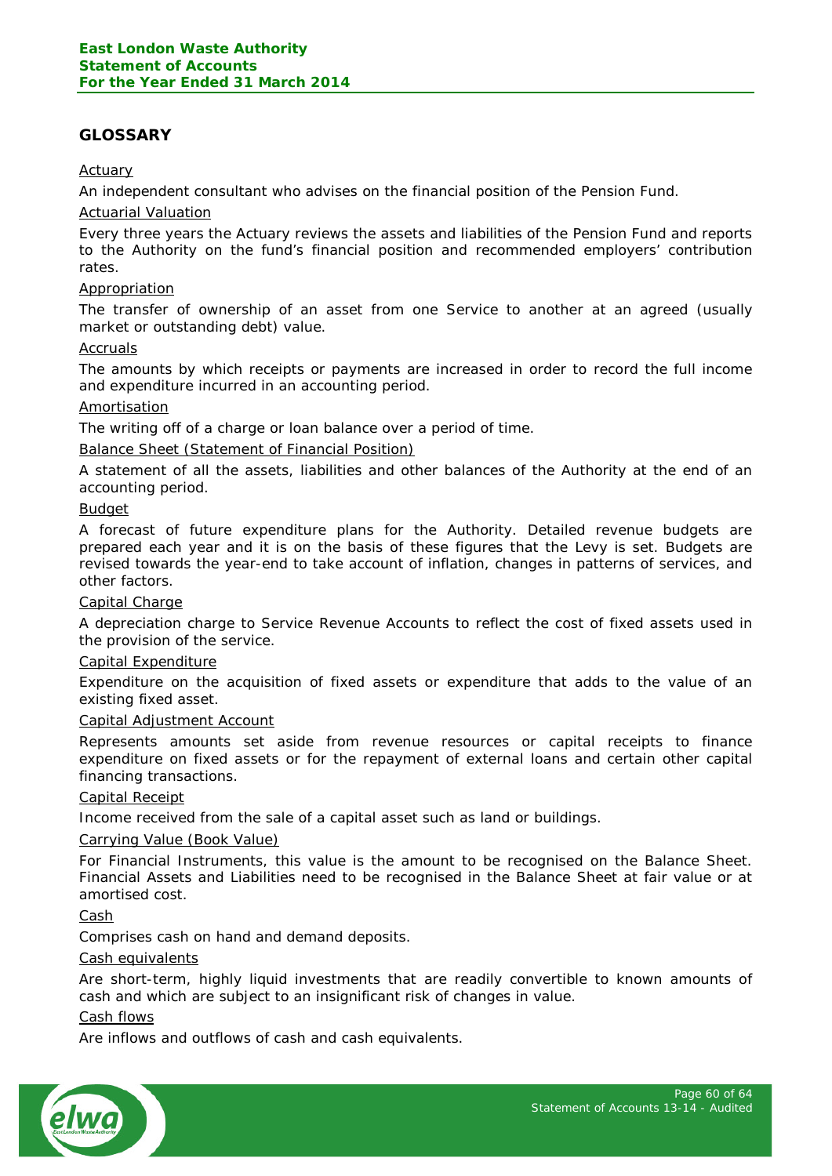# <span id="page-59-0"></span>**GLOSSARY**

## Actuary

An independent consultant who advises on the financial position of the Pension Fund.

#### Actuarial Valuation

Every three years the Actuary reviews the assets and liabilities of the Pension Fund and reports to the Authority on the fund's financial position and recommended employers' contribution rates.

## Appropriation

The transfer of ownership of an asset from one Service to another at an agreed (usually market or outstanding debt) value.

#### Accruals

The amounts by which receipts or payments are increased in order to record the full income and expenditure incurred in an accounting period.

#### Amortisation

The writing off of a charge or loan balance over a period of time.

#### Balance Sheet (Statement of Financial Position)

A statement of all the assets, liabilities and other balances of the Authority at the end of an accounting period.

#### Budget

A forecast of future expenditure plans for the Authority. Detailed revenue budgets are prepared each year and it is on the basis of these figures that the Levy is set. Budgets are revised towards the year-end to take account of inflation, changes in patterns of services, and other factors.

#### Capital Charge

A depreciation charge to Service Revenue Accounts to reflect the cost of fixed assets used in the provision of the service.

#### Capital Expenditure

Expenditure on the acquisition of fixed assets or expenditure that adds to the value of an existing fixed asset.

#### Capital Adjustment Account

Represents amounts set aside from revenue resources or capital receipts to finance expenditure on fixed assets or for the repayment of external loans and certain other capital financing transactions.

#### Capital Receipt

Income received from the sale of a capital asset such as land or buildings.

#### Carrying Value (Book Value)

For Financial Instruments, this value is the amount to be recognised on the Balance Sheet. Financial Assets and Liabilities need to be recognised in the Balance Sheet at fair value or at amortised cost.

Cash

Comprises cash on hand and demand deposits.

#### Cash equivalents

Are short-term, highly liquid investments that are readily convertible to known amounts of cash and which are subject to an insignificant risk of changes in value.

## Cash flows

Are inflows and outflows of cash and cash equivalents.

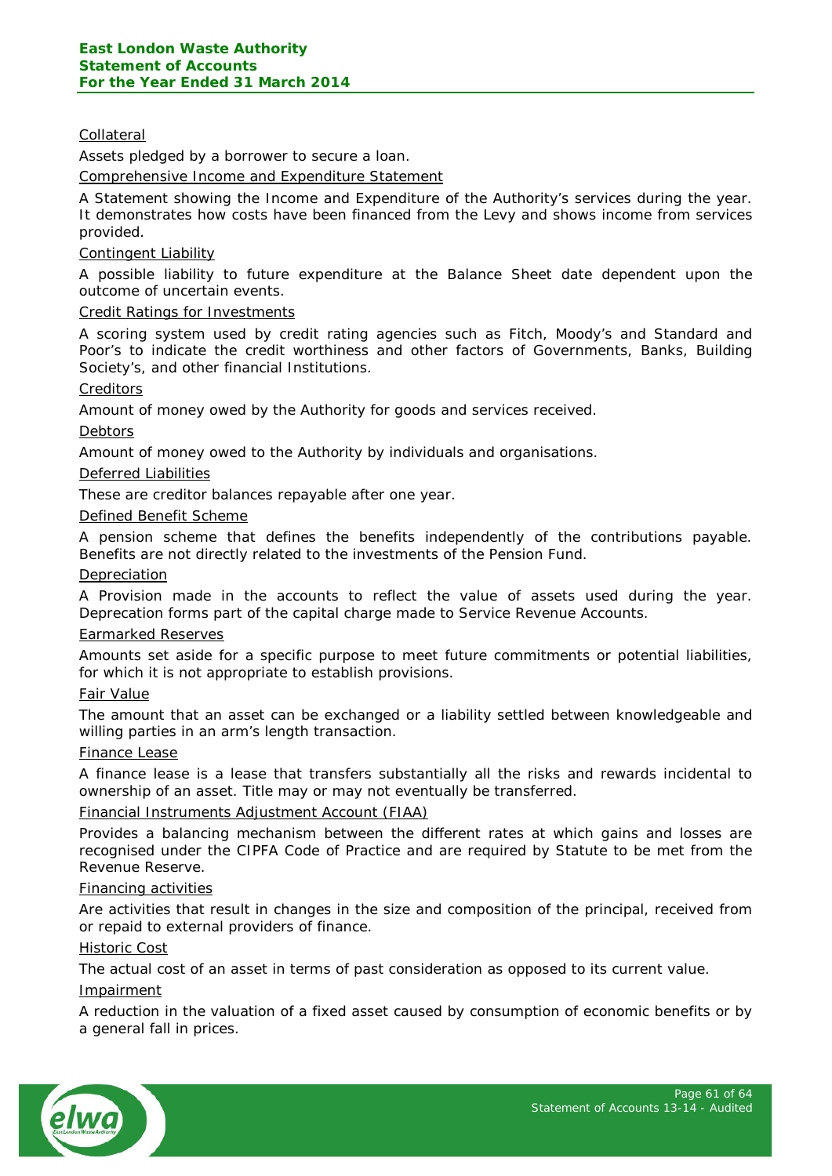## Collateral

Assets pledged by a borrower to secure a loan.

Comprehensive Income and Expenditure Statement

A Statement showing the Income and Expenditure of the Authority's services during the year. It demonstrates how costs have been financed from the Levy and shows income from services provided.

## Contingent Liability

A possible liability to future expenditure at the Balance Sheet date dependent upon the outcome of uncertain events.

#### Credit Ratings for Investments

A scoring system used by credit rating agencies such as Fitch, Moody's and Standard and Poor's to indicate the credit worthiness and other factors of Governments, Banks, Building Society's, and other financial Institutions.

#### **Creditors**

Amount of money owed by the Authority for goods and services received.

#### Debtors

Amount of money owed to the Authority by individuals and organisations.

#### Deferred Liabilities

These are creditor balances repayable after one year.

#### Defined Benefit Scheme

A pension scheme that defines the benefits independently of the contributions payable. Benefits are not directly related to the investments of the Pension Fund.

#### **Depreciation**

A Provision made in the accounts to reflect the value of assets used during the year. Deprecation forms part of the capital charge made to Service Revenue Accounts.

#### Earmarked Reserves

Amounts set aside for a specific purpose to meet future commitments or potential liabilities, for which it is not appropriate to establish provisions.

#### Fair Value

The amount that an asset can be exchanged or a liability settled between knowledgeable and willing parties in an arm's length transaction.

#### Finance Lease

A finance lease is a lease that transfers substantially all the risks and rewards incidental to ownership of an asset. Title may or may not eventually be transferred.

#### Financial Instruments Adjustment Account (FIAA)

Provides a balancing mechanism between the different rates at which gains and losses are recognised under the CIPFA Code of Practice and are required by Statute to be met from the Revenue Reserve.

#### Financing activities

Are activities that result in changes in the size and composition of the principal, received from or repaid to external providers of finance.

#### Historic Cost

The actual cost of an asset in terms of past consideration as opposed to its current value.

#### Impairment

A reduction in the valuation of a fixed asset caused by consumption of economic benefits or by a general fall in prices.

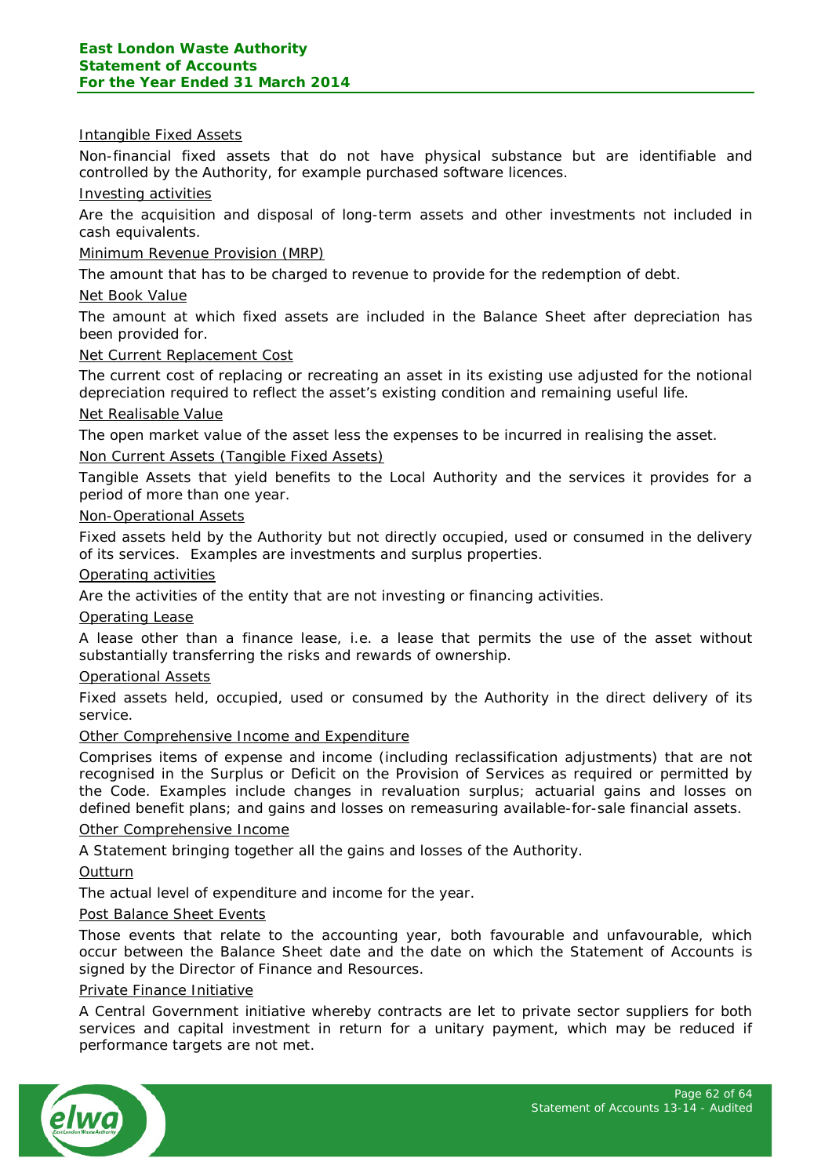#### Intangible Fixed Assets

Non-financial fixed assets that do not have physical substance but are identifiable and controlled by the Authority, for example purchased software licences.

#### Investing activities

Are the acquisition and disposal of long-term assets and other investments not included in cash equivalents.

#### Minimum Revenue Provision (MRP)

The amount that has to be charged to revenue to provide for the redemption of debt.

#### Net Book Value

The amount at which fixed assets are included in the Balance Sheet after depreciation has been provided for.

#### Net Current Replacement Cost

The current cost of replacing or recreating an asset in its existing use adjusted for the notional depreciation required to reflect the asset's existing condition and remaining useful life.

#### Net Realisable Value

The open market value of the asset less the expenses to be incurred in realising the asset.

#### Non Current Assets (Tangible Fixed Assets)

Tangible Assets that yield benefits to the Local Authority and the services it provides for a period of more than one year.

#### Non-Operational Assets

Fixed assets held by the Authority but not directly occupied, used or consumed in the delivery of its services. Examples are investments and surplus properties.

#### Operating activities

Are the activities of the entity that are not investing or financing activities.

#### Operating Lease

A lease other than a finance lease, i.e. a lease that permits the use of the asset without substantially transferring the risks and rewards of ownership.

#### Operational Assets

Fixed assets held, occupied, used or consumed by the Authority in the direct delivery of its service.

#### Other Comprehensive Income and Expenditure

Comprises items of expense and income (including reclassification adjustments) that are not recognised in the Surplus or Deficit on the Provision of Services as required or permitted by the Code. Examples include changes in revaluation surplus; actuarial gains and losses on defined benefit plans; and gains and losses on remeasuring available-for-sale financial assets.

#### Other Comprehensive Income

A Statement bringing together all the gains and losses of the Authority.

#### **Outturn**

The actual level of expenditure and income for the year.

#### Post Balance Sheet Events

Those events that relate to the accounting year, both favourable and unfavourable, which occur between the Balance Sheet date and the date on which the Statement of Accounts is signed by the Director of Finance and Resources.

#### Private Finance Initiative

A Central Government initiative whereby contracts are let to private sector suppliers for both services and capital investment in return for a unitary payment, which may be reduced if performance targets are not met.

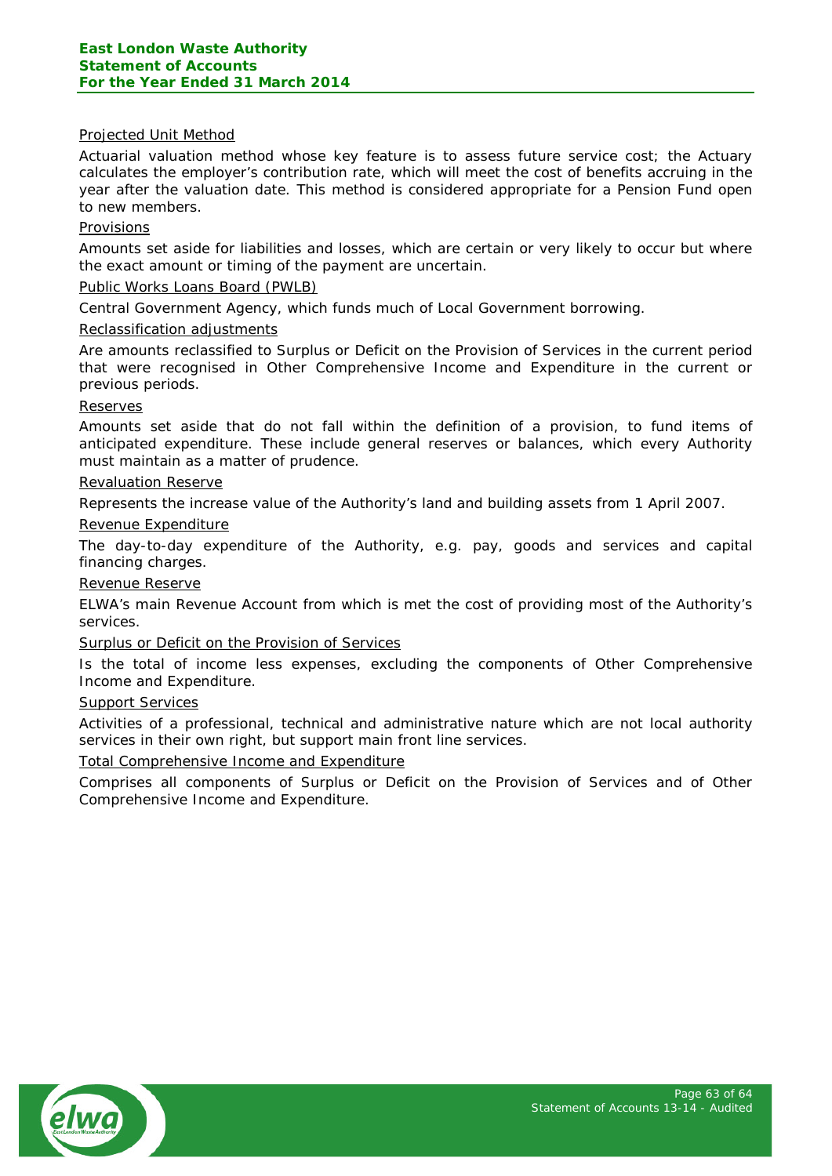#### Projected Unit Method

Actuarial valuation method whose key feature is to assess future service cost; the Actuary calculates the employer's contribution rate, which will meet the cost of benefits accruing in the year after the valuation date. This method is considered appropriate for a Pension Fund open to new members.

#### Provisions

Amounts set aside for liabilities and losses, which are certain or very likely to occur but where the exact amount or timing of the payment are uncertain.

#### Public Works Loans Board (PWLB)

Central Government Agency, which funds much of Local Government borrowing.

#### Reclassification adjustments

Are amounts reclassified to Surplus or Deficit on the Provision of Services in the current period that were recognised in Other Comprehensive Income and Expenditure in the current or previous periods.

#### Reserves

Amounts set aside that do not fall within the definition of a provision, to fund items of anticipated expenditure. These include general reserves or balances, which every Authority must maintain as a matter of prudence.

#### Revaluation Reserve

Represents the increase value of the Authority's land and building assets from 1 April 2007.

#### Revenue Expenditure

The day-to-day expenditure of the Authority, e.g. pay, goods and services and capital financing charges.

Revenue Reserve

ELWA's main Revenue Account from which is met the cost of providing most of the Authority's services.

#### Surplus or Deficit on the Provision of Services

Is the total of income less expenses, excluding the components of Other Comprehensive Income and Expenditure.

#### Support Services

Activities of a professional, technical and administrative nature which are not local authority services in their own right, but support main front line services.

#### Total Comprehensive Income and Expenditure

Comprises all components of Surplus or Deficit on the Provision of Services and of Other Comprehensive Income and Expenditure.